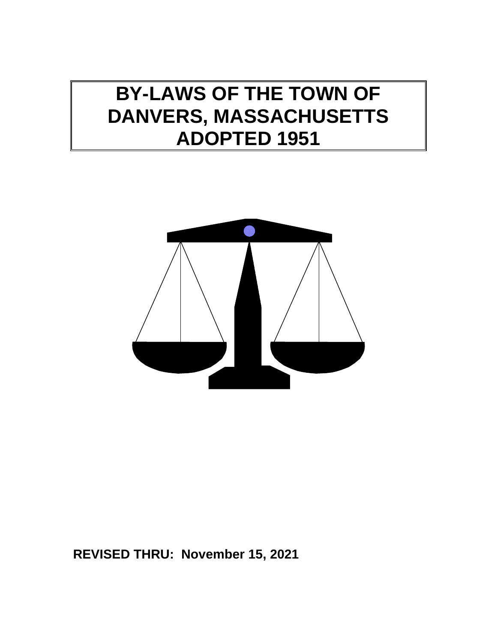# **BY-LAWS OF THE TOWN OF DANVERS, MASSACHUSETTS ADOPTED 1951**



# **REVISED THRU: November 15, 2021**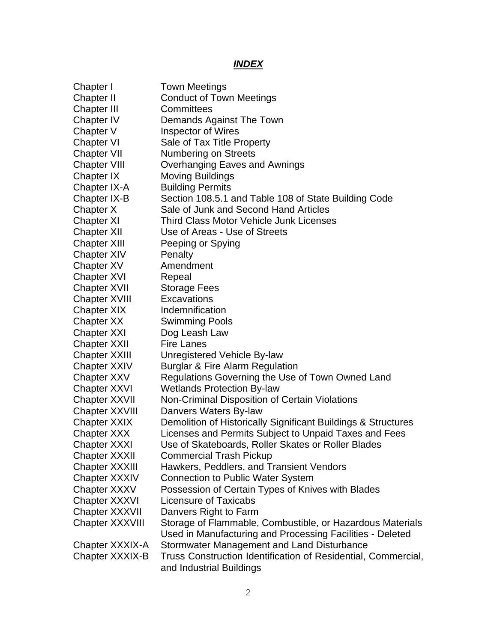# *INDEX*

| Chapter I             | <b>Town Meetings</b>                                                                      |
|-----------------------|-------------------------------------------------------------------------------------------|
| Chapter II            | <b>Conduct of Town Meetings</b>                                                           |
| <b>Chapter III</b>    | Committees                                                                                |
| Chapter IV            | Demands Against The Town                                                                  |
| Chapter V             | <b>Inspector of Wires</b>                                                                 |
| <b>Chapter VI</b>     | Sale of Tax Title Property                                                                |
| <b>Chapter VII</b>    | <b>Numbering on Streets</b>                                                               |
| <b>Chapter VIII</b>   | Overhanging Eaves and Awnings                                                             |
| Chapter IX            | <b>Moving Buildings</b>                                                                   |
| Chapter IX-A          | <b>Building Permits</b>                                                                   |
| Chapter IX-B          | Section 108.5.1 and Table 108 of State Building Code                                      |
| Chapter X             | Sale of Junk and Second Hand Articles                                                     |
| Chapter XI            | <b>Third Class Motor Vehicle Junk Licenses</b>                                            |
| <b>Chapter XII</b>    | Use of Areas - Use of Streets                                                             |
| <b>Chapter XIII</b>   | Peeping or Spying                                                                         |
| <b>Chapter XIV</b>    | Penalty                                                                                   |
| Chapter XV            | Amendment                                                                                 |
| <b>Chapter XVI</b>    | Repeal                                                                                    |
| <b>Chapter XVII</b>   | <b>Storage Fees</b>                                                                       |
| <b>Chapter XVIII</b>  | Excavations                                                                               |
| <b>Chapter XIX</b>    | Indemnification                                                                           |
| Chapter XX            | Swimming Pools                                                                            |
| <b>Chapter XXI</b>    | Dog Leash Law                                                                             |
| <b>Chapter XXII</b>   | <b>Fire Lanes</b>                                                                         |
| <b>Chapter XXIII</b>  | Unregistered Vehicle By-law                                                               |
| <b>Chapter XXIV</b>   | <b>Burglar &amp; Fire Alarm Regulation</b>                                                |
| <b>Chapter XXV</b>    | Regulations Governing the Use of Town Owned Land                                          |
| <b>Chapter XXVI</b>   | <b>Wetlands Protection By-law</b>                                                         |
| <b>Chapter XXVII</b>  | Non-Criminal Disposition of Certain Violations                                            |
| <b>Chapter XXVIII</b> | Danvers Waters By-law                                                                     |
| <b>Chapter XXIX</b>   | Demolition of Historically Significant Buildings & Structures                             |
| <b>Chapter XXX</b>    | Licenses and Permits Subject to Unpaid Taxes and Fees                                     |
| Chapter XXXI          | Use of Skateboards, Roller Skates or Roller Blades                                        |
| <b>Chapter XXXII</b>  | <b>Commercial Trash Pickup</b>                                                            |
| <b>Chapter XXXIII</b> | Hawkers, Peddlers, and Transient Vendors                                                  |
| Chapter XXXIV         | <b>Connection to Public Water System</b>                                                  |
| Chapter XXXV          | Possession of Certain Types of Knives with Blades                                         |
| Chapter XXXVI         | Licensure of Taxicabs                                                                     |
| Chapter XXXVII        | Danvers Right to Farm                                                                     |
| Chapter XXXVIII       | Storage of Flammable, Combustible, or Hazardous Materials                                 |
|                       | Used in Manufacturing and Processing Facilities - Deleted                                 |
| Chapter XXXIX-A       | Stormwater Management and Land Disturbance                                                |
| Chapter XXXIX-B       | Truss Construction Identification of Residential, Commercial,<br>and Industrial Buildings |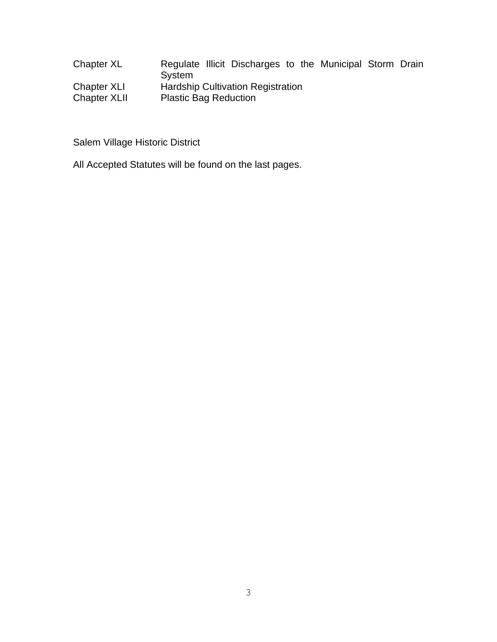| Chapter XL          | Regulate Illicit Discharges to the Municipal Storm Drain<br><b>System</b> |  |  |  |  |  |  |
|---------------------|---------------------------------------------------------------------------|--|--|--|--|--|--|
| Chapter XLI         | <b>Hardship Cultivation Registration</b>                                  |  |  |  |  |  |  |
| <b>Chapter XLII</b> | <b>Plastic Bag Reduction</b>                                              |  |  |  |  |  |  |

Salem Village Historic District

All Accepted Statutes will be found on the last pages.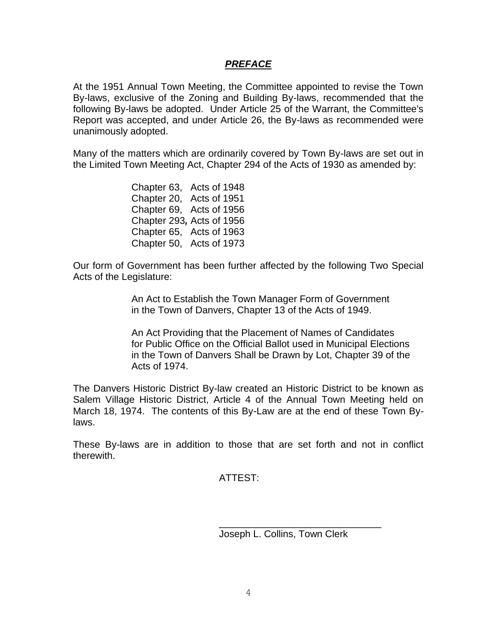#### *PREFACE*

At the 1951 Annual Town Meeting, the Committee appointed to revise the Town By-laws, exclusive of the Zoning and Building By-laws, recommended that the following By-laws be adopted. Under Article 25 of the Warrant, the Committee's Report was accepted, and under Article 26, the By-laws as recommended were unanimously adopted.

Many of the matters which are ordinarily covered by Town By-laws are set out in the Limited Town Meeting Act, Chapter 294 of the Acts of 1930 as amended by:

> Chapter 63, Acts of 1948 Chapter 20, Acts of 1951 Chapter 69, Acts of 1956 Chapter 293*,* Acts of 1956 Chapter 65, Acts of 1963 Chapter 50, Acts of 1973

Our form of Government has been further affected by the following Two Special Acts of the Legislature:

> An Act to Establish the Town Manager Form of Government in the Town of Danvers, Chapter 13 of the Acts of 1949.

An Act Providing that the Placement of Names of Candidates for Public Office on the Official Ballot used in Municipal Elections in the Town of Danvers Shall be Drawn by Lot, Chapter 39 of the Acts of 1974.

The Danvers Historic District By-law created an Historic District to be known as Salem Village Historic District, Article 4 of the Annual Town Meeting held on March 18, 1974. The contents of this By-Law are at the end of these Town Bylaws.

These By-laws are in addition to those that are set forth and not in conflict therewith.

ATTEST:

Joseph L. Collins, Town Clerk

\_\_\_\_\_\_\_\_\_\_\_\_\_\_\_\_\_\_\_\_\_\_\_\_\_\_\_\_\_\_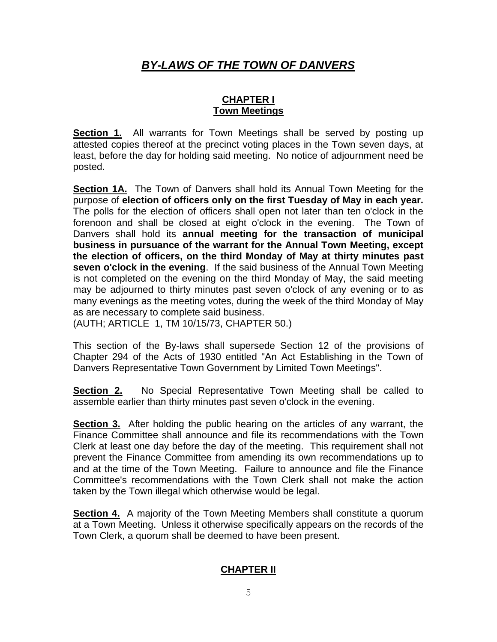# *BY-LAWS OF THE TOWN OF DANVERS*

#### **CHAPTER I Town Meetings**

**Section 1.** All warrants for Town Meetings shall be served by posting up attested copies thereof at the precinct voting places in the Town seven days, at least, before the day for holding said meeting. No notice of adjournment need be posted.

**Section 1A.** The Town of Danvers shall hold its Annual Town Meeting for the purpose of **election of officers only on the first Tuesday of May in each year.** The polls for the election of officers shall open not later than ten o'clock in the forenoon and shall be closed at eight o'clock in the evening. The Town of Danvers shall hold its **annual meeting for the transaction of municipal business in pursuance of the warrant for the Annual Town Meeting, except the election of officers, on the third Monday of May at thirty minutes past seven o'clock in the evening**. If the said business of the Annual Town Meeting is not completed on the evening on the third Monday of May, the said meeting may be adjourned to thirty minutes past seven o'clock of any evening or to as many evenings as the meeting votes, during the week of the third Monday of May as are necessary to complete said business.

(AUTH; ARTICLE 1, TM 10/15/73, CHAPTER 50.)

This section of the By-laws shall supersede Section 12 of the provisions of Chapter 294 of the Acts of 1930 entitled "An Act Establishing in the Town of Danvers Representative Town Government by Limited Town Meetings".

**Section 2.** No Special Representative Town Meeting shall be called to assemble earlier than thirty minutes past seven o'clock in the evening.

**Section 3.** After holding the public hearing on the articles of any warrant, the Finance Committee shall announce and file its recommendations with the Town Clerk at least one day before the day of the meeting. This requirement shall not prevent the Finance Committee from amending its own recommendations up to and at the time of the Town Meeting. Failure to announce and file the Finance Committee's recommendations with the Town Clerk shall not make the action taken by the Town illegal which otherwise would be legal.

**Section 4.** A majority of the Town Meeting Members shall constitute a quorum at a Town Meeting. Unless it otherwise specifically appears on the records of the Town Clerk, a quorum shall be deemed to have been present.

#### **CHAPTER II**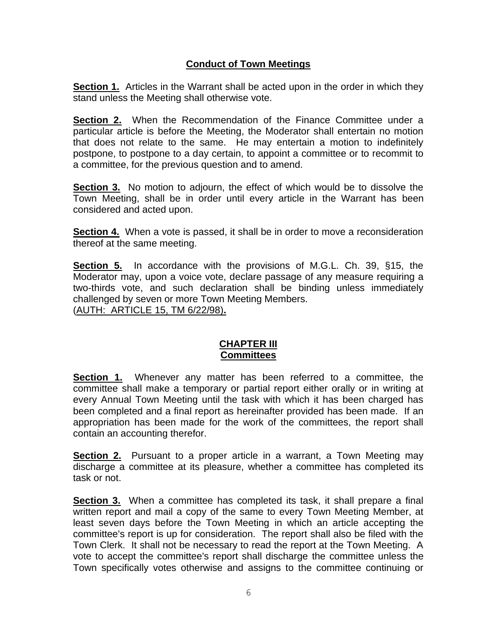## **Conduct of Town Meetings**

**Section 1.** Articles in the Warrant shall be acted upon in the order in which they stand unless the Meeting shall otherwise vote.

**Section 2.** When the Recommendation of the Finance Committee under a particular article is before the Meeting, the Moderator shall entertain no motion that does not relate to the same. He may entertain a motion to indefinitely postpone, to postpone to a day certain, to appoint a committee or to recommit to a committee, for the previous question and to amend.

**Section 3.** No motion to adjourn, the effect of which would be to dissolve the Town Meeting, shall be in order until every article in the Warrant has been considered and acted upon.

**Section 4.** When a vote is passed, it shall be in order to move a reconsideration thereof at the same meeting.

**Section 5.** In accordance with the provisions of M.G.L. Ch. 39, §15, the Moderator may, upon a voice vote, declare passage of any measure requiring a two-thirds vote, and such declaration shall be binding unless immediately challenged by seven or more Town Meeting Members. (AUTH: ARTICLE 15, TM 6/22/98)**.**

#### **CHAPTER III Committees**

**Section 1.** Whenever any matter has been referred to a committee, the committee shall make a temporary or partial report either orally or in writing at every Annual Town Meeting until the task with which it has been charged has been completed and a final report as hereinafter provided has been made. If an appropriation has been made for the work of the committees, the report shall contain an accounting therefor.

**Section 2.** Pursuant to a proper article in a warrant, a Town Meeting may discharge a committee at its pleasure, whether a committee has completed its task or not.

**Section 3.** When a committee has completed its task, it shall prepare a final written report and mail a copy of the same to every Town Meeting Member, at least seven days before the Town Meeting in which an article accepting the committee's report is up for consideration. The report shall also be filed with the Town Clerk. It shall not be necessary to read the report at the Town Meeting. A vote to accept the committee's report shall discharge the committee unless the Town specifically votes otherwise and assigns to the committee continuing or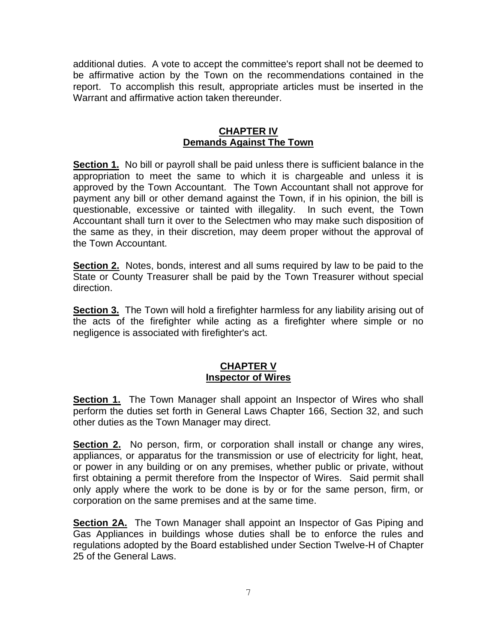additional duties. A vote to accept the committee's report shall not be deemed to be affirmative action by the Town on the recommendations contained in the report. To accomplish this result, appropriate articles must be inserted in the Warrant and affirmative action taken thereunder.

## **CHAPTER IV Demands Against The Town**

**Section 1.** No bill or payroll shall be paid unless there is sufficient balance in the appropriation to meet the same to which it is chargeable and unless it is approved by the Town Accountant. The Town Accountant shall not approve for payment any bill or other demand against the Town, if in his opinion, the bill is questionable, excessive or tainted with illegality. In such event, the Town Accountant shall turn it over to the Selectmen who may make such disposition of the same as they, in their discretion, may deem proper without the approval of the Town Accountant.

**Section 2.** Notes, bonds, interest and all sums required by law to be paid to the State or County Treasurer shall be paid by the Town Treasurer without special direction.

**Section 3.** The Town will hold a firefighter harmless for any liability arising out of the acts of the firefighter while acting as a firefighter where simple or no negligence is associated with firefighter's act.

#### **CHAPTER V Inspector of Wires**

**Section 1.** The Town Manager shall appoint an Inspector of Wires who shall perform the duties set forth in General Laws Chapter 166, Section 32, and such other duties as the Town Manager may direct.

**Section 2.** No person, firm, or corporation shall install or change any wires, appliances, or apparatus for the transmission or use of electricity for light, heat, or power in any building or on any premises, whether public or private, without first obtaining a permit therefore from the Inspector of Wires. Said permit shall only apply where the work to be done is by or for the same person, firm, or corporation on the same premises and at the same time.

**Section 2A.** The Town Manager shall appoint an Inspector of Gas Piping and Gas Appliances in buildings whose duties shall be to enforce the rules and regulations adopted by the Board established under Section Twelve-H of Chapter 25 of the General Laws.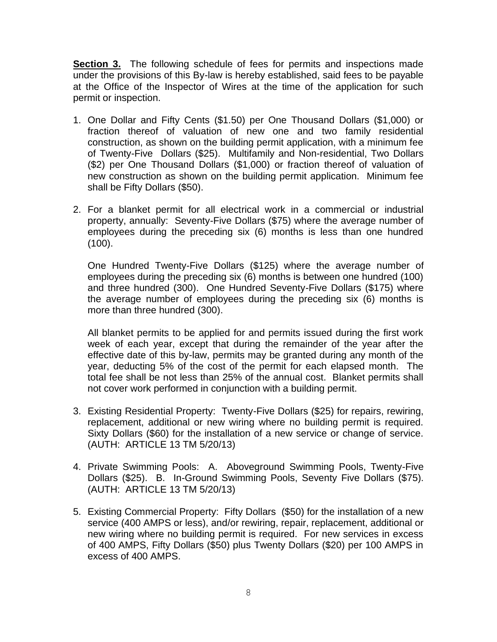**Section 3.** The following schedule of fees for permits and inspections made under the provisions of this By-law is hereby established, said fees to be payable at the Office of the Inspector of Wires at the time of the application for such permit or inspection.

- 1. One Dollar and Fifty Cents (\$1.50) per One Thousand Dollars (\$1,000) or fraction thereof of valuation of new one and two family residential construction, as shown on the building permit application, with a minimum fee of Twenty-Five Dollars (\$25). Multifamily and Non-residential, Two Dollars (\$2) per One Thousand Dollars (\$1,000) or fraction thereof of valuation of new construction as shown on the building permit application. Minimum fee shall be Fifty Dollars (\$50).
- 2. For a blanket permit for all electrical work in a commercial or industrial property, annually: Seventy-Five Dollars (\$75) where the average number of employees during the preceding six (6) months is less than one hundred (100).

One Hundred Twenty-Five Dollars (\$125) where the average number of employees during the preceding six (6) months is between one hundred (100) and three hundred (300). One Hundred Seventy-Five Dollars (\$175) where the average number of employees during the preceding six (6) months is more than three hundred (300).

All blanket permits to be applied for and permits issued during the first work week of each year, except that during the remainder of the year after the effective date of this by-law, permits may be granted during any month of the year, deducting 5% of the cost of the permit for each elapsed month. The total fee shall be not less than 25% of the annual cost. Blanket permits shall not cover work performed in conjunction with a building permit.

- 3. Existing Residential Property: Twenty-Five Dollars (\$25) for repairs, rewiring, replacement, additional or new wiring where no building permit is required. Sixty Dollars (\$60) for the installation of a new service or change of service. (AUTH: ARTICLE 13 TM 5/20/13)
- 4. Private Swimming Pools: A. Aboveground Swimming Pools, Twenty-Five Dollars (\$25). B. In-Ground Swimming Pools, Seventy Five Dollars (\$75). (AUTH: ARTICLE 13 TM 5/20/13)
- 5. Existing Commercial Property: Fifty Dollars (\$50) for the installation of a new service (400 AMPS or less), and/or rewiring, repair, replacement, additional or new wiring where no building permit is required. For new services in excess of 400 AMPS, Fifty Dollars (\$50) plus Twenty Dollars (\$20) per 100 AMPS in excess of 400 AMPS.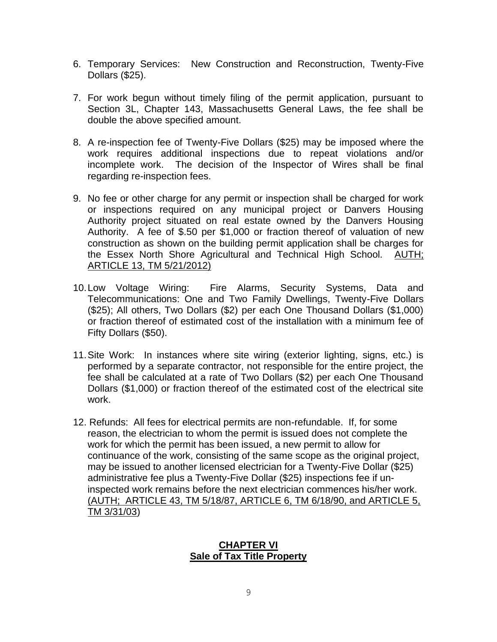- 6. Temporary Services: New Construction and Reconstruction, Twenty-Five Dollars (\$25).
- 7. For work begun without timely filing of the permit application, pursuant to Section 3L, Chapter 143, Massachusetts General Laws, the fee shall be double the above specified amount.
- 8. A re-inspection fee of Twenty-Five Dollars (\$25) may be imposed where the work requires additional inspections due to repeat violations and/or incomplete work. The decision of the Inspector of Wires shall be final regarding re-inspection fees.
- 9. No fee or other charge for any permit or inspection shall be charged for work or inspections required on any municipal project or Danvers Housing Authority project situated on real estate owned by the Danvers Housing Authority. A fee of \$.50 per \$1,000 or fraction thereof of valuation of new construction as shown on the building permit application shall be charges for the Essex North Shore Agricultural and Technical High School. AUTH; ARTICLE 13, TM 5/21/2012)
- 10.Low Voltage Wiring: Fire Alarms, Security Systems, Data and Telecommunications: One and Two Family Dwellings, Twenty-Five Dollars (\$25); All others, Two Dollars (\$2) per each One Thousand Dollars (\$1,000) or fraction thereof of estimated cost of the installation with a minimum fee of Fifty Dollars (\$50).
- 11.Site Work: In instances where site wiring (exterior lighting, signs, etc.) is performed by a separate contractor, not responsible for the entire project, the fee shall be calculated at a rate of Two Dollars (\$2) per each One Thousand Dollars (\$1,000) or fraction thereof of the estimated cost of the electrical site work.
- 12. Refunds: All fees for electrical permits are non-refundable. If, for some reason, the electrician to whom the permit is issued does not complete the work for which the permit has been issued, a new permit to allow for continuance of the work, consisting of the same scope as the original project, may be issued to another licensed electrician for a Twenty-Five Dollar (\$25) administrative fee plus a Twenty-Five Dollar (\$25) inspections fee if uninspected work remains before the next electrician commences his/her work. (AUTH; ARTICLE 43, TM 5/18/87, ARTICLE 6, TM 6/18/90, and ARTICLE 5, TM 3/31/03)

#### **CHAPTER VI Sale of Tax Title Property**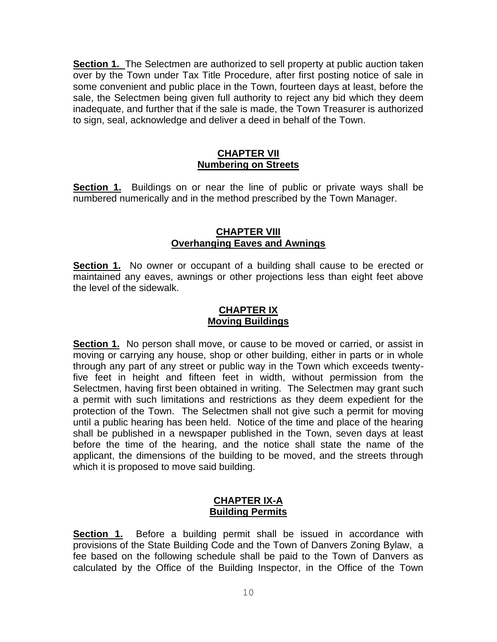**Section 1.** The Selectmen are authorized to sell property at public auction taken over by the Town under Tax Title Procedure, after first posting notice of sale in some convenient and public place in the Town, fourteen days at least, before the sale, the Selectmen being given full authority to reject any bid which they deem inadequate, and further that if the sale is made, the Town Treasurer is authorized to sign, seal, acknowledge and deliver a deed in behalf of the Town.

#### **CHAPTER VII Numbering on Streets**

**Section 1.** Buildings on or near the line of public or private ways shall be numbered numerically and in the method prescribed by the Town Manager.

#### **CHAPTER VIII Overhanging Eaves and Awnings**

**Section 1.** No owner or occupant of a building shall cause to be erected or maintained any eaves, awnings or other projections less than eight feet above the level of the sidewalk.

#### **CHAPTER IX Moving Buildings**

**Section 1.** No person shall move, or cause to be moved or carried, or assist in moving or carrying any house, shop or other building, either in parts or in whole through any part of any street or public way in the Town which exceeds twentyfive feet in height and fifteen feet in width, without permission from the Selectmen, having first been obtained in writing. The Selectmen may grant such a permit with such limitations and restrictions as they deem expedient for the protection of the Town. The Selectmen shall not give such a permit for moving until a public hearing has been held. Notice of the time and place of the hearing shall be published in a newspaper published in the Town, seven days at least before the time of the hearing, and the notice shall state the name of the applicant, the dimensions of the building to be moved, and the streets through which it is proposed to move said building.

#### **CHAPTER IX-A Building Permits**

**Section 1.** Before a building permit shall be issued in accordance with provisions of the State Building Code and the Town of Danvers Zoning Bylaw, a fee based on the following schedule shall be paid to the Town of Danvers as calculated by the Office of the Building Inspector, in the Office of the Town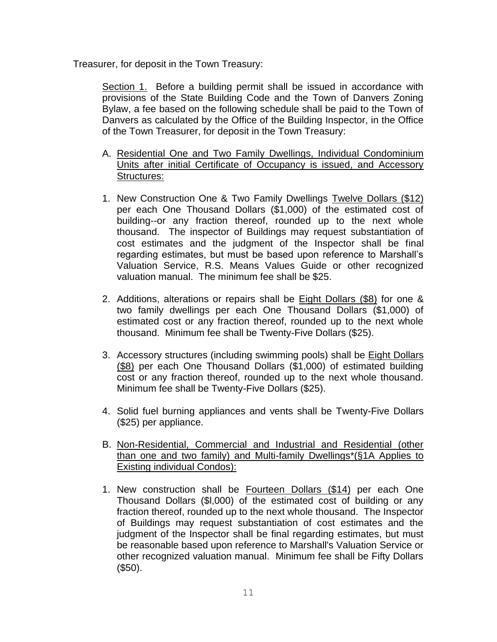Treasurer, for deposit in the Town Treasury:

Section 1. Before a building permit shall be issued in accordance with provisions of the State Building Code and the Town of Danvers Zoning Bylaw, a fee based on the following schedule shall be paid to the Town of Danvers as calculated by the Office of the Building Inspector, in the Office of the Town Treasurer, for deposit in the Town Treasury:

- A. Residential One and Two Family Dwellings, Individual Condominium Units after initial Certificate of Occupancy is issued, and Accessory Structures:
- 1. New Construction One & Two Family Dwellings Twelve Dollars (\$12) per each One Thousand Dollars (\$1,000) of the estimated cost of building--or any fraction thereof, rounded up to the next whole thousand. The inspector of Buildings may request substantiation of cost estimates and the judgment of the Inspector shall be final regarding estimates, but must be based upon reference to Marshall's Valuation Service, R.S. Means Values Guide or other recognized valuation manual. The minimum fee shall be \$25.
- 2. Additions, alterations or repairs shall be Eight Dollars (\$8) for one & two family dwellings per each One Thousand Dollars (\$1,000) of estimated cost or any fraction thereof, rounded up to the next whole thousand. Minimum fee shall be Twenty-Five Dollars (\$25).
- 3. Accessory structures (including swimming pools) shall be **Eight Dollars** (\$8) per each One Thousand Dollars (\$1,000) of estimated building cost or any fraction thereof, rounded up to the next whole thousand. Minimum fee shall be Twenty-Five Dollars (\$25).
- 4. Solid fuel burning appliances and vents shall be Twenty-Five Dollars (\$25) per appliance.
- B. Non-Residential, Commercial and Industrial and Residential (other than one and two family) and Multi-family Dwellings\*(§1A Applies to Existing individual Condos):
- 1. New construction shall be Fourteen Dollars (\$14) per each One Thousand Dollars (\$l,000) of the estimated cost of building or any fraction thereof, rounded up to the next whole thousand. The Inspector of Buildings may request substantiation of cost estimates and the judgment of the Inspector shall be final regarding estimates, but must be reasonable based upon reference to Marshall's Valuation Service or other recognized valuation manual. Minimum fee shall be Fifty Dollars (\$50).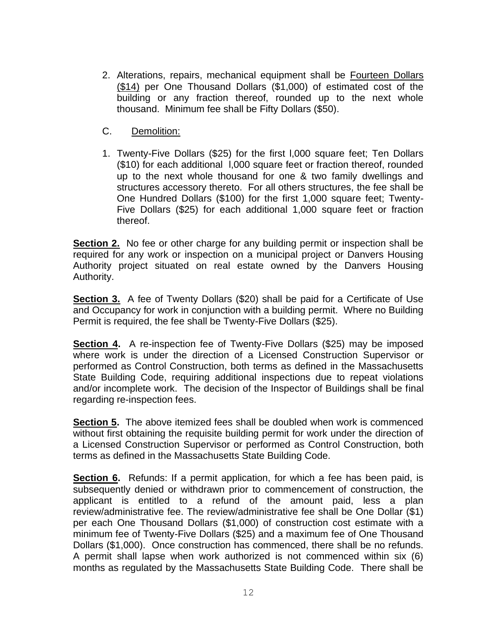- 2. Alterations, repairs, mechanical equipment shall be Fourteen Dollars (\$14) per One Thousand Dollars (\$1,000) of estimated cost of the building or any fraction thereof, rounded up to the next whole thousand. Minimum fee shall be Fifty Dollars (\$50).
- C. Demolition:
- 1. Twenty-Five Dollars (\$25) for the first l,000 square feet; Ten Dollars (\$10) for each additional l,000 square feet or fraction thereof, rounded up to the next whole thousand for one & two family dwellings and structures accessory thereto. For all others structures, the fee shall be One Hundred Dollars (\$100) for the first 1,000 square feet; Twenty-Five Dollars (\$25) for each additional 1,000 square feet or fraction thereof.

**Section 2.** No fee or other charge for any building permit or inspection shall be required for any work or inspection on a municipal project or Danvers Housing Authority project situated on real estate owned by the Danvers Housing Authority.

**Section 3.** A fee of Twenty Dollars (\$20) shall be paid for a Certificate of Use and Occupancy for work in conjunction with a building permit. Where no Building Permit is required, the fee shall be Twenty-Five Dollars (\$25).

**Section 4.** A re-inspection fee of Twenty-Five Dollars (\$25) may be imposed where work is under the direction of a Licensed Construction Supervisor or performed as Control Construction, both terms as defined in the Massachusetts State Building Code, requiring additional inspections due to repeat violations and/or incomplete work. The decision of the Inspector of Buildings shall be final regarding re-inspection fees.

**Section 5.** The above itemized fees shall be doubled when work is commenced without first obtaining the requisite building permit for work under the direction of a Licensed Construction Supervisor or performed as Control Construction, both terms as defined in the Massachusetts State Building Code.

**Section 6.** Refunds: If a permit application, for which a fee has been paid, is subsequently denied or withdrawn prior to commencement of construction, the applicant is entitled to a refund of the amount paid, less a plan review/administrative fee. The review/administrative fee shall be One Dollar (\$1) per each One Thousand Dollars (\$1,000) of construction cost estimate with a minimum fee of Twenty-Five Dollars (\$25) and a maximum fee of One Thousand Dollars (\$1,000). Once construction has commenced, there shall be no refunds. A permit shall lapse when work authorized is not commenced within six (6) months as regulated by the Massachusetts State Building Code. There shall be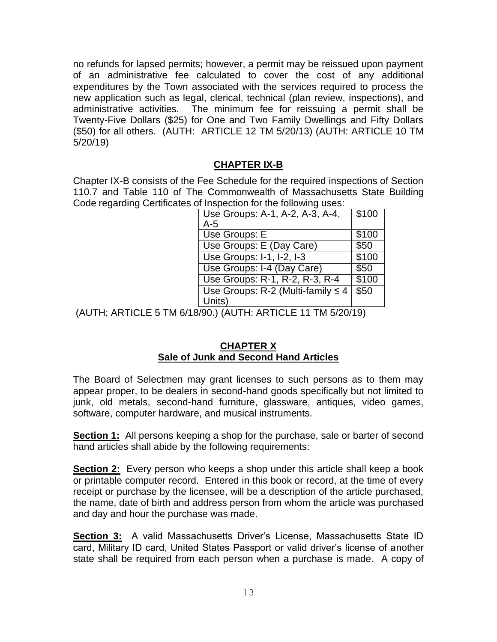no refunds for lapsed permits; however, a permit may be reissued upon payment of an administrative fee calculated to cover the cost of any additional expenditures by the Town associated with the services required to process the new application such as legal, clerical, technical (plan review, inspections), and administrative activities. The minimum fee for reissuing a permit shall be Twenty-Five Dollars (\$25) for One and Two Family Dwellings and Fifty Dollars (\$50) for all others. (AUTH: ARTICLE 12 TM 5/20/13) (AUTH: ARTICLE 10 TM 5/20/19)

#### **CHAPTER IX-B**

Chapter IX-B consists of the Fee Schedule for the required inspections of Section 110.7 and Table 110 of The Commonwealth of Massachusetts State Building Code regarding Certificates of Inspection for the following uses:

| Use Groups: A-1, A-2, A-3, A-4,            | \$100 |
|--------------------------------------------|-------|
| $A-5$                                      |       |
| Use Groups: E                              | \$100 |
| Use Groups: E (Day Care)                   | \$50  |
| Use Groups: I-1, I-2, I-3                  | \$100 |
| Use Groups: I-4 (Day Care)                 | \$50  |
| Use Groups: R-1, R-2, R-3, R-4             | \$100 |
| Use Groups: $R-2$ (Multi-family $\leq 4$ ) | \$50  |
| Units)                                     |       |

(AUTH; ARTICLE 5 TM 6/18/90.) (AUTH: ARTICLE 11 TM 5/20/19)

#### **CHAPTER X Sale of Junk and Second Hand Articles**

The Board of Selectmen may grant licenses to such persons as to them may appear proper, to be dealers in second-hand goods specifically but not limited to junk, old metals, second-hand furniture, glassware, antiques, video games, software, computer hardware, and musical instruments.

**Section 1:** All persons keeping a shop for the purchase, sale or barter of second hand articles shall abide by the following requirements:

**Section 2:** Every person who keeps a shop under this article shall keep a book or printable computer record. Entered in this book or record, at the time of every receipt or purchase by the licensee, will be a description of the article purchased, the name, date of birth and address person from whom the article was purchased and day and hour the purchase was made.

**Section 3:** A valid Massachusetts Driver's License, Massachusetts State ID card, Military ID card, United States Passport or valid driver's license of another state shall be required from each person when a purchase is made. A copy of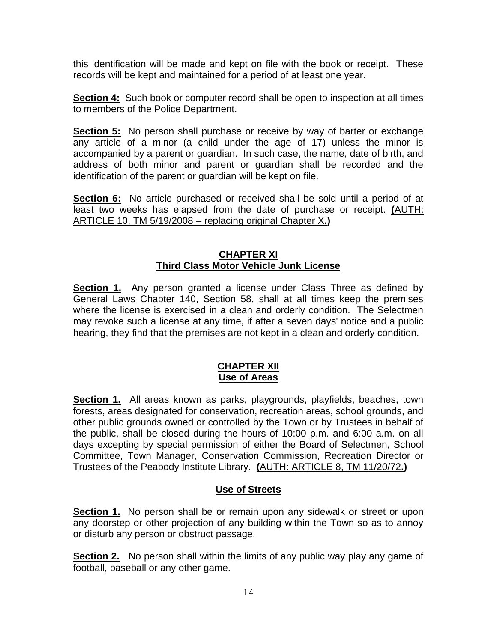this identification will be made and kept on file with the book or receipt. These records will be kept and maintained for a period of at least one year.

**Section 4:** Such book or computer record shall be open to inspection at all times to members of the Police Department.

**Section 5:** No person shall purchase or receive by way of barter or exchange any article of a minor (a child under the age of 17) unless the minor is accompanied by a parent or guardian. In such case, the name, date of birth, and address of both minor and parent or guardian shall be recorded and the identification of the parent or guardian will be kept on file.

**Section 6:** No article purchased or received shall be sold until a period of at least two weeks has elapsed from the date of purchase or receipt. **(**AUTH: ARTICLE 10, TM 5/19/2008 – replacing original Chapter X**.)**

#### **CHAPTER XI Third Class Motor Vehicle Junk License**

**Section 1.** Any person granted a license under Class Three as defined by General Laws Chapter 140, Section 58, shall at all times keep the premises where the license is exercised in a clean and orderly condition. The Selectmen may revoke such a license at any time, if after a seven days' notice and a public hearing, they find that the premises are not kept in a clean and orderly condition.

#### **CHAPTER XII Use of Areas**

**Section 1.** All areas known as parks, playgrounds, playfields, beaches, town forests, areas designated for conservation, recreation areas, school grounds, and other public grounds owned or controlled by the Town or by Trustees in behalf of the public, shall be closed during the hours of 10:00 p.m. and 6:00 a.m. on all days excepting by special permission of either the Board of Selectmen, School Committee, Town Manager, Conservation Commission, Recreation Director or Trustees of the Peabody Institute Library. **(**AUTH: ARTICLE 8, TM 11/20/72**.)**

# **Use of Streets**

**Section 1.** No person shall be or remain upon any sidewalk or street or upon any doorstep or other projection of any building within the Town so as to annoy or disturb any person or obstruct passage.

**Section 2.** No person shall within the limits of any public way play any game of football, baseball or any other game.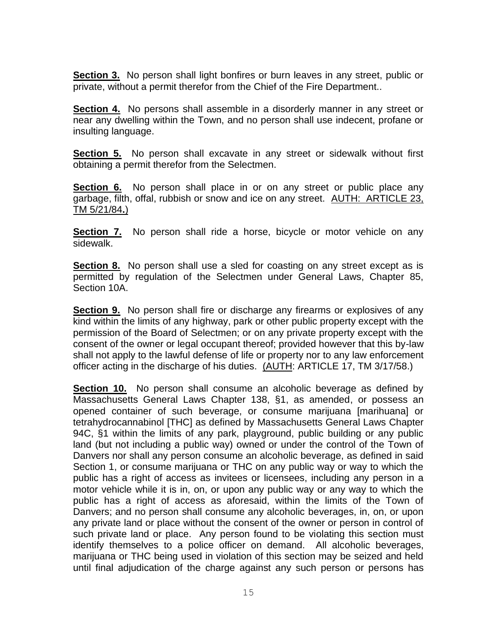**Section 3.** No person shall light bonfires or burn leaves in any street, public or private, without a permit therefor from the Chief of the Fire Department..

**Section 4.** No persons shall assemble in a disorderly manner in any street or near any dwelling within the Town, and no person shall use indecent, profane or insulting language.

**Section 5.** No person shall excavate in any street or sidewalk without first obtaining a permit therefor from the Selectmen.

**Section 6.** No person shall place in or on any street or public place any garbage, filth, offal, rubbish or snow and ice on any street. AUTH: ARTICLE 23, TM 5/21/84**.**)

**Section 7.** No person shall ride a horse, bicycle or motor vehicle on any sidewalk.

**Section 8.** No person shall use a sled for coasting on any street except as is permitted by regulation of the Selectmen under General Laws, Chapter 85, Section 10A.

**Section 9.** No person shall fire or discharge any firearms or explosives of any kind within the limits of any highway, park or other public property except with the permission of the Board of Selectmen; or on any private property except with the consent of the owner or legal occupant thereof; provided however that this by-law shall not apply to the lawful defense of life or property nor to any law enforcement officer acting in the discharge of his duties. (AUTH: ARTICLE 17, TM 3/17/58.)

**Section 10.** No person shall consume an alcoholic beverage as defined by Massachusetts General Laws Chapter 138, §1, as amended, or possess an opened container of such beverage, or consume marijuana [marihuana] or tetrahydrocannabinol [THC] as defined by Massachusetts General Laws Chapter 94C, §1 within the limits of any park, playground, public building or any public land (but not including a public way) owned or under the control of the Town of Danvers nor shall any person consume an alcoholic beverage, as defined in said Section 1, or consume marijuana or THC on any public way or way to which the public has a right of access as invitees or licensees, including any person in a motor vehicle while it is in, on, or upon any public way or any way to which the public has a right of access as aforesaid, within the limits of the Town of Danvers; and no person shall consume any alcoholic beverages, in, on, or upon any private land or place without the consent of the owner or person in control of such private land or place. Any person found to be violating this section must identify themselves to a police officer on demand. All alcoholic beverages, marijuana or THC being used in violation of this section may be seized and held until final adjudication of the charge against any such person or persons has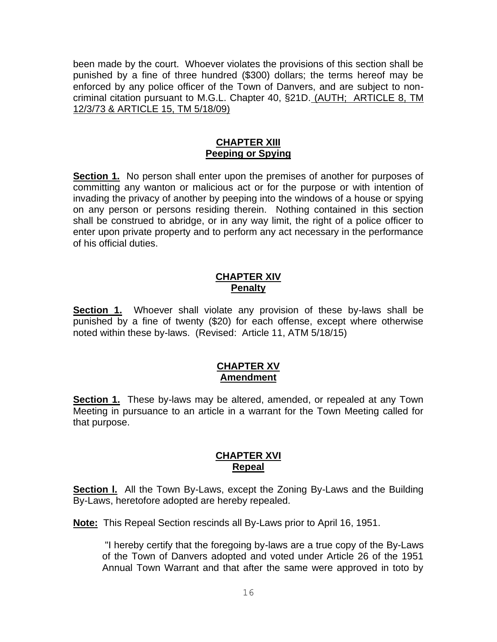been made by the court. Whoever violates the provisions of this section shall be punished by a fine of three hundred (\$300) dollars; the terms hereof may be enforced by any police officer of the Town of Danvers, and are subject to noncriminal citation pursuant to M.G.L. Chapter 40, §21D. (AUTH; ARTICLE 8, TM 12/3/73 & ARTICLE 15, TM 5/18/09)

#### **CHAPTER XIII Peeping or Spying**

**Section 1.** No person shall enter upon the premises of another for purposes of committing any wanton or malicious act or for the purpose or with intention of invading the privacy of another by peeping into the windows of a house or spying on any person or persons residing therein. Nothing contained in this section shall be construed to abridge, or in any way limit, the right of a police officer to enter upon private property and to perform any act necessary in the performance of his official duties.

#### **CHAPTER XIV Penalty**

**Section 1.** Whoever shall violate any provision of these by-laws shall be punished by a fine of twenty (\$20) for each offense, except where otherwise noted within these by-laws. (Revised: Article 11, ATM 5/18/15)

#### **CHAPTER XV Amendment**

**Section 1.** These by-laws may be altered, amended, or repealed at any Town Meeting in pursuance to an article in a warrant for the Town Meeting called for that purpose.

# **CHAPTER XVI Repeal**

**Section I.** All the Town By-Laws, except the Zoning By-Laws and the Building By-Laws, heretofore adopted are hereby repealed.

**Note:** This Repeal Section rescinds all By-Laws prior to April 16, 1951.

"I hereby certify that the foregoing by-laws are a true copy of the By-Laws of the Town of Danvers adopted and voted under Article 26 of the 1951 Annual Town Warrant and that after the same were approved in toto by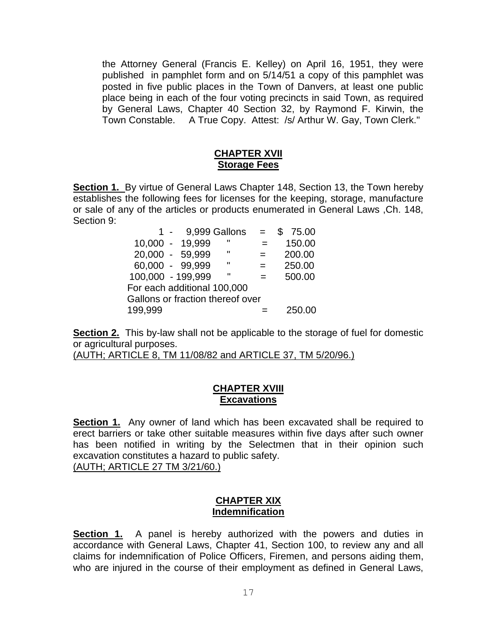the Attorney General (Francis E. Kelley) on April 16, 1951, they were published in pamphlet form and on 5/14/51 a copy of this pamphlet was posted in five public places in the Town of Danvers, at least one public place being in each of the four voting precincts in said Town, as required by General Laws, Chapter 40 Section 32, by Raymond F. Kirwin, the Town Constable. A True Copy. Attest: /s/ Arthur W. Gay, Town Clerk."

#### **CHAPTER XVII Storage Fees**

**Section 1.** By virtue of General Laws Chapter 148, Section 13, the Town hereby establishes the following fees for licenses for the keeping, storage, manufacture or sale of any of the articles or products enumerated in General Laws ,Ch. 148, Section 9:

|                                  |  |                 | $1 - 9,999$ Gallons = |     | \$75.00 |  |  |
|----------------------------------|--|-----------------|-----------------------|-----|---------|--|--|
|                                  |  | 10,000 - 19,999 |                       |     | 150.00  |  |  |
|                                  |  | 20,000 - 59,999 | H                     | $=$ | 200.00  |  |  |
|                                  |  | 60,000 - 99,999 | $\mathbf{u}$          | $=$ | 250.00  |  |  |
| 100,000 - 199,999                |  |                 | - 11                  | $=$ | 500.00  |  |  |
| For each additional 100,000      |  |                 |                       |     |         |  |  |
| Gallons or fraction thereof over |  |                 |                       |     |         |  |  |
| 199,999                          |  |                 |                       |     | 250.00  |  |  |

**Section 2.** This by-law shall not be applicable to the storage of fuel for domestic or agricultural purposes.

(AUTH; ARTICLE 8, TM 11/08/82 and ARTICLE 37, TM 5/20/96.)

#### **CHAPTER XVIII Excavations**

**Section 1.** Any owner of land which has been excavated shall be required to erect barriers or take other suitable measures within five days after such owner has been notified in writing by the Selectmen that in their opinion such excavation constitutes a hazard to public safety. (AUTH; ARTICLE 27 TM 3/21/60.)

#### **CHAPTER XIX Indemnification**

**Section 1.** A panel is hereby authorized with the powers and duties in accordance with General Laws, Chapter 41, Section 100, to review any and all claims for indemnification of Police Officers, Firemen, and persons aiding them, who are injured in the course of their employment as defined in General Laws,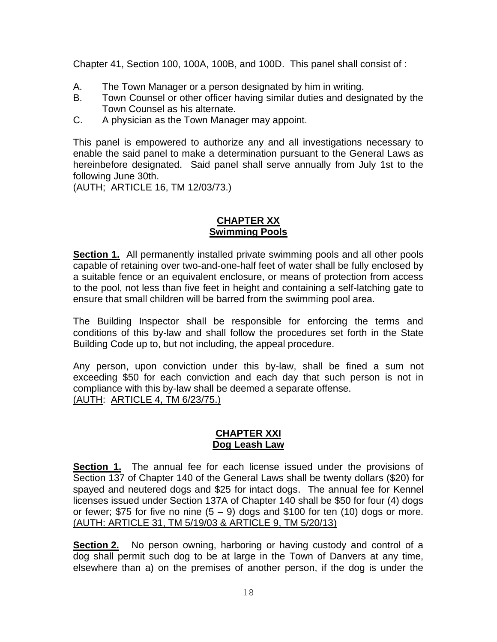Chapter 41, Section 100, 100A, 100B, and 100D. This panel shall consist of :

- A. The Town Manager or a person designated by him in writing.
- B. Town Counsel or other officer having similar duties and designated by the Town Counsel as his alternate.
- C. A physician as the Town Manager may appoint.

This panel is empowered to authorize any and all investigations necessary to enable the said panel to make a determination pursuant to the General Laws as hereinbefore designated. Said panel shall serve annually from July 1st to the following June 30th.

(AUTH; ARTICLE 16, TM 12/03/73.)

## **CHAPTER XX Swimming Pools**

**Section 1.** All permanently installed private swimming pools and all other pools capable of retaining over two-and-one-half feet of water shall be fully enclosed by a suitable fence or an equivalent enclosure, or means of protection from access to the pool, not less than five feet in height and containing a self-latching gate to ensure that small children will be barred from the swimming pool area.

The Building Inspector shall be responsible for enforcing the terms and conditions of this by-law and shall follow the procedures set forth in the State Building Code up to, but not including, the appeal procedure.

Any person, upon conviction under this by-law, shall be fined a sum not exceeding \$50 for each conviction and each day that such person is not in compliance with this by-law shall be deemed a separate offense. (AUTH: ARTICLE 4, TM 6/23/75.)

#### **CHAPTER XXI Dog Leash Law**

**Section 1.** The annual fee for each license issued under the provisions of Section 137 of Chapter 140 of the General Laws shall be twenty dollars (\$20) for spayed and neutered dogs and \$25 for intact dogs. The annual fee for Kennel licenses issued under Section 137A of Chapter 140 shall be \$50 for four (4) dogs or fewer; \$75 for five no nine  $(5 - 9)$  dogs and \$100 for ten (10) dogs or more. (AUTH: ARTICLE 31, TM 5/19/03 & ARTICLE 9, TM 5/20/13)

**Section 2.** No person owning, harboring or having custody and control of a dog shall permit such dog to be at large in the Town of Danvers at any time, elsewhere than a) on the premises of another person, if the dog is under the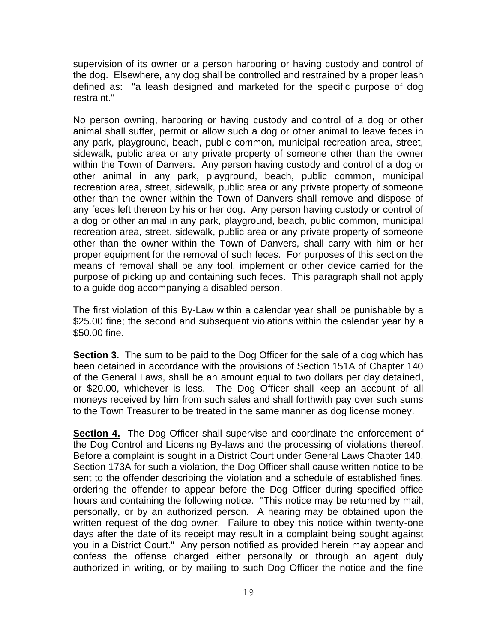supervision of its owner or a person harboring or having custody and control of the dog. Elsewhere, any dog shall be controlled and restrained by a proper leash defined as: "a leash designed and marketed for the specific purpose of dog restraint."

No person owning, harboring or having custody and control of a dog or other animal shall suffer, permit or allow such a dog or other animal to leave feces in any park, playground, beach, public common, municipal recreation area, street, sidewalk, public area or any private property of someone other than the owner within the Town of Danvers. Any person having custody and control of a dog or other animal in any park, playground, beach, public common, municipal recreation area, street, sidewalk, public area or any private property of someone other than the owner within the Town of Danvers shall remove and dispose of any feces left thereon by his or her dog. Any person having custody or control of a dog or other animal in any park, playground, beach, public common, municipal recreation area, street, sidewalk, public area or any private property of someone other than the owner within the Town of Danvers, shall carry with him or her proper equipment for the removal of such feces. For purposes of this section the means of removal shall be any tool, implement or other device carried for the purpose of picking up and containing such feces. This paragraph shall not apply to a guide dog accompanying a disabled person.

The first violation of this By-Law within a calendar year shall be punishable by a \$25.00 fine; the second and subsequent violations within the calendar year by a \$50.00 fine.

**Section 3.** The sum to be paid to the Dog Officer for the sale of a dog which has been detained in accordance with the provisions of Section 151A of Chapter 140 of the General Laws, shall be an amount equal to two dollars per day detained, or \$20.00, whichever is less. The Dog Officer shall keep an account of all moneys received by him from such sales and shall forthwith pay over such sums to the Town Treasurer to be treated in the same manner as dog license money.

**Section 4.** The Dog Officer shall supervise and coordinate the enforcement of the Dog Control and Licensing By-laws and the processing of violations thereof. Before a complaint is sought in a District Court under General Laws Chapter 140, Section 173A for such a violation, the Dog Officer shall cause written notice to be sent to the offender describing the violation and a schedule of established fines, ordering the offender to appear before the Dog Officer during specified office hours and containing the following notice. "This notice may be returned by mail, personally, or by an authorized person. A hearing may be obtained upon the written request of the dog owner. Failure to obey this notice within twenty-one days after the date of its receipt may result in a complaint being sought against you in a District Court." Any person notified as provided herein may appear and confess the offense charged either personally or through an agent duly authorized in writing, or by mailing to such Dog Officer the notice and the fine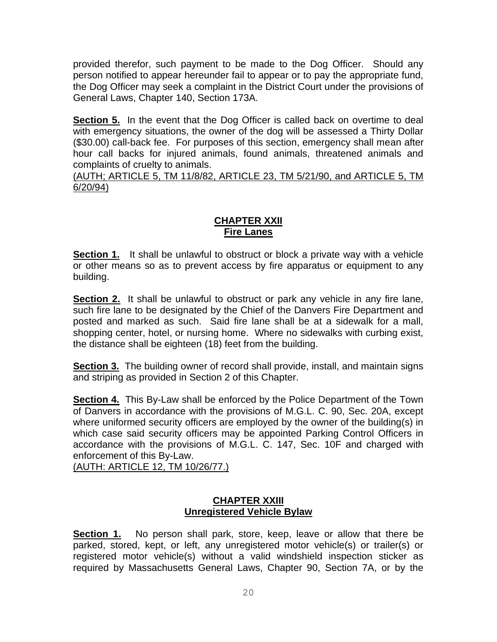provided therefor, such payment to be made to the Dog Officer. Should any person notified to appear hereunder fail to appear or to pay the appropriate fund, the Dog Officer may seek a complaint in the District Court under the provisions of General Laws, Chapter 140, Section 173A.

**Section 5.** In the event that the Dog Officer is called back on overtime to deal with emergency situations, the owner of the dog will be assessed a Thirty Dollar (\$30.00) call-back fee. For purposes of this section, emergency shall mean after hour call backs for injured animals, found animals, threatened animals and complaints of cruelty to animals.

(AUTH; ARTICLE 5, TM 11/8/82, ARTICLE 23, TM 5/21/90, and ARTICLE 5, TM 6/20/94)

# **CHAPTER XXII Fire Lanes**

**Section 1.** It shall be unlawful to obstruct or block a private way with a vehicle or other means so as to prevent access by fire apparatus or equipment to any building.

**Section 2.** It shall be unlawful to obstruct or park any vehicle in any fire lane, such fire lane to be designated by the Chief of the Danvers Fire Department and posted and marked as such. Said fire lane shall be at a sidewalk for a mall, shopping center, hotel, or nursing home. Where no sidewalks with curbing exist, the distance shall be eighteen (18) feet from the building.

**Section 3.** The building owner of record shall provide, install, and maintain signs and striping as provided in Section 2 of this Chapter.

**Section 4.** This By-Law shall be enforced by the Police Department of the Town of Danvers in accordance with the provisions of M.G.L. C. 90, Sec. 20A, except where uniformed security officers are employed by the owner of the building(s) in which case said security officers may be appointed Parking Control Officers in accordance with the provisions of M.G.L. C. 147, Sec. 10F and charged with enforcement of this By-Law.

(AUTH: ARTICLE 12, TM 10/26/77.)

#### **CHAPTER XXIII Unregistered Vehicle Bylaw**

**Section 1.** No person shall park, store, keep, leave or allow that there be parked, stored, kept, or left, any unregistered motor vehicle(s) or trailer(s) or registered motor vehicle(s) without a valid windshield inspection sticker as required by Massachusetts General Laws, Chapter 90, Section 7A, or by the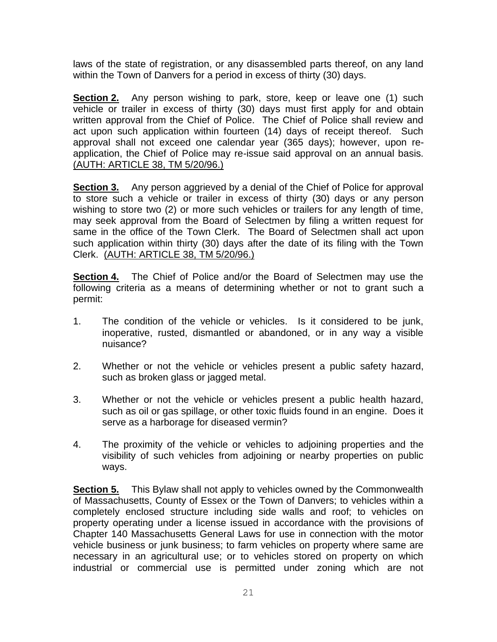laws of the state of registration, or any disassembled parts thereof, on any land within the Town of Danvers for a period in excess of thirty (30) days.

**Section 2.** Any person wishing to park, store, keep or leave one (1) such vehicle or trailer in excess of thirty (30) days must first apply for and obtain written approval from the Chief of Police. The Chief of Police shall review and act upon such application within fourteen (14) days of receipt thereof. Such approval shall not exceed one calendar year (365 days); however, upon reapplication, the Chief of Police may re-issue said approval on an annual basis. (AUTH: ARTICLE 38, TM 5/20/96.)

**Section 3.** Any person aggrieved by a denial of the Chief of Police for approval to store such a vehicle or trailer in excess of thirty (30) days or any person wishing to store two (2) or more such vehicles or trailers for any length of time, may seek approval from the Board of Selectmen by filing a written request for same in the office of the Town Clerk. The Board of Selectmen shall act upon such application within thirty (30) days after the date of its filing with the Town Clerk. (AUTH: ARTICLE 38, TM 5/20/96.)

**Section 4.** The Chief of Police and/or the Board of Selectmen may use the following criteria as a means of determining whether or not to grant such a permit:

- 1. The condition of the vehicle or vehicles. Is it considered to be junk, inoperative, rusted, dismantled or abandoned, or in any way a visible nuisance?
- 2. Whether or not the vehicle or vehicles present a public safety hazard, such as broken glass or jagged metal.
- 3. Whether or not the vehicle or vehicles present a public health hazard, such as oil or gas spillage, or other toxic fluids found in an engine. Does it serve as a harborage for diseased vermin?
- 4. The proximity of the vehicle or vehicles to adjoining properties and the visibility of such vehicles from adjoining or nearby properties on public ways.

**Section 5.** This Bylaw shall not apply to vehicles owned by the Commonwealth of Massachusetts, County of Essex or the Town of Danvers; to vehicles within a completely enclosed structure including side walls and roof; to vehicles on property operating under a license issued in accordance with the provisions of Chapter 140 Massachusetts General Laws for use in connection with the motor vehicle business or junk business; to farm vehicles on property where same are necessary in an agricultural use; or to vehicles stored on property on which industrial or commercial use is permitted under zoning which are not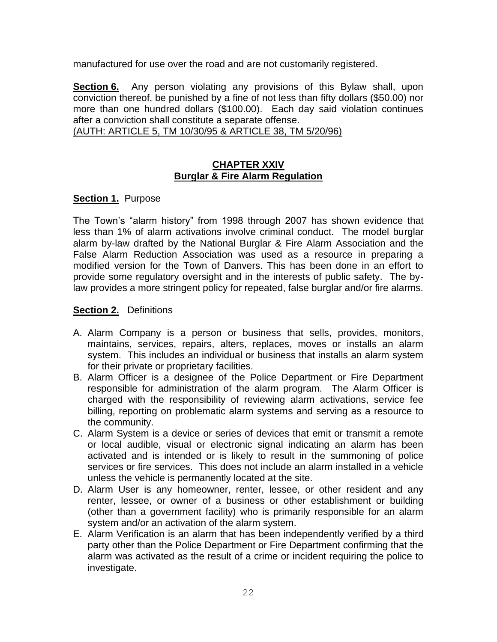manufactured for use over the road and are not customarily registered.

**Section 6.** Any person violating any provisions of this Bylaw shall, upon conviction thereof, be punished by a fine of not less than fifty dollars (\$50.00) nor more than one hundred dollars (\$100.00). Each day said violation continues after a conviction shall constitute a separate offense.

(AUTH: ARTICLE 5, TM 10/30/95 & ARTICLE 38, TM 5/20/96)

#### **CHAPTER XXIV Burglar & Fire Alarm Regulation**

#### **Section 1.** Purpose

The Town's "alarm history" from 1998 through 2007 has shown evidence that less than 1% of alarm activations involve criminal conduct. The model burglar alarm by-law drafted by the National Burglar & Fire Alarm Association and the False Alarm Reduction Association was used as a resource in preparing a modified version for the Town of Danvers. This has been done in an effort to provide some regulatory oversight and in the interests of public safety. The bylaw provides a more stringent policy for repeated, false burglar and/or fire alarms.

#### **Section 2.** Definitions

- A. Alarm Company is a person or business that sells, provides, monitors, maintains, services, repairs, alters, replaces, moves or installs an alarm system. This includes an individual or business that installs an alarm system for their private or proprietary facilities.
- B. Alarm Officer is a designee of the Police Department or Fire Department responsible for administration of the alarm program. The Alarm Officer is charged with the responsibility of reviewing alarm activations, service fee billing, reporting on problematic alarm systems and serving as a resource to the community.
- C. Alarm System is a device or series of devices that emit or transmit a remote or local audible, visual or electronic signal indicating an alarm has been activated and is intended or is likely to result in the summoning of police services or fire services. This does not include an alarm installed in a vehicle unless the vehicle is permanently located at the site.
- D. Alarm User is any homeowner, renter, lessee, or other resident and any renter, lessee, or owner of a business or other establishment or building (other than a government facility) who is primarily responsible for an alarm system and/or an activation of the alarm system.
- E. Alarm Verification is an alarm that has been independently verified by a third party other than the Police Department or Fire Department confirming that the alarm was activated as the result of a crime or incident requiring the police to investigate.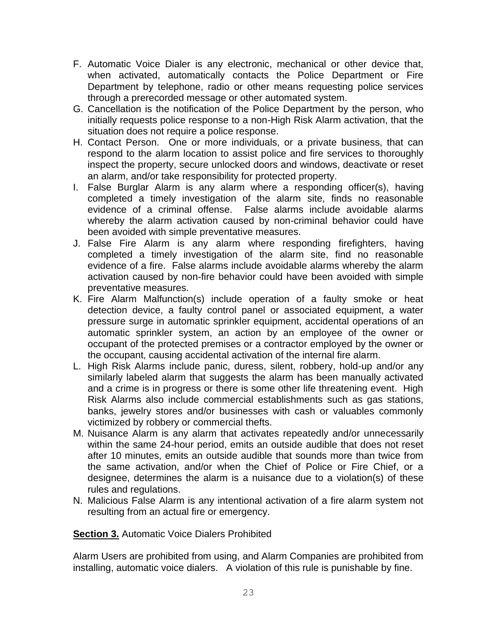- F. Automatic Voice Dialer is any electronic, mechanical or other device that, when activated, automatically contacts the Police Department or Fire Department by telephone, radio or other means requesting police services through a prerecorded message or other automated system.
- G. Cancellation is the notification of the Police Department by the person, who initially requests police response to a non-High Risk Alarm activation, that the situation does not require a police response.
- H. Contact Person. One or more individuals, or a private business, that can respond to the alarm location to assist police and fire services to thoroughly inspect the property, secure unlocked doors and windows, deactivate or reset an alarm, and/or take responsibility for protected property.
- I. False Burglar Alarm is any alarm where a responding officer(s), having completed a timely investigation of the alarm site, finds no reasonable evidence of a criminal offense. False alarms include avoidable alarms whereby the alarm activation caused by non-criminal behavior could have been avoided with simple preventative measures.
- J. False Fire Alarm is any alarm where responding firefighters, having completed a timely investigation of the alarm site, find no reasonable evidence of a fire. False alarms include avoidable alarms whereby the alarm activation caused by non-fire behavior could have been avoided with simple preventative measures.
- K. Fire Alarm Malfunction(s) include operation of a faulty smoke or heat detection device, a faulty control panel or associated equipment, a water pressure surge in automatic sprinkler equipment, accidental operations of an automatic sprinkler system, an action by an employee of the owner or occupant of the protected premises or a contractor employed by the owner or the occupant, causing accidental activation of the internal fire alarm.
- L. High Risk Alarms include panic, duress, silent, robbery, hold-up and/or any similarly labeled alarm that suggests the alarm has been manually activated and a crime is in progress or there is some other life threatening event. High Risk Alarms also include commercial establishments such as gas stations, banks, jewelry stores and/or businesses with cash or valuables commonly victimized by robbery or commercial thefts.
- M. Nuisance Alarm is any alarm that activates repeatedly and/or unnecessarily within the same 24-hour period, emits an outside audible that does not reset after 10 minutes, emits an outside audible that sounds more than twice from the same activation, and/or when the Chief of Police or Fire Chief, or a designee, determines the alarm is a nuisance due to a violation(s) of these rules and regulations.
- N. Malicious False Alarm is any intentional activation of a fire alarm system not resulting from an actual fire or emergency.

**Section 3.** Automatic Voice Dialers Prohibited

Alarm Users are prohibited from using, and Alarm Companies are prohibited from installing, automatic voice dialers. A violation of this rule is punishable by fine.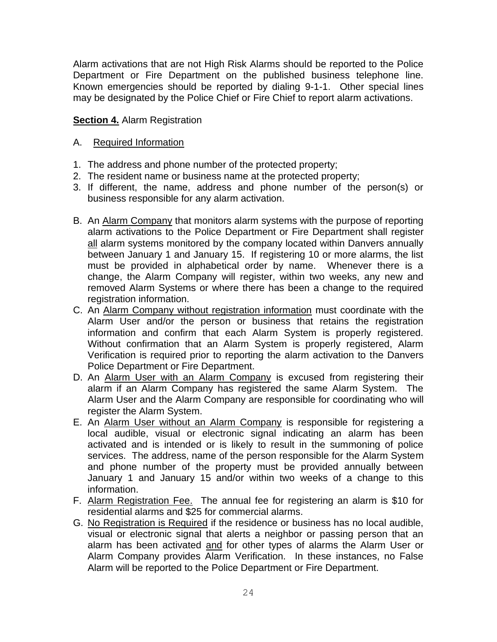Alarm activations that are not High Risk Alarms should be reported to the Police Department or Fire Department on the published business telephone line. Known emergencies should be reported by dialing 9-1-1. Other special lines may be designated by the Police Chief or Fire Chief to report alarm activations.

## **Section 4. Alarm Registration**

#### A. Required Information

- 1. The address and phone number of the protected property;
- 2. The resident name or business name at the protected property;
- 3. If different, the name, address and phone number of the person(s) or business responsible for any alarm activation.
- B. An Alarm Company that monitors alarm systems with the purpose of reporting alarm activations to the Police Department or Fire Department shall register all alarm systems monitored by the company located within Danvers annually between January 1 and January 15. If registering 10 or more alarms, the list must be provided in alphabetical order by name. Whenever there is a change, the Alarm Company will register, within two weeks, any new and removed Alarm Systems or where there has been a change to the required registration information.
- C. An Alarm Company without registration information must coordinate with the Alarm User and/or the person or business that retains the registration information and confirm that each Alarm System is properly registered. Without confirmation that an Alarm System is properly registered, Alarm Verification is required prior to reporting the alarm activation to the Danvers Police Department or Fire Department.
- D. An Alarm User with an Alarm Company is excused from registering their alarm if an Alarm Company has registered the same Alarm System. The Alarm User and the Alarm Company are responsible for coordinating who will register the Alarm System.
- E. An Alarm User without an Alarm Company is responsible for registering a local audible, visual or electronic signal indicating an alarm has been activated and is intended or is likely to result in the summoning of police services. The address, name of the person responsible for the Alarm System and phone number of the property must be provided annually between January 1 and January 15 and/or within two weeks of a change to this information.
- F. Alarm Registration Fee. The annual fee for registering an alarm is \$10 for residential alarms and \$25 for commercial alarms.
- G. No Registration is Required if the residence or business has no local audible, visual or electronic signal that alerts a neighbor or passing person that an alarm has been activated and for other types of alarms the Alarm User or Alarm Company provides Alarm Verification. In these instances, no False Alarm will be reported to the Police Department or Fire Department.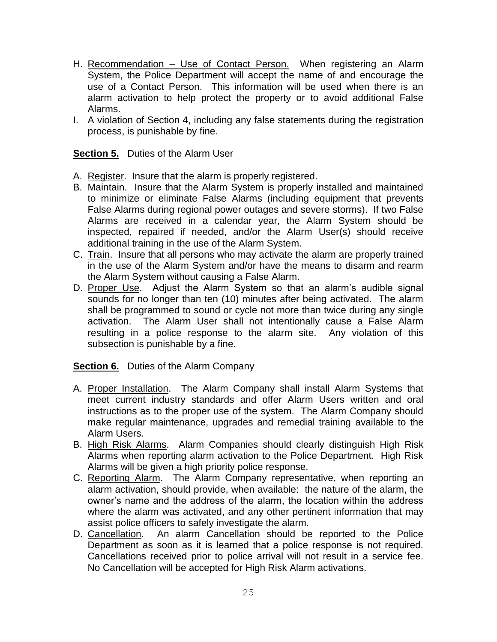- H. Recommendation Use of Contact Person. When registering an Alarm System, the Police Department will accept the name of and encourage the use of a Contact Person. This information will be used when there is an alarm activation to help protect the property or to avoid additional False Alarms.
- I. A violation of Section 4, including any false statements during the registration process, is punishable by fine.

**Section 5.** Duties of the Alarm User

- A. Register. Insure that the alarm is properly registered.
- B. Maintain. Insure that the Alarm System is properly installed and maintained to minimize or eliminate False Alarms (including equipment that prevents False Alarms during regional power outages and severe storms). If two False Alarms are received in a calendar year, the Alarm System should be inspected, repaired if needed, and/or the Alarm User(s) should receive additional training in the use of the Alarm System.
- C. Train. Insure that all persons who may activate the alarm are properly trained in the use of the Alarm System and/or have the means to disarm and rearm the Alarm System without causing a False Alarm.
- D. Proper Use. Adjust the Alarm System so that an alarm's audible signal sounds for no longer than ten (10) minutes after being activated. The alarm shall be programmed to sound or cycle not more than twice during any single activation. The Alarm User shall not intentionally cause a False Alarm resulting in a police response to the alarm site. Any violation of this subsection is punishable by a fine.

#### **Section 6.** Duties of the Alarm Company

- A. Proper Installation. The Alarm Company shall install Alarm Systems that meet current industry standards and offer Alarm Users written and oral instructions as to the proper use of the system. The Alarm Company should make regular maintenance, upgrades and remedial training available to the Alarm Users.
- B. High Risk Alarms. Alarm Companies should clearly distinguish High Risk Alarms when reporting alarm activation to the Police Department. High Risk Alarms will be given a high priority police response.
- C. Reporting Alarm. The Alarm Company representative, when reporting an alarm activation, should provide, when available: the nature of the alarm, the owner's name and the address of the alarm, the location within the address where the alarm was activated, and any other pertinent information that may assist police officers to safely investigate the alarm.
- D. Cancellation. An alarm Cancellation should be reported to the Police Department as soon as it is learned that a police response is not required. Cancellations received prior to police arrival will not result in a service fee. No Cancellation will be accepted for High Risk Alarm activations.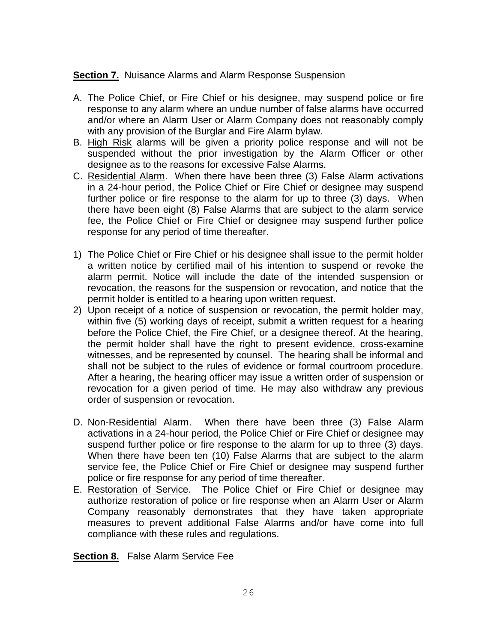#### **Section 7.** Nuisance Alarms and Alarm Response Suspension

- A. The Police Chief, or Fire Chief or his designee, may suspend police or fire response to any alarm where an undue number of false alarms have occurred and/or where an Alarm User or Alarm Company does not reasonably comply with any provision of the Burglar and Fire Alarm bylaw.
- B. High Risk alarms will be given a priority police response and will not be suspended without the prior investigation by the Alarm Officer or other designee as to the reasons for excessive False Alarms.
- C. Residential Alarm. When there have been three (3) False Alarm activations in a 24-hour period, the Police Chief or Fire Chief or designee may suspend further police or fire response to the alarm for up to three (3) days. When there have been eight (8) False Alarms that are subject to the alarm service fee, the Police Chief or Fire Chief or designee may suspend further police response for any period of time thereafter.
- 1) The Police Chief or Fire Chief or his designee shall issue to the permit holder a written notice by certified mail of his intention to suspend or revoke the alarm permit. Notice will include the date of the intended suspension or revocation, the reasons for the suspension or revocation, and notice that the permit holder is entitled to a hearing upon written request.
- 2) Upon receipt of a notice of suspension or revocation, the permit holder may, within five (5) working days of receipt, submit a written request for a hearing before the Police Chief, the Fire Chief, or a designee thereof. At the hearing, the permit holder shall have the right to present evidence, cross-examine witnesses, and be represented by counsel. The hearing shall be informal and shall not be subject to the rules of evidence or formal courtroom procedure. After a hearing, the hearing officer may issue a written order of suspension or revocation for a given period of time. He may also withdraw any previous order of suspension or revocation.
- D. Non-Residential Alarm. When there have been three (3) False Alarm activations in a 24-hour period, the Police Chief or Fire Chief or designee may suspend further police or fire response to the alarm for up to three (3) days. When there have been ten (10) False Alarms that are subject to the alarm service fee, the Police Chief or Fire Chief or designee may suspend further police or fire response for any period of time thereafter.
- E. Restoration of Service. The Police Chief or Fire Chief or designee may authorize restoration of police or fire response when an Alarm User or Alarm Company reasonably demonstrates that they have taken appropriate measures to prevent additional False Alarms and/or have come into full compliance with these rules and regulations.

**Section 8.** False Alarm Service Fee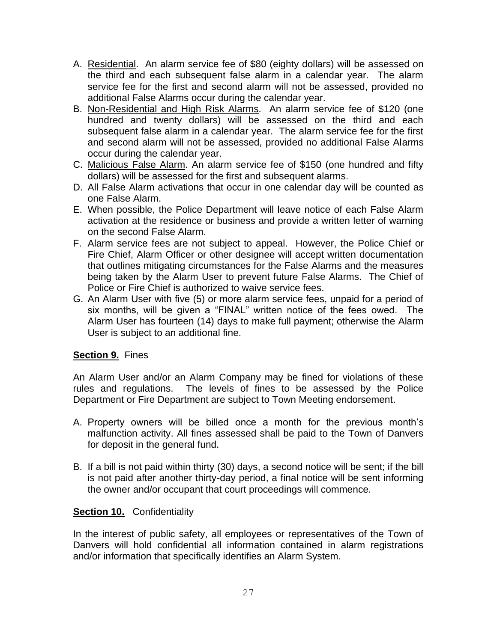- A. Residential. An alarm service fee of \$80 (eighty dollars) will be assessed on the third and each subsequent false alarm in a calendar year. The alarm service fee for the first and second alarm will not be assessed, provided no additional False Alarms occur during the calendar year.
- B. Non-Residential and High Risk Alarms. An alarm service fee of \$120 (one hundred and twenty dollars) will be assessed on the third and each subsequent false alarm in a calendar year. The alarm service fee for the first and second alarm will not be assessed, provided no additional False Alarms occur during the calendar year.
- C. Malicious False Alarm. An alarm service fee of \$150 (one hundred and fifty dollars) will be assessed for the first and subsequent alarms.
- D. All False Alarm activations that occur in one calendar day will be counted as one False Alarm.
- E. When possible, the Police Department will leave notice of each False Alarm activation at the residence or business and provide a written letter of warning on the second False Alarm.
- F. Alarm service fees are not subject to appeal. However, the Police Chief or Fire Chief, Alarm Officer or other designee will accept written documentation that outlines mitigating circumstances for the False Alarms and the measures being taken by the Alarm User to prevent future False Alarms. The Chief of Police or Fire Chief is authorized to waive service fees.
- G. An Alarm User with five (5) or more alarm service fees, unpaid for a period of six months, will be given a "FINAL" written notice of the fees owed. The Alarm User has fourteen (14) days to make full payment; otherwise the Alarm User is subject to an additional fine.

# **Section 9.** Fines

An Alarm User and/or an Alarm Company may be fined for violations of these rules and regulations. The levels of fines to be assessed by the Police Department or Fire Department are subject to Town Meeting endorsement.

- A. Property owners will be billed once a month for the previous month's malfunction activity. All fines assessed shall be paid to the Town of Danvers for deposit in the general fund.
- B. If a bill is not paid within thirty (30) days, a second notice will be sent; if the bill is not paid after another thirty-day period, a final notice will be sent informing the owner and/or occupant that court proceedings will commence.

#### **Section 10.** Confidentiality

In the interest of public safety, all employees or representatives of the Town of Danvers will hold confidential all information contained in alarm registrations and/or information that specifically identifies an Alarm System.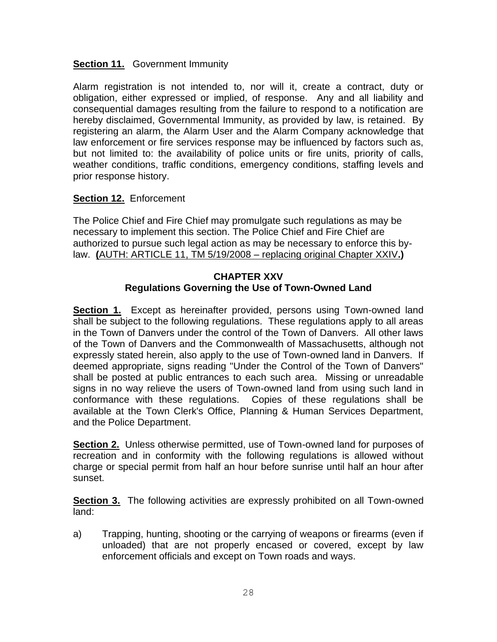#### **Section 11.** Government Immunity

Alarm registration is not intended to, nor will it, create a contract, duty or obligation, either expressed or implied, of response. Any and all liability and consequential damages resulting from the failure to respond to a notification are hereby disclaimed, Governmental Immunity, as provided by law, is retained. By registering an alarm, the Alarm User and the Alarm Company acknowledge that law enforcement or fire services response may be influenced by factors such as, but not limited to: the availability of police units or fire units, priority of calls, weather conditions, traffic conditions, emergency conditions, staffing levels and prior response history.

#### **Section 12.** Enforcement

The Police Chief and Fire Chief may promulgate such regulations as may be necessary to implement this section. The Police Chief and Fire Chief are authorized to pursue such legal action as may be necessary to enforce this bylaw. **(**AUTH: ARTICLE 11, TM 5/19/2008 – replacing original Chapter XXIV**.)**

#### **CHAPTER XXV Regulations Governing the Use of Town-Owned Land**

**Section 1.** Except as hereinafter provided, persons using Town-owned land shall be subject to the following regulations. These regulations apply to all areas in the Town of Danvers under the control of the Town of Danvers. All other laws of the Town of Danvers and the Commonwealth of Massachusetts, although not expressly stated herein, also apply to the use of Town-owned land in Danvers. If deemed appropriate, signs reading "Under the Control of the Town of Danvers" shall be posted at public entrances to each such area. Missing or unreadable signs in no way relieve the users of Town-owned land from using such land in conformance with these regulations. Copies of these regulations shall be available at the Town Clerk's Office, Planning & Human Services Department, and the Police Department.

**Section 2.** Unless otherwise permitted, use of Town-owned land for purposes of recreation and in conformity with the following regulations is allowed without charge or special permit from half an hour before sunrise until half an hour after sunset.

**Section 3.** The following activities are expressly prohibited on all Town-owned land:

a) Trapping, hunting, shooting or the carrying of weapons or firearms (even if unloaded) that are not properly encased or covered, except by law enforcement officials and except on Town roads and ways.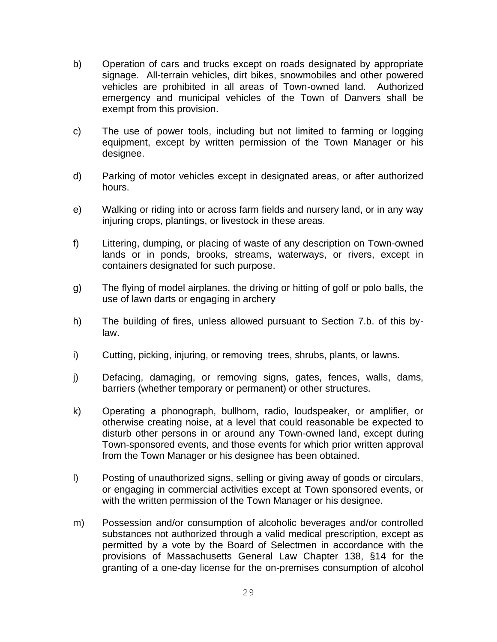- b) Operation of cars and trucks except on roads designated by appropriate signage. All-terrain vehicles, dirt bikes, snowmobiles and other powered vehicles are prohibited in all areas of Town-owned land. Authorized emergency and municipal vehicles of the Town of Danvers shall be exempt from this provision.
- c) The use of power tools, including but not limited to farming or logging equipment, except by written permission of the Town Manager or his designee.
- d) Parking of motor vehicles except in designated areas, or after authorized hours.
- e) Walking or riding into or across farm fields and nursery land, or in any way injuring crops, plantings, or livestock in these areas.
- f) Littering, dumping, or placing of waste of any description on Town-owned lands or in ponds, brooks, streams, waterways, or rivers, except in containers designated for such purpose.
- g) The flying of model airplanes, the driving or hitting of golf or polo balls, the use of lawn darts or engaging in archery
- h) The building of fires, unless allowed pursuant to Section 7.b. of this bylaw.
- i) Cutting, picking, injuring, or removing trees, shrubs, plants, or lawns.
- j) Defacing, damaging, or removing signs, gates, fences, walls, dams, barriers (whether temporary or permanent) or other structures.
- k) Operating a phonograph, bullhorn, radio, loudspeaker, or amplifier, or otherwise creating noise, at a level that could reasonable be expected to disturb other persons in or around any Town-owned land, except during Town-sponsored events, and those events for which prior written approval from the Town Manager or his designee has been obtained.
- l) Posting of unauthorized signs, selling or giving away of goods or circulars, or engaging in commercial activities except at Town sponsored events, or with the written permission of the Town Manager or his designee.
- m) Possession and/or consumption of alcoholic beverages and/or controlled substances not authorized through a valid medical prescription, except as permitted by a vote by the Board of Selectmen in accordance with the provisions of Massachusetts General Law Chapter 138, §14 for the granting of a one-day license for the on-premises consumption of alcohol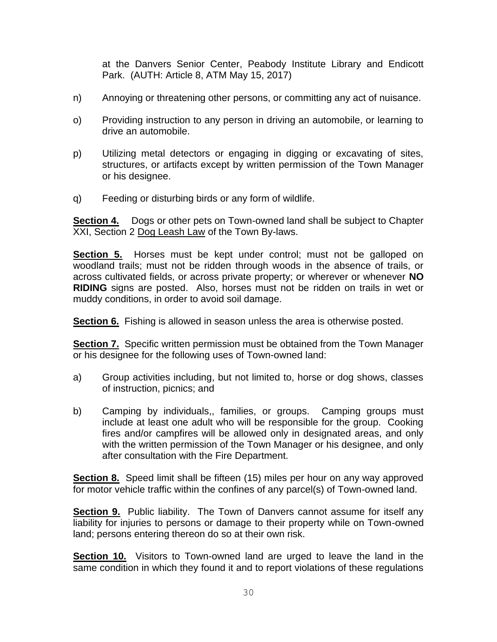at the Danvers Senior Center, Peabody Institute Library and Endicott Park. (AUTH: Article 8, ATM May 15, 2017)

- n) Annoying or threatening other persons, or committing any act of nuisance.
- o) Providing instruction to any person in driving an automobile, or learning to drive an automobile.
- p) Utilizing metal detectors or engaging in digging or excavating of sites, structures, or artifacts except by written permission of the Town Manager or his designee.
- q) Feeding or disturbing birds or any form of wildlife.

**Section 4.** Dogs or other pets on Town-owned land shall be subject to Chapter XXI, Section 2 Dog Leash Law of the Town By-laws.

**Section 5.** Horses must be kept under control; must not be galloped on woodland trails; must not be ridden through woods in the absence of trails, or across cultivated fields, or across private property; or wherever or whenever **NO RIDING** signs are posted. Also, horses must not be ridden on trails in wet or muddy conditions, in order to avoid soil damage.

**Section 6.** Fishing is allowed in season unless the area is otherwise posted.

**Section 7.** Specific written permission must be obtained from the Town Manager or his designee for the following uses of Town-owned land:

- a) Group activities including, but not limited to, horse or dog shows, classes of instruction, picnics; and
- b) Camping by individuals,, families, or groups. Camping groups must include at least one adult who will be responsible for the group. Cooking fires and/or campfires will be allowed only in designated areas, and only with the written permission of the Town Manager or his designee, and only after consultation with the Fire Department.

**Section 8.** Speed limit shall be fifteen (15) miles per hour on any way approved for motor vehicle traffic within the confines of any parcel(s) of Town-owned land.

**Section 9.** Public liability. The Town of Danvers cannot assume for itself any liability for injuries to persons or damage to their property while on Town-owned land; persons entering thereon do so at their own risk.

**Section 10.** Visitors to Town-owned land are urged to leave the land in the same condition in which they found it and to report violations of these regulations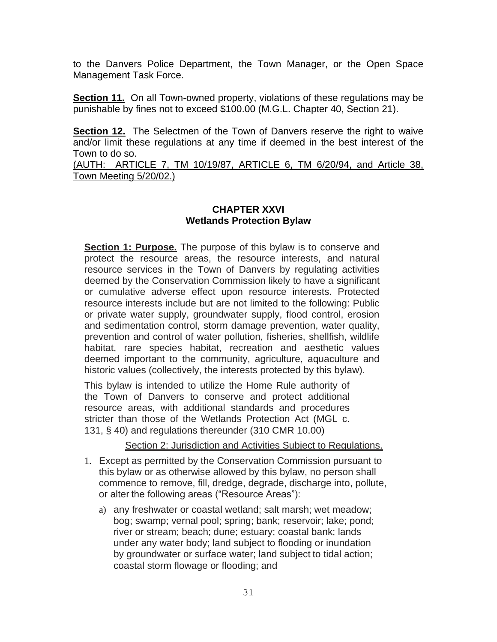to the Danvers Police Department, the Town Manager, or the Open Space Management Task Force.

**Section 11.** On all Town-owned property, violations of these regulations may be punishable by fines not to exceed \$100.00 (M.G.L. Chapter 40, Section 21).

**Section 12.** The Selectmen of the Town of Danvers reserve the right to waive and/or limit these regulations at any time if deemed in the best interest of the Town to do so.

(AUTH: ARTICLE 7, TM 10/19/87, ARTICLE 6, TM 6/20/94, and Article 38, Town Meeting 5/20/02.)

# **CHAPTER XXVI Wetlands Protection Bylaw**

**Section 1: Purpose.** The purpose of this bylaw is to conserve and protect the resource areas, the resource interests, and natural resource services in the Town of Danvers by regulating activities deemed by the Conservation Commission likely to have a significant or cumulative adverse effect upon resource interests. Protected resource interests include but are not limited to the following: Public or private water supply, groundwater supply, flood control, erosion and sedimentation control, storm damage prevention, water quality, prevention and control of water pollution, fisheries, shellfish, wildlife habitat, rare species habitat, recreation and aesthetic values deemed important to the community, agriculture, aquaculture and historic values (collectively, the interests protected by this bylaw).

This bylaw is intended to utilize the Home Rule authority of the Town of Danvers to conserve and protect additional resource areas, with additional standards and procedures stricter than those of the Wetlands Protection Act (MGL c. 131, § 40) and regulations thereunder (310 CMR 10.00)

Section 2: Jurisdiction and Activities Subject to Regulations.

- 1. Except as permitted by the Conservation Commission pursuant to this bylaw or as otherwise allowed by this bylaw, no person shall commence to remove, fill, dredge, degrade, discharge into, pollute, or alter the following areas ("Resource Areas"):
	- a) any freshwater or coastal wetland; salt marsh; wet meadow; bog; swamp; vernal pool; spring; bank; reservoir; lake; pond; river or stream; beach; dune; estuary; coastal bank; lands under any water body; land subject to flooding or inundation by groundwater or surface water; land subject to tidal action; coastal storm flowage or flooding; and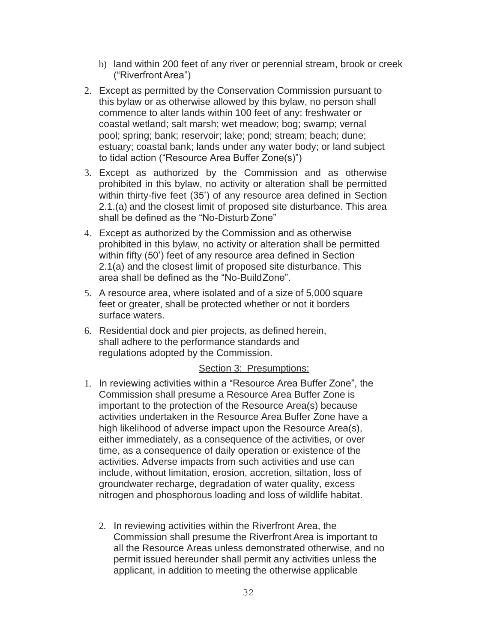- b) land within 200 feet of any river or perennial stream, brook or creek ("RiverfrontArea")
- 2. Except as permitted by the Conservation Commission pursuant to this bylaw or as otherwise allowed by this bylaw, no person shall commence to alter lands within 100 feet of any: freshwater or coastal wetland; salt marsh; wet meadow; bog; swamp; vernal pool; spring; bank; reservoir; lake; pond; stream; beach; dune; estuary; coastal bank; lands under any water body; or land subject to tidal action ("Resource Area Buffer Zone(s)")
- 3. Except as authorized by the Commission and as otherwise prohibited in this bylaw, no activity or alteration shall be permitted within thirty-five feet (35') of any resource area defined in Section 2.1.(a) and the closest limit of proposed site disturbance. This area shall be defined as the "No-Disturb Zone"
- 4. Except as authorized by the Commission and as otherwise prohibited in this bylaw, no activity or alteration shall be permitted within fifty (50') feet of any resource area defined in Section 2.1(a) and the closest limit of proposed site disturbance. This area shall be defined as the "No-BuildZone".
- 5. A resource area, where isolated and of a size of 5,000 square feet or greater, shall be protected whether or not it borders surface waters.
- 6. Residential dock and pier projects, as defined herein, shall adhere to the performance standards and regulations adopted by the Commission.

#### Section 3: Presumptions:

- 1. In reviewing activities within a "Resource Area Buffer Zone", the Commission shall presume a Resource Area Buffer Zone is important to the protection of the Resource Area(s) because activities undertaken in the Resource Area Buffer Zone have a high likelihood of adverse impact upon the Resource Area(s), either immediately, as a consequence of the activities, or over time, as a consequence of daily operation or existence of the activities. Adverse impacts from such activities and use can include, without limitation, erosion, accretion, siltation, loss of groundwater recharge, degradation of water quality, excess nitrogen and phosphorous loading and loss of wildlife habitat.
	- 2. In reviewing activities within the Riverfront Area, the Commission shall presume the Riverfront Area is important to all the Resource Areas unless demonstrated otherwise, and no permit issued hereunder shall permit any activities unless the applicant, in addition to meeting the otherwise applicable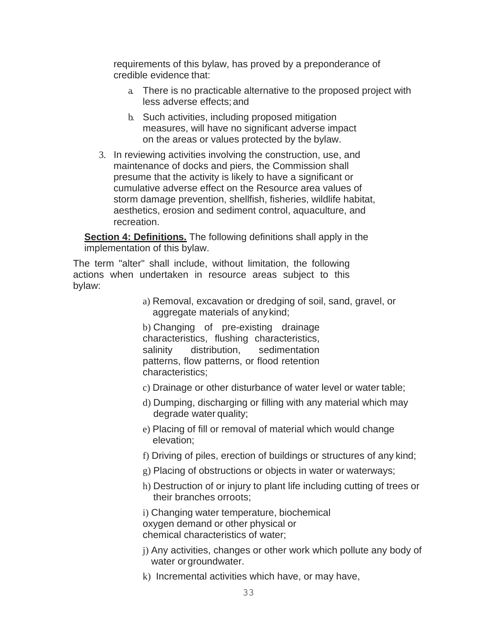requirements of this bylaw, has proved by a preponderance of credible evidence that:

- a. There is no practicable alternative to the proposed project with less adverse effects;and
- b. Such activities, including proposed mitigation measures, will have no significant adverse impact on the areas or values protected by the bylaw.
- 3. In reviewing activities involving the construction, use, and maintenance of docks and piers, the Commission shall presume that the activity is likely to have a significant or cumulative adverse effect on the Resource area values of storm damage prevention, shellfish, fisheries, wildlife habitat, aesthetics, erosion and sediment control, aquaculture, and recreation.

**Section 4: Definitions.** The following definitions shall apply in the implementation of this bylaw.

The term "alter" shall include, without limitation, the following actions when undertaken in resource areas subject to this bylaw:

> a) Removal, excavation or dredging of soil, sand, gravel, or aggregate materials of anykind;

b) Changing of pre-existing drainage characteristics, flushing characteristics, salinity distribution, sedimentation patterns, flow patterns, or flood retention characteristics;

- c) Drainage or other disturbance of water level or water table;
- d) Dumping, discharging or filling with any material which may degrade water quality;
- e) Placing of fill or removal of material which would change elevation;
- f) Driving of piles, erection of buildings or structures of any kind;
- g) Placing of obstructions or objects in water or waterways;
- h) Destruction of or injury to plant life including cutting of trees or their branches orroots;

i) Changing water temperature, biochemical oxygen demand or other physical or chemical characteristics of water;

- j) Any activities, changes or other work which pollute any body of water or groundwater.
- k) Incremental activities which have, or may have,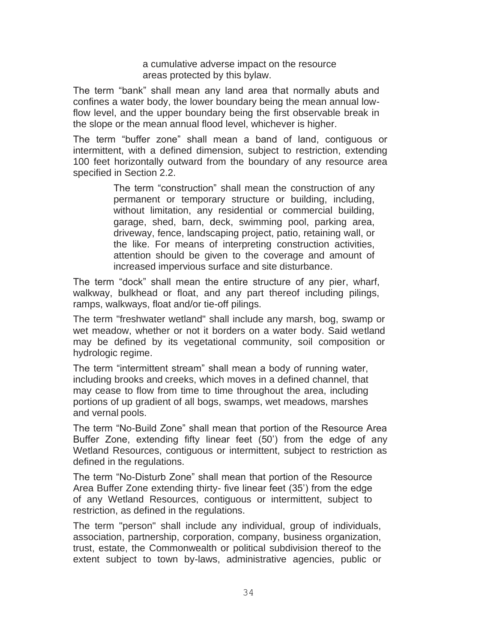a cumulative adverse impact on the resource areas protected by this bylaw.

The term "bank" shall mean any land area that normally abuts and confines a water body, the lower boundary being the mean annual lowflow level, and the upper boundary being the first observable break in the slope or the mean annual flood level, whichever is higher.

The term "buffer zone" shall mean a band of land, contiguous or intermittent, with a defined dimension, subject to restriction, extending 100 feet horizontally outward from the boundary of any resource area specified in Section 2.2.

> The term "construction" shall mean the construction of any permanent or temporary structure or building, including, without limitation, any residential or commercial building, garage, shed, barn, deck, swimming pool, parking area, driveway, fence, landscaping project, patio, retaining wall, or the like. For means of interpreting construction activities, attention should be given to the coverage and amount of increased impervious surface and site disturbance.

The term "dock" shall mean the entire structure of any pier, wharf, walkway, bulkhead or float, and any part thereof including pilings, ramps, walkways, float and/or tie-off pilings.

The term "freshwater wetland" shall include any marsh, bog, swamp or wet meadow, whether or not it borders on a water body. Said wetland may be defined by its vegetational community, soil composition or hydrologic regime.

The term "intermittent stream" shall mean a body of running water, including brooks and creeks, which moves in a defined channel, that may cease to flow from time to time throughout the area, including portions of up gradient of all bogs, swamps, wet meadows, marshes and vernal pools.

The term "No-Build Zone" shall mean that portion of the Resource Area Buffer Zone, extending fifty linear feet (50') from the edge of any Wetland Resources, contiguous or intermittent, subject to restriction as defined in the regulations.

The term "No-Disturb Zone" shall mean that portion of the Resource Area Buffer Zone extending thirty- five linear feet (35') from the edge of any Wetland Resources, contiguous or intermittent, subject to restriction, as defined in the regulations.

The term "person" shall include any individual, group of individuals, association, partnership, corporation, company, business organization, trust, estate, the Commonwealth or political subdivision thereof to the extent subject to town by-laws, administrative agencies, public or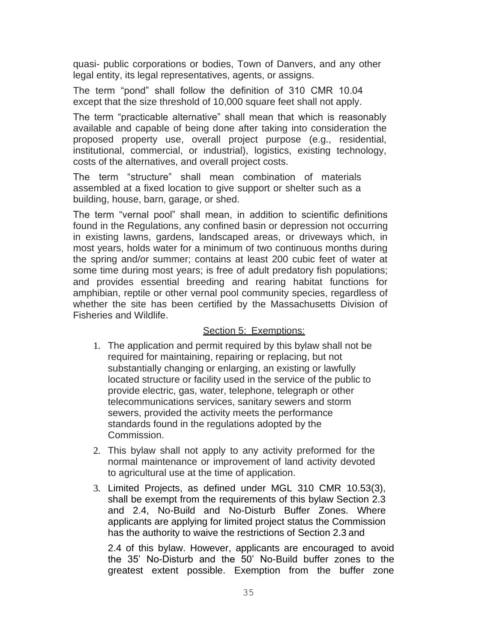quasi- public corporations or bodies, Town of Danvers, and any other legal entity, its legal representatives, agents, or assigns.

The term "pond" shall follow the definition of 310 CMR 10.04 except that the size threshold of 10,000 square feet shall not apply.

The term "practicable alternative" shall mean that which is reasonably available and capable of being done after taking into consideration the proposed property use, overall project purpose (e.g., residential, institutional, commercial, or industrial), logistics, existing technology, costs of the alternatives, and overall project costs.

The term "structure" shall mean combination of materials assembled at a fixed location to give support or shelter such as a building, house, barn, garage, or shed.

The term "vernal pool" shall mean, in addition to scientific definitions found in the Regulations, any confined basin or depression not occurring in existing lawns, gardens, landscaped areas, or driveways which, in most years, holds water for a minimum of two continuous months during the spring and/or summer; contains at least 200 cubic feet of water at some time during most years; is free of adult predatory fish populations; and provides essential breeding and rearing habitat functions for amphibian, reptile or other vernal pool community species, regardless of whether the site has been certified by the Massachusetts Division of Fisheries and Wildlife.

#### Section 5: Exemptions:

- 1. The application and permit required by this bylaw shall not be required for maintaining, repairing or replacing, but not substantially changing or enlarging, an existing or lawfully located structure or facility used in the service of the public to provide electric, gas, water, telephone, telegraph or other telecommunications services, sanitary sewers and storm sewers, provided the activity meets the performance standards found in the regulations adopted by the Commission.
- 2. This bylaw shall not apply to any activity preformed for the normal maintenance or improvement of land activity devoted to agricultural use at the time of application.
- 3. Limited Projects, as defined under MGL 310 CMR 10.53(3), shall be exempt from the requirements of this bylaw Section 2.3 and 2.4, No-Build and No-Disturb Buffer Zones. Where applicants are applying for limited project status the Commission has the authority to waive the restrictions of Section 2.3 and

2.4 of this bylaw. However, applicants are encouraged to avoid the 35' No-Disturb and the 50' No-Build buffer zones to the greatest extent possible. Exemption from the buffer zone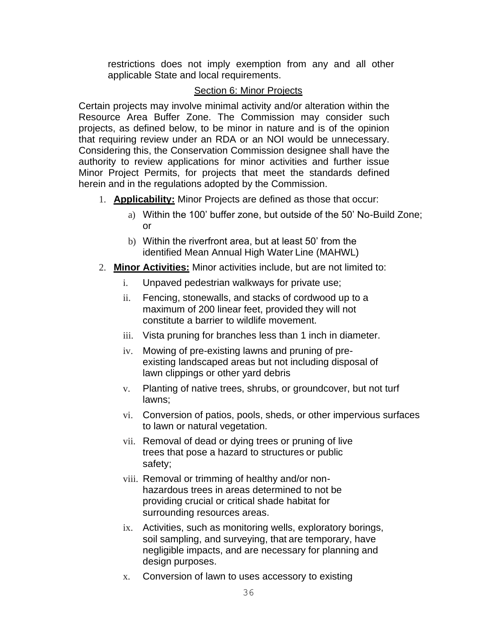restrictions does not imply exemption from any and all other applicable State and local requirements.

## Section 6: Minor Projects

Certain projects may involve minimal activity and/or alteration within the Resource Area Buffer Zone. The Commission may consider such projects, as defined below, to be minor in nature and is of the opinion that requiring review under an RDA or an NOI would be unnecessary. Considering this, the Conservation Commission designee shall have the authority to review applications for minor activities and further issue Minor Project Permits, for projects that meet the standards defined herein and in the regulations adopted by the Commission.

- 1. **Applicability:** Minor Projects are defined as those that occur:
	- a) Within the 100' buffer zone, but outside of the 50' No-Build Zone; or
	- b) Within the riverfront area, but at least 50' from the identified Mean Annual High Water Line (MAHWL)
- 2. **Minor Activities:** Minor activities include, but are not limited to:
	- i. Unpaved pedestrian walkways for private use;
	- ii. Fencing, stonewalls, and stacks of cordwood up to a maximum of 200 linear feet, provided they will not constitute a barrier to wildlife movement.
	- iii. Vista pruning for branches less than 1 inch in diameter.
	- iv. Mowing of pre-existing lawns and pruning of preexisting landscaped areas but not including disposal of lawn clippings or other yard debris
	- v. Planting of native trees, shrubs, or groundcover, but not turf lawns;
	- vi. Conversion of patios, pools, sheds, or other impervious surfaces to lawn or natural vegetation.
	- vii. Removal of dead or dying trees or pruning of live trees that pose a hazard to structures or public safety;
	- viii. Removal or trimming of healthy and/or nonhazardous trees in areas determined to not be providing crucial or critical shade habitat for surrounding resources areas.
	- ix. Activities, such as monitoring wells, exploratory borings, soil sampling, and surveying, that are temporary, have negligible impacts, and are necessary for planning and design purposes.
	- x. Conversion of lawn to uses accessory to existing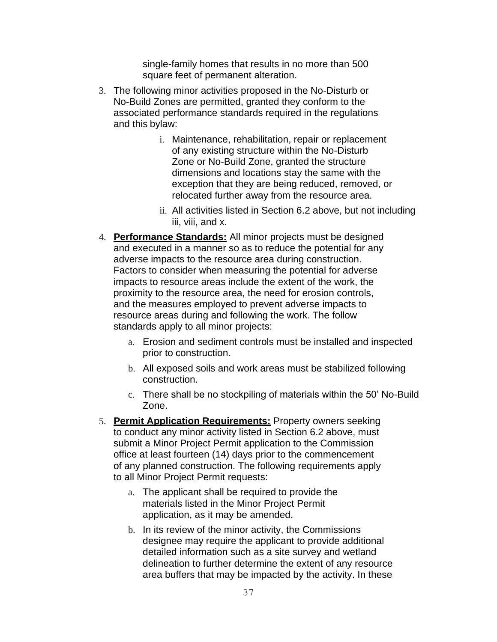single-family homes that results in no more than 500 square feet of permanent alteration.

- 3. The following minor activities proposed in the No-Disturb or No-Build Zones are permitted, granted they conform to the associated performance standards required in the regulations and this bylaw:
	- i. Maintenance, rehabilitation, repair or replacement of any existing structure within the No-Disturb Zone or No-Build Zone, granted the structure dimensions and locations stay the same with the exception that they are being reduced, removed, or relocated further away from the resource area.
	- ii. All activities listed in Section 6.2 above, but not including iii, viii, and x.
- 4. **Performance Standards:** All minor projects must be designed and executed in a manner so as to reduce the potential for any adverse impacts to the resource area during construction. Factors to consider when measuring the potential for adverse impacts to resource areas include the extent of the work, the proximity to the resource area, the need for erosion controls, and the measures employed to prevent adverse impacts to resource areas during and following the work. The follow standards apply to all minor projects:
	- a. Erosion and sediment controls must be installed and inspected prior to construction.
	- b. All exposed soils and work areas must be stabilized following construction.
	- c. There shall be no stockpiling of materials within the 50' No-Build Zone.
- 5. **Permit Application Requirements:** Property owners seeking to conduct any minor activity listed in Section 6.2 above, must submit a Minor Project Permit application to the Commission office at least fourteen (14) days prior to the commencement of any planned construction. The following requirements apply to all Minor Project Permit requests:
	- a. The applicant shall be required to provide the materials listed in the Minor Project Permit application, as it may be amended.
	- b. In its review of the minor activity, the Commissions designee may require the applicant to provide additional detailed information such as a site survey and wetland delineation to further determine the extent of any resource area buffers that may be impacted by the activity. In these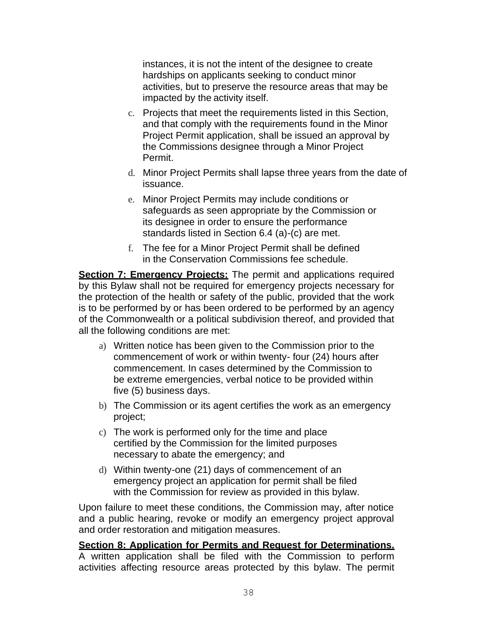instances, it is not the intent of the designee to create hardships on applicants seeking to conduct minor activities, but to preserve the resource areas that may be impacted by the activity itself.

- c. Projects that meet the requirements listed in this Section, and that comply with the requirements found in the Minor Project Permit application, shall be issued an approval by the Commissions designee through a Minor Project Permit.
- d. Minor Project Permits shall lapse three years from the date of issuance.
- e. Minor Project Permits may include conditions or safeguards as seen appropriate by the Commission or its designee in order to ensure the performance standards listed in Section 6.4 (a)-(c) are met.
- f. The fee for a Minor Project Permit shall be defined in the Conservation Commissions fee schedule.

**Section 7: Emergency Projects:** The permit and applications required by this Bylaw shall not be required for emergency projects necessary for the protection of the health or safety of the public, provided that the work is to be performed by or has been ordered to be performed by an agency of the Commonwealth or a political subdivision thereof, and provided that all the following conditions are met:

- a) Written notice has been given to the Commission prior to the commencement of work or within twenty- four (24) hours after commencement. In cases determined by the Commission to be extreme emergencies, verbal notice to be provided within five (5) business days.
- b) The Commission or its agent certifies the work as an emergency project;
- c) The work is performed only for the time and place certified by the Commission for the limited purposes necessary to abate the emergency; and
- d) Within twenty-one (21) days of commencement of an emergency project an application for permit shall be filed with the Commission for review as provided in this bylaw.

Upon failure to meet these conditions, the Commission may, after notice and a public hearing, revoke or modify an emergency project approval and order restoration and mitigation measures.

# **Section 8: Application for Permits and Request for Determinations.**

A written application shall be filed with the Commission to perform activities affecting resource areas protected by this bylaw. The permit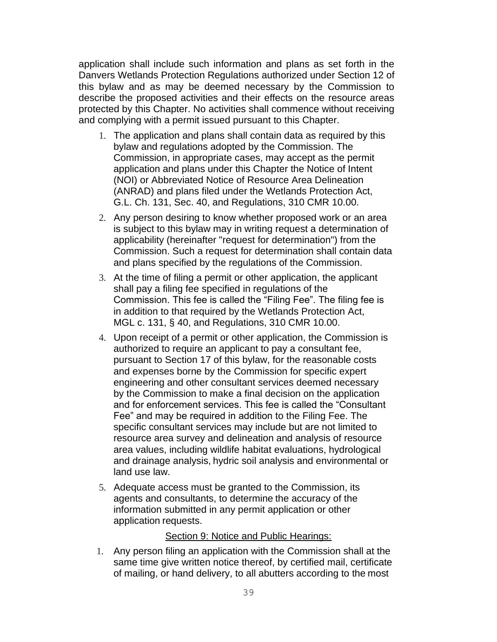application shall include such information and plans as set forth in the Danvers Wetlands Protection Regulations authorized under Section 12 of this bylaw and as may be deemed necessary by the Commission to describe the proposed activities and their effects on the resource areas protected by this Chapter. No activities shall commence without receiving and complying with a permit issued pursuant to this Chapter.

- 1. The application and plans shall contain data as required by this bylaw and regulations adopted by the Commission. The Commission, in appropriate cases, may accept as the permit application and plans under this Chapter the Notice of Intent (NOI) or Abbreviated Notice of Resource Area Delineation (ANRAD) and plans filed under the Wetlands Protection Act, G.L. Ch. 131, Sec. 40, and Regulations, 310 CMR 10.00.
- 2. Any person desiring to know whether proposed work or an area is subject to this bylaw may in writing request a determination of applicability (hereinafter "request for determination") from the Commission. Such a request for determination shall contain data and plans specified by the regulations of the Commission.
- 3. At the time of filing a permit or other application, the applicant shall pay a filing fee specified in regulations of the Commission. This fee is called the "Filing Fee". The filing fee is in addition to that required by the Wetlands Protection Act, MGL c. 131, § 40, and Regulations, 310 CMR 10.00.
- 4. Upon receipt of a permit or other application, the Commission is authorized to require an applicant to pay a consultant fee, pursuant to Section 17 of this bylaw, for the reasonable costs and expenses borne by the Commission for specific expert engineering and other consultant services deemed necessary by the Commission to make a final decision on the application and for enforcement services. This fee is called the "Consultant Fee" and may be required in addition to the Filing Fee. The specific consultant services may include but are not limited to resource area survey and delineation and analysis of resource area values, including wildlife habitat evaluations, hydrological and drainage analysis, hydric soil analysis and environmental or land use law.
- 5. Adequate access must be granted to the Commission, its agents and consultants, to determine the accuracy of the information submitted in any permit application or other application requests.

#### Section 9: Notice and Public Hearings:

1. Any person filing an application with the Commission shall at the same time give written notice thereof, by certified mail, certificate of mailing, or hand delivery, to all abutters according to the most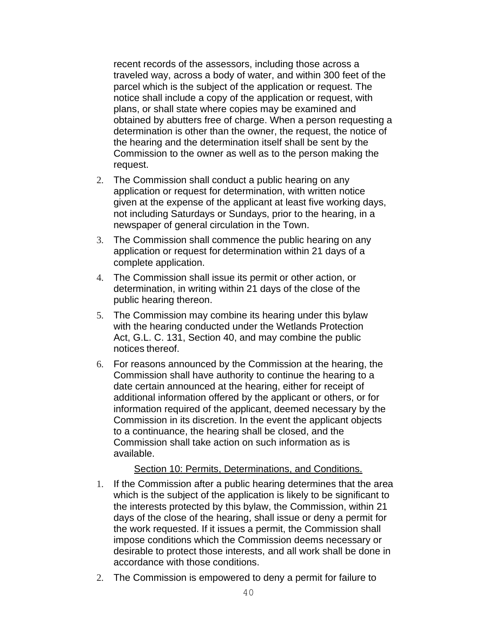recent records of the assessors, including those across a traveled way, across a body of water, and within 300 feet of the parcel which is the subject of the application or request. The notice shall include a copy of the application or request, with plans, or shall state where copies may be examined and obtained by abutters free of charge. When a person requesting a determination is other than the owner, the request, the notice of the hearing and the determination itself shall be sent by the Commission to the owner as well as to the person making the request.

- 2. The Commission shall conduct a public hearing on any application or request for determination, with written notice given at the expense of the applicant at least five working days, not including Saturdays or Sundays, prior to the hearing, in a newspaper of general circulation in the Town.
- 3. The Commission shall commence the public hearing on any application or request for determination within 21 days of a complete application.
- 4. The Commission shall issue its permit or other action, or determination, in writing within 21 days of the close of the public hearing thereon.
- 5. The Commission may combine its hearing under this bylaw with the hearing conducted under the Wetlands Protection Act, G.L. C. 131, Section 40, and may combine the public notices thereof.
- 6. For reasons announced by the Commission at the hearing, the Commission shall have authority to continue the hearing to a date certain announced at the hearing, either for receipt of additional information offered by the applicant or others, or for information required of the applicant, deemed necessary by the Commission in its discretion. In the event the applicant objects to a continuance, the hearing shall be closed, and the Commission shall take action on such information as is available.

#### Section 10: Permits, Determinations, and Conditions.

- 1. If the Commission after a public hearing determines that the area which is the subject of the application is likely to be significant to the interests protected by this bylaw, the Commission, within 21 days of the close of the hearing, shall issue or deny a permit for the work requested. If it issues a permit, the Commission shall impose conditions which the Commission deems necessary or desirable to protect those interests, and all work shall be done in accordance with those conditions.
- 2. The Commission is empowered to deny a permit for failure to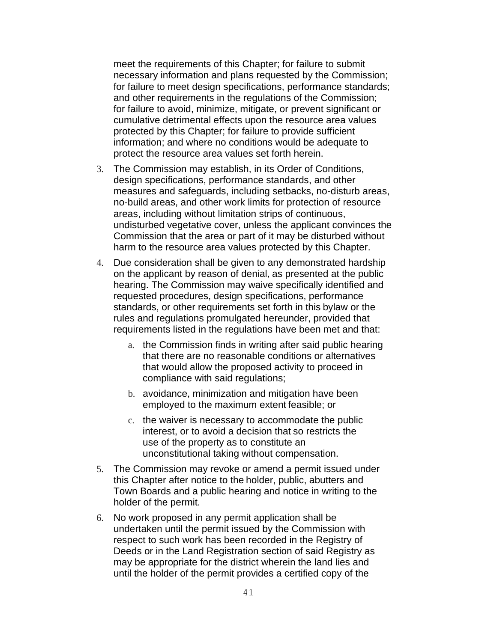meet the requirements of this Chapter; for failure to submit necessary information and plans requested by the Commission; for failure to meet design specifications, performance standards; and other requirements in the regulations of the Commission; for failure to avoid, minimize, mitigate, or prevent significant or cumulative detrimental effects upon the resource area values protected by this Chapter; for failure to provide sufficient information; and where no conditions would be adequate to protect the resource area values set forth herein.

- 3. The Commission may establish, in its Order of Conditions, design specifications, performance standards, and other measures and safeguards, including setbacks, no-disturb areas, no-build areas, and other work limits for protection of resource areas, including without limitation strips of continuous, undisturbed vegetative cover, unless the applicant convinces the Commission that the area or part of it may be disturbed without harm to the resource area values protected by this Chapter.
- 4. Due consideration shall be given to any demonstrated hardship on the applicant by reason of denial, as presented at the public hearing. The Commission may waive specifically identified and requested procedures, design specifications, performance standards, or other requirements set forth in this bylaw or the rules and regulations promulgated hereunder, provided that requirements listed in the regulations have been met and that:
	- a. the Commission finds in writing after said public hearing that there are no reasonable conditions or alternatives that would allow the proposed activity to proceed in compliance with said regulations;
	- b. avoidance, minimization and mitigation have been employed to the maximum extent feasible; or
	- c. the waiver is necessary to accommodate the public interest, or to avoid a decision that so restricts the use of the property as to constitute an unconstitutional taking without compensation.
- 5. The Commission may revoke or amend a permit issued under this Chapter after notice to the holder, public, abutters and Town Boards and a public hearing and notice in writing to the holder of the permit.
- 6. No work proposed in any permit application shall be undertaken until the permit issued by the Commission with respect to such work has been recorded in the Registry of Deeds or in the Land Registration section of said Registry as may be appropriate for the district wherein the land lies and until the holder of the permit provides a certified copy of the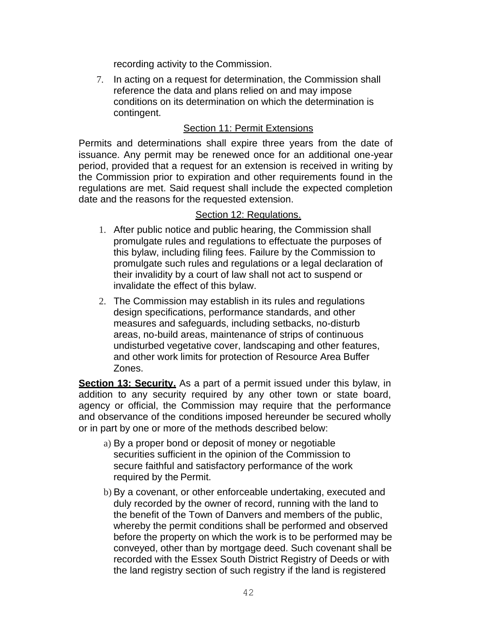recording activity to the Commission.

7. In acting on a request for determination, the Commission shall reference the data and plans relied on and may impose conditions on its determination on which the determination is contingent.

## Section 11: Permit Extensions

Permits and determinations shall expire three years from the date of issuance. Any permit may be renewed once for an additional one-year period, provided that a request for an extension is received in writing by the Commission prior to expiration and other requirements found in the regulations are met. Said request shall include the expected completion date and the reasons for the requested extension.

### Section 12: Regulations.

- 1. After public notice and public hearing, the Commission shall promulgate rules and regulations to effectuate the purposes of this bylaw, including filing fees. Failure by the Commission to promulgate such rules and regulations or a legal declaration of their invalidity by a court of law shall not act to suspend or invalidate the effect of this bylaw.
- 2. The Commission may establish in its rules and regulations design specifications, performance standards, and other measures and safeguards, including setbacks, no-disturb areas, no-build areas, maintenance of strips of continuous undisturbed vegetative cover, landscaping and other features, and other work limits for protection of Resource Area Buffer Zones.

**Section 13: Security.** As a part of a permit issued under this bylaw, in addition to any security required by any other town or state board, agency or official, the Commission may require that the performance and observance of the conditions imposed hereunder be secured wholly or in part by one or more of the methods described below:

- a) By a proper bond or deposit of money or negotiable securities sufficient in the opinion of the Commission to secure faithful and satisfactory performance of the work required by the Permit.
- b) By a covenant, or other enforceable undertaking, executed and duly recorded by the owner of record, running with the land to the benefit of the Town of Danvers and members of the public, whereby the permit conditions shall be performed and observed before the property on which the work is to be performed may be conveyed, other than by mortgage deed. Such covenant shall be recorded with the Essex South District Registry of Deeds or with the land registry section of such registry if the land is registered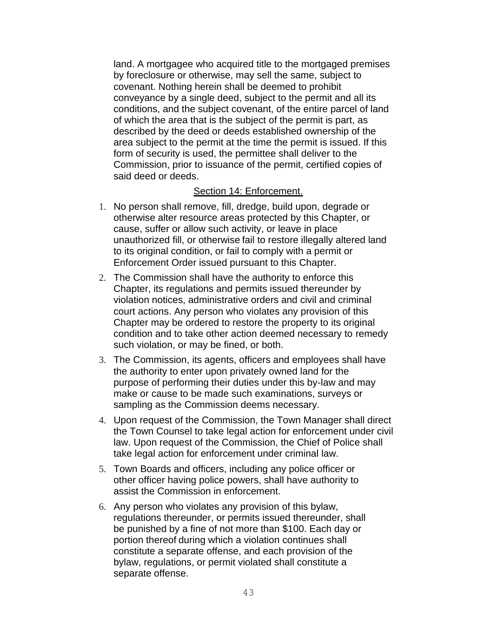land. A mortgagee who acquired title to the mortgaged premises by foreclosure or otherwise, may sell the same, subject to covenant. Nothing herein shall be deemed to prohibit conveyance by a single deed, subject to the permit and all its conditions, and the subject covenant, of the entire parcel of land of which the area that is the subject of the permit is part, as described by the deed or deeds established ownership of the area subject to the permit at the time the permit is issued. If this form of security is used, the permittee shall deliver to the Commission, prior to issuance of the permit, certified copies of said deed or deeds.

#### Section 14: Enforcement.

- 1. No person shall remove, fill, dredge, build upon, degrade or otherwise alter resource areas protected by this Chapter, or cause, suffer or allow such activity, or leave in place unauthorized fill, or otherwise fail to restore illegally altered land to its original condition, or fail to comply with a permit or Enforcement Order issued pursuant to this Chapter.
- 2. The Commission shall have the authority to enforce this Chapter, its regulations and permits issued thereunder by violation notices, administrative orders and civil and criminal court actions. Any person who violates any provision of this Chapter may be ordered to restore the property to its original condition and to take other action deemed necessary to remedy such violation, or may be fined, or both.
- 3. The Commission, its agents, officers and employees shall have the authority to enter upon privately owned land for the purpose of performing their duties under this by-law and may make or cause to be made such examinations, surveys or sampling as the Commission deems necessary.
- 4. Upon request of the Commission, the Town Manager shall direct the Town Counsel to take legal action for enforcement under civil law. Upon request of the Commission, the Chief of Police shall take legal action for enforcement under criminal law.
- 5. Town Boards and officers, including any police officer or other officer having police powers, shall have authority to assist the Commission in enforcement.
- 6. Any person who violates any provision of this bylaw, regulations thereunder, or permits issued thereunder, shall be punished by a fine of not more than \$100. Each day or portion thereof during which a violation continues shall constitute a separate offense, and each provision of the bylaw, regulations, or permit violated shall constitute a separate offense.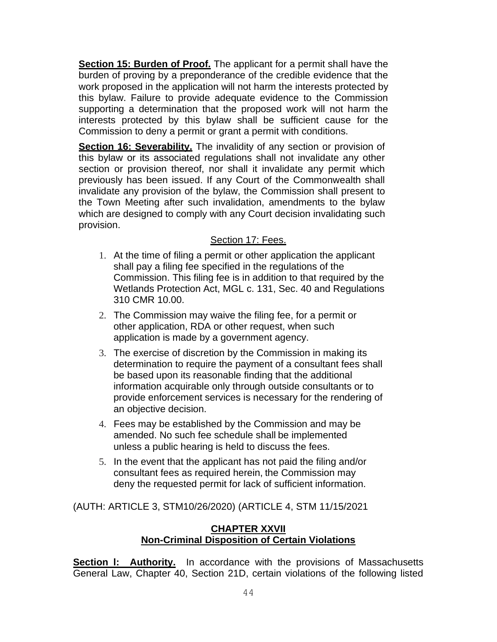**Section 15: Burden of Proof.** The applicant for a permit shall have the burden of proving by a preponderance of the credible evidence that the work proposed in the application will not harm the interests protected by this bylaw. Failure to provide adequate evidence to the Commission supporting a determination that the proposed work will not harm the interests protected by this bylaw shall be sufficient cause for the Commission to deny a permit or grant a permit with conditions.

**Section 16: Severability.** The invalidity of any section or provision of this bylaw or its associated regulations shall not invalidate any other section or provision thereof, nor shall it invalidate any permit which previously has been issued. If any Court of the Commonwealth shall invalidate any provision of the bylaw, the Commission shall present to the Town Meeting after such invalidation, amendments to the bylaw which are designed to comply with any Court decision invalidating such provision.

## Section 17: Fees.

- 1. At the time of filing a permit or other application the applicant shall pay a filing fee specified in the regulations of the Commission. This filing fee is in addition to that required by the Wetlands Protection Act, MGL c. 131, Sec. 40 and Regulations 310 CMR 10.00.
- 2. The Commission may waive the filing fee, for a permit or other application, RDA or other request, when such application is made by a government agency.
- 3. The exercise of discretion by the Commission in making its determination to require the payment of a consultant fees shall be based upon its reasonable finding that the additional information acquirable only through outside consultants or to provide enforcement services is necessary for the rendering of an objective decision.
- 4. Fees may be established by the Commission and may be amended. No such fee schedule shall be implemented unless a public hearing is held to discuss the fees.
- 5. In the event that the applicant has not paid the filing and/or consultant fees as required herein, the Commission may deny the requested permit for lack of sufficient information.

(AUTH: ARTICLE 3, STM10/26/2020) (ARTICLE 4, STM 11/15/2021

## **CHAPTER XXVII Non-Criminal Disposition of Certain Violations**

**Section I: Authority.** In accordance with the provisions of Massachusetts General Law, Chapter 40, Section 21D, certain violations of the following listed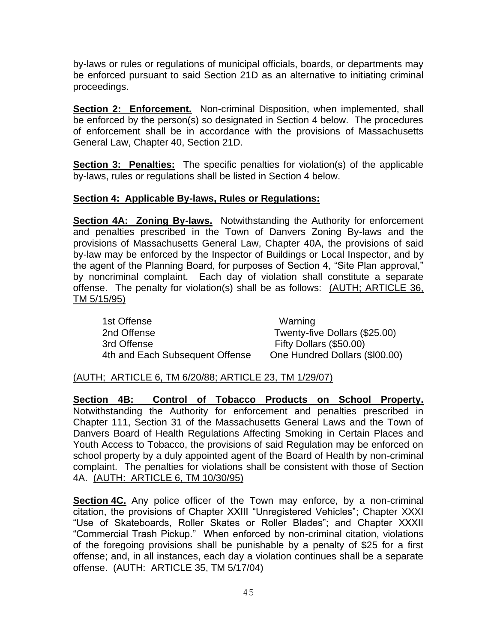by-laws or rules or regulations of municipal officials, boards, or departments may be enforced pursuant to said Section 21D as an alternative to initiating criminal proceedings.

**Section 2: Enforcement.** Non-criminal Disposition, when implemented, shall be enforced by the person(s) so designated in Section 4 below. The procedures of enforcement shall be in accordance with the provisions of Massachusetts General Law, Chapter 40, Section 21D.

**Section 3: Penalties:** The specific penalties for violation(s) of the applicable by-laws, rules or regulations shall be listed in Section 4 below.

### **Section 4: Applicable By-laws, Rules or Regulations:**

**Section 4A: Zoning By-laws.** Notwithstanding the Authority for enforcement and penalties prescribed in the Town of Danvers Zoning By-laws and the provisions of Massachusetts General Law, Chapter 40A, the provisions of said by-law may be enforced by the Inspector of Buildings or Local Inspector, and by the agent of the Planning Board, for purposes of Section 4, "Site Plan approval," by noncriminal complaint. Each day of violation shall constitute a separate offense. The penalty for violation(s) shall be as follows: (AUTH; ARTICLE 36, TM 5/15/95)

1st Offense Warning 2nd Offense Twenty-five Dollars (\$25.00) 3rd Offense Fifty Dollars (\$50.00) 4th and Each Subsequent Offense One Hundred Dollars (\$l00.00)

### (AUTH; ARTICLE 6, TM 6/20/88; ARTICLE 23, TM 1/29/07)

**Section 4B: Control of Tobacco Products on School Property.** Notwithstanding the Authority for enforcement and penalties prescribed in Chapter 111, Section 31 of the Massachusetts General Laws and the Town of Danvers Board of Health Regulations Affecting Smoking in Certain Places and Youth Access to Tobacco, the provisions of said Regulation may be enforced on school property by a duly appointed agent of the Board of Health by non-criminal complaint. The penalties for violations shall be consistent with those of Section 4A. (AUTH: ARTICLE 6, TM 10/30/95)

**Section 4C.** Any police officer of the Town may enforce, by a non-criminal citation, the provisions of Chapter XXIII "Unregistered Vehicles"; Chapter XXXI "Use of Skateboards, Roller Skates or Roller Blades"; and Chapter XXXII "Commercial Trash Pickup." When enforced by non-criminal citation, violations of the foregoing provisions shall be punishable by a penalty of \$25 for a first offense; and, in all instances, each day a violation continues shall be a separate offense. (AUTH: ARTICLE 35, TM 5/17/04)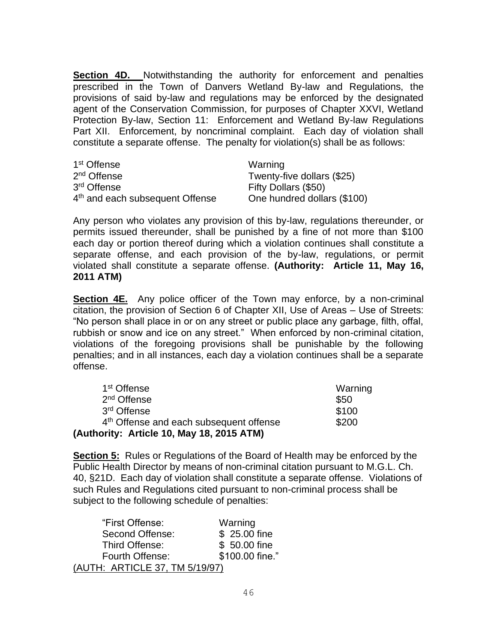**Section 4D.** Notwithstanding the authority for enforcement and penalties prescribed in the Town of Danvers Wetland By-law and Regulations, the provisions of said by-law and regulations may be enforced by the designated agent of the Conservation Commission, for purposes of Chapter XXVI, Wetland Protection By-law, Section 11: Enforcement and Wetland By-law Regulations Part XII. Enforcement, by noncriminal complaint. Each day of violation shall constitute a separate offense. The penalty for violation(s) shall be as follows:

| 1 <sup>st</sup> Offense                     | Warning                     |
|---------------------------------------------|-----------------------------|
| 2 <sup>nd</sup> Offense                     | Twenty-five dollars (\$25)  |
| 3 <sup>rd</sup> Offense                     | Fifty Dollars (\$50)        |
| 4 <sup>th</sup> and each subsequent Offense | One hundred dollars (\$100) |

Any person who violates any provision of this by-law, regulations thereunder, or permits issued thereunder, shall be punished by a fine of not more than \$100 each day or portion thereof during which a violation continues shall constitute a separate offense, and each provision of the by-law, regulations, or permit violated shall constitute a separate offense. **(Authority: Article 11, May 16, 2011 ATM)**

**Section 4E.** Any police officer of the Town may enforce, by a non-criminal citation, the provision of Section 6 of Chapter XII, Use of Areas – Use of Streets: "No person shall place in or on any street or public place any garbage, filth, offal, rubbish or snow and ice on any street." When enforced by non-criminal citation, violations of the foregoing provisions shall be punishable by the following penalties; and in all instances, each day a violation continues shall be a separate offense.

| 1 <sup>st</sup> Offense                             | Warning |
|-----------------------------------------------------|---------|
| 2 <sup>nd</sup> Offense                             | \$50    |
| 3 <sup>rd</sup> Offense                             | \$100   |
| 4 <sup>th</sup> Offense and each subsequent offense | \$200   |
| (Authority: Article 10, May 18, 2015 ATM)           |         |

**Section 5:** Rules or Regulations of the Board of Health may be enforced by the Public Health Director by means of non-criminal citation pursuant to M.G.L. Ch. 40, §21D. Each day of violation shall constitute a separate offense. Violations of such Rules and Regulations cited pursuant to non-criminal process shall be subject to the following schedule of penalties:

| "First Offense:                | Warning         |
|--------------------------------|-----------------|
| Second Offense:                | \$25.00 fine    |
| Third Offense:                 | \$50.00 fine    |
| Fourth Offense:                | \$100.00 fine." |
| (AUTH: ARTICLE 37, TM 5/19/97) |                 |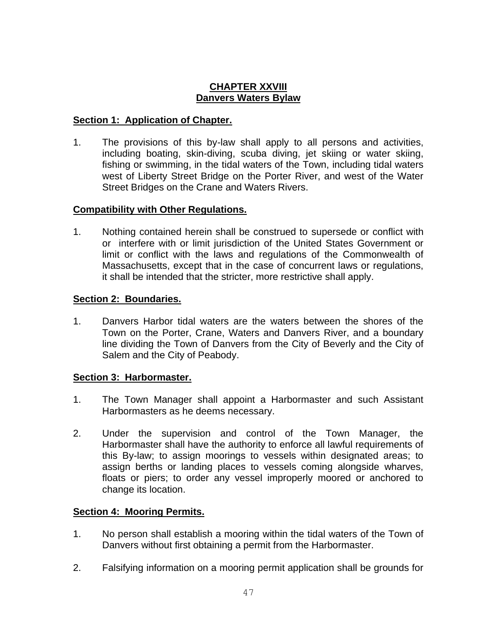## **CHAPTER XXVIII Danvers Waters Bylaw**

## **Section 1: Application of Chapter.**

1. The provisions of this by-law shall apply to all persons and activities, including boating, skin-diving, scuba diving, jet skiing or water skiing, fishing or swimming, in the tidal waters of the Town, including tidal waters west of Liberty Street Bridge on the Porter River, and west of the Water Street Bridges on the Crane and Waters Rivers.

## **Compatibility with Other Regulations.**

1. Nothing contained herein shall be construed to supersede or conflict with or interfere with or limit jurisdiction of the United States Government or limit or conflict with the laws and regulations of the Commonwealth of Massachusetts, except that in the case of concurrent laws or regulations, it shall be intended that the stricter, more restrictive shall apply.

## **Section 2: Boundaries.**

1. Danvers Harbor tidal waters are the waters between the shores of the Town on the Porter, Crane, Waters and Danvers River, and a boundary line dividing the Town of Danvers from the City of Beverly and the City of Salem and the City of Peabody.

### **Section 3: Harbormaster.**

- 1. The Town Manager shall appoint a Harbormaster and such Assistant Harbormasters as he deems necessary.
- 2. Under the supervision and control of the Town Manager, the Harbormaster shall have the authority to enforce all lawful requirements of this By-law; to assign moorings to vessels within designated areas; to assign berths or landing places to vessels coming alongside wharves, floats or piers; to order any vessel improperly moored or anchored to change its location.

# **Section 4: Mooring Permits.**

- 1. No person shall establish a mooring within the tidal waters of the Town of Danvers without first obtaining a permit from the Harbormaster.
- 2. Falsifying information on a mooring permit application shall be grounds for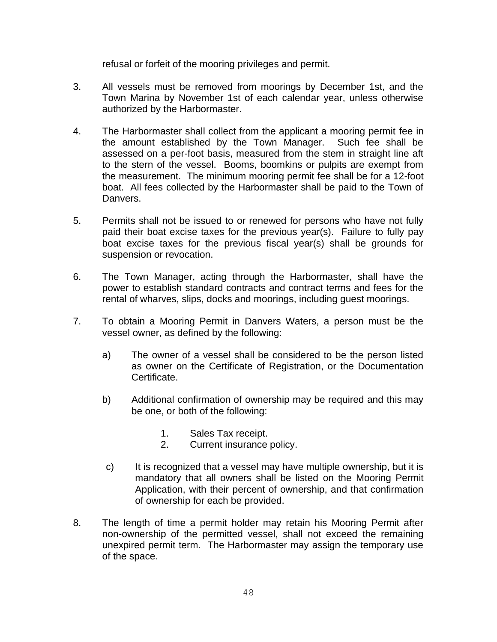refusal or forfeit of the mooring privileges and permit.

- 3. All vessels must be removed from moorings by December 1st, and the Town Marina by November 1st of each calendar year, unless otherwise authorized by the Harbormaster.
- 4. The Harbormaster shall collect from the applicant a mooring permit fee in the amount established by the Town Manager. Such fee shall be assessed on a per-foot basis, measured from the stem in straight line aft to the stern of the vessel. Booms, boomkins or pulpits are exempt from the measurement. The minimum mooring permit fee shall be for a 12-foot boat. All fees collected by the Harbormaster shall be paid to the Town of Danvers.
- 5. Permits shall not be issued to or renewed for persons who have not fully paid their boat excise taxes for the previous year(s). Failure to fully pay boat excise taxes for the previous fiscal year(s) shall be grounds for suspension or revocation.
- 6. The Town Manager, acting through the Harbormaster, shall have the power to establish standard contracts and contract terms and fees for the rental of wharves, slips, docks and moorings, including guest moorings.
- 7. To obtain a Mooring Permit in Danvers Waters, a person must be the vessel owner, as defined by the following:
	- a) The owner of a vessel shall be considered to be the person listed as owner on the Certificate of Registration, or the Documentation Certificate.
	- b) Additional confirmation of ownership may be required and this may be one, or both of the following:
		- 1. Sales Tax receipt.
		- 2. Current insurance policy.
	- c) It is recognized that a vessel may have multiple ownership, but it is mandatory that all owners shall be listed on the Mooring Permit Application, with their percent of ownership, and that confirmation of ownership for each be provided.
- 8. The length of time a permit holder may retain his Mooring Permit after non-ownership of the permitted vessel, shall not exceed the remaining unexpired permit term. The Harbormaster may assign the temporary use of the space.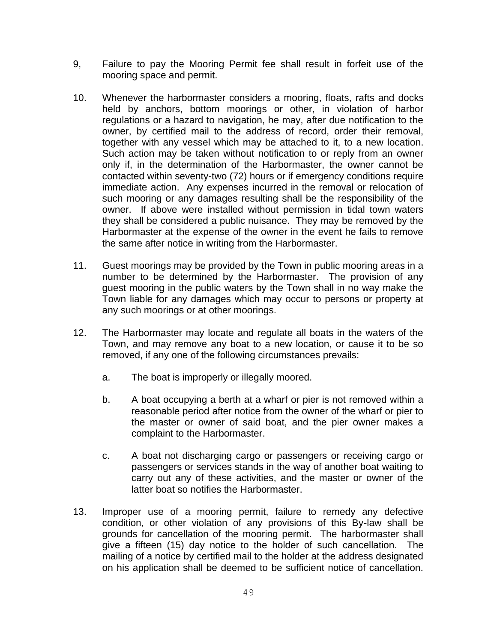- 9, Failure to pay the Mooring Permit fee shall result in forfeit use of the mooring space and permit.
- 10. Whenever the harbormaster considers a mooring, floats, rafts and docks held by anchors, bottom moorings or other, in violation of harbor regulations or a hazard to navigation, he may, after due notification to the owner, by certified mail to the address of record, order their removal, together with any vessel which may be attached to it, to a new location. Such action may be taken without notification to or reply from an owner only if, in the determination of the Harbormaster, the owner cannot be contacted within seventy-two (72) hours or if emergency conditions require immediate action. Any expenses incurred in the removal or relocation of such mooring or any damages resulting shall be the responsibility of the owner. If above were installed without permission in tidal town waters they shall be considered a public nuisance. They may be removed by the Harbormaster at the expense of the owner in the event he fails to remove the same after notice in writing from the Harbormaster.
- 11. Guest moorings may be provided by the Town in public mooring areas in a number to be determined by the Harbormaster. The provision of any guest mooring in the public waters by the Town shall in no way make the Town liable for any damages which may occur to persons or property at any such moorings or at other moorings.
- 12. The Harbormaster may locate and regulate all boats in the waters of the Town, and may remove any boat to a new location, or cause it to be so removed, if any one of the following circumstances prevails:
	- a. The boat is improperly or illegally moored.
	- b. A boat occupying a berth at a wharf or pier is not removed within a reasonable period after notice from the owner of the wharf or pier to the master or owner of said boat, and the pier owner makes a complaint to the Harbormaster.
	- c. A boat not discharging cargo or passengers or receiving cargo or passengers or services stands in the way of another boat waiting to carry out any of these activities, and the master or owner of the latter boat so notifies the Harbormaster.
- 13. Improper use of a mooring permit, failure to remedy any defective condition, or other violation of any provisions of this By-law shall be grounds for cancellation of the mooring permit. The harbormaster shall give a fifteen (15) day notice to the holder of such cancellation. The mailing of a notice by certified mail to the holder at the address designated on his application shall be deemed to be sufficient notice of cancellation.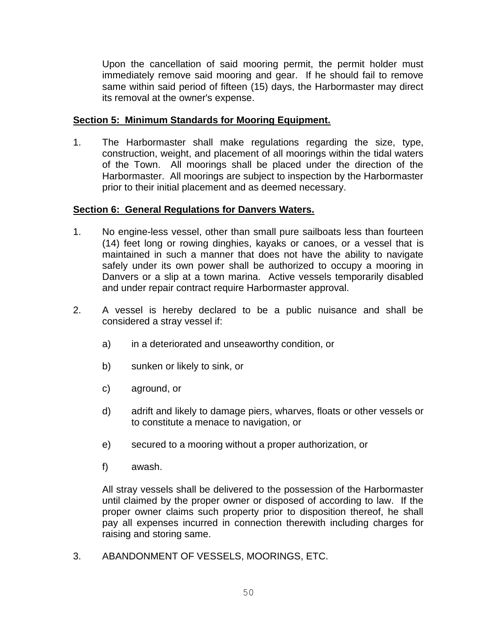Upon the cancellation of said mooring permit, the permit holder must immediately remove said mooring and gear. If he should fail to remove same within said period of fifteen (15) days, the Harbormaster may direct its removal at the owner's expense.

### **Section 5: Minimum Standards for Mooring Equipment.**

1. The Harbormaster shall make regulations regarding the size, type, construction, weight, and placement of all moorings within the tidal waters of the Town. All moorings shall be placed under the direction of the Harbormaster. All moorings are subject to inspection by the Harbormaster prior to their initial placement and as deemed necessary.

### **Section 6: General Regulations for Danvers Waters.**

- 1. No engine-less vessel, other than small pure sailboats less than fourteen (14) feet long or rowing dinghies, kayaks or canoes, or a vessel that is maintained in such a manner that does not have the ability to navigate safely under its own power shall be authorized to occupy a mooring in Danvers or a slip at a town marina. Active vessels temporarily disabled and under repair contract require Harbormaster approval.
- 2. A vessel is hereby declared to be a public nuisance and shall be considered a stray vessel if:
	- a) in a deteriorated and unseaworthy condition, or
	- b) sunken or likely to sink, or
	- c) aground, or
	- d) adrift and likely to damage piers, wharves, floats or other vessels or to constitute a menace to navigation, or
	- e) secured to a mooring without a proper authorization, or
	- f) awash.

All stray vessels shall be delivered to the possession of the Harbormaster until claimed by the proper owner or disposed of according to law. If the proper owner claims such property prior to disposition thereof, he shall pay all expenses incurred in connection therewith including charges for raising and storing same.

3. ABANDONMENT OF VESSELS, MOORINGS, ETC.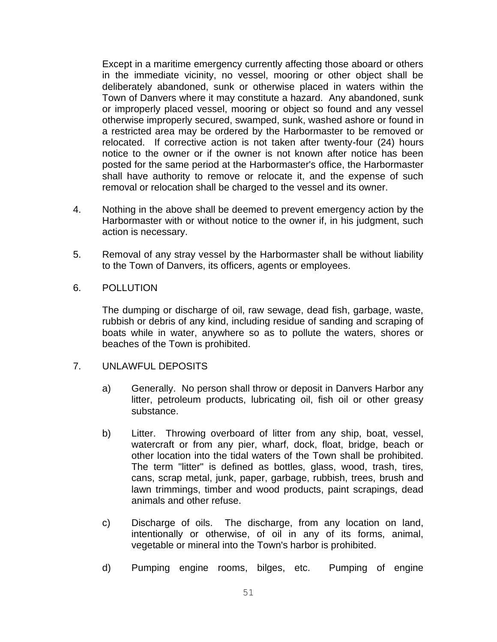Except in a maritime emergency currently affecting those aboard or others in the immediate vicinity, no vessel, mooring or other object shall be deliberately abandoned, sunk or otherwise placed in waters within the Town of Danvers where it may constitute a hazard. Any abandoned, sunk or improperly placed vessel, mooring or object so found and any vessel otherwise improperly secured, swamped, sunk, washed ashore or found in a restricted area may be ordered by the Harbormaster to be removed or relocated. If corrective action is not taken after twenty-four (24) hours notice to the owner or if the owner is not known after notice has been posted for the same period at the Harbormaster's office, the Harbormaster shall have authority to remove or relocate it, and the expense of such removal or relocation shall be charged to the vessel and its owner.

- 4. Nothing in the above shall be deemed to prevent emergency action by the Harbormaster with or without notice to the owner if, in his judgment, such action is necessary.
- 5. Removal of any stray vessel by the Harbormaster shall be without liability to the Town of Danvers, its officers, agents or employees.
- 6. POLLUTION

The dumping or discharge of oil, raw sewage, dead fish, garbage, waste, rubbish or debris of any kind, including residue of sanding and scraping of boats while in water, anywhere so as to pollute the waters, shores or beaches of the Town is prohibited.

- 7. UNLAWFUL DEPOSITS
	- a) Generally. No person shall throw or deposit in Danvers Harbor any litter, petroleum products, lubricating oil, fish oil or other greasy substance.
	- b) Litter. Throwing overboard of litter from any ship, boat, vessel, watercraft or from any pier, wharf, dock, float, bridge, beach or other location into the tidal waters of the Town shall be prohibited. The term "litter" is defined as bottles, glass, wood, trash, tires, cans, scrap metal, junk, paper, garbage, rubbish, trees, brush and lawn trimmings, timber and wood products, paint scrapings, dead animals and other refuse.
	- c) Discharge of oils. The discharge, from any location on land, intentionally or otherwise, of oil in any of its forms, animal, vegetable or mineral into the Town's harbor is prohibited.
	- d) Pumping engine rooms, bilges, etc. Pumping of engine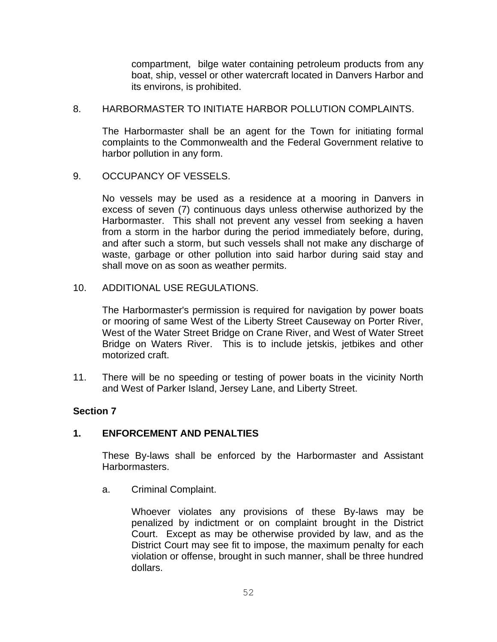compartment, bilge water containing petroleum products from any boat, ship, vessel or other watercraft located in Danvers Harbor and its environs, is prohibited.

8. HARBORMASTER TO INITIATE HARBOR POLLUTION COMPLAINTS.

The Harbormaster shall be an agent for the Town for initiating formal complaints to the Commonwealth and the Federal Government relative to harbor pollution in any form.

9. OCCUPANCY OF VESSELS.

No vessels may be used as a residence at a mooring in Danvers in excess of seven (7) continuous days unless otherwise authorized by the Harbormaster. This shall not prevent any vessel from seeking a haven from a storm in the harbor during the period immediately before, during, and after such a storm, but such vessels shall not make any discharge of waste, garbage or other pollution into said harbor during said stay and shall move on as soon as weather permits.

10. ADDITIONAL USE REGULATIONS.

The Harbormaster's permission is required for navigation by power boats or mooring of same West of the Liberty Street Causeway on Porter River, West of the Water Street Bridge on Crane River, and West of Water Street Bridge on Waters River. This is to include jetskis, jetbikes and other motorized craft.

11. There will be no speeding or testing of power boats in the vicinity North and West of Parker Island, Jersey Lane, and Liberty Street.

### **Section 7**

### **1. ENFORCEMENT AND PENALTIES**

These By-laws shall be enforced by the Harbormaster and Assistant Harbormasters.

a. Criminal Complaint.

Whoever violates any provisions of these By-laws may be penalized by indictment or on complaint brought in the District Court. Except as may be otherwise provided by law, and as the District Court may see fit to impose, the maximum penalty for each violation or offense, brought in such manner, shall be three hundred dollars.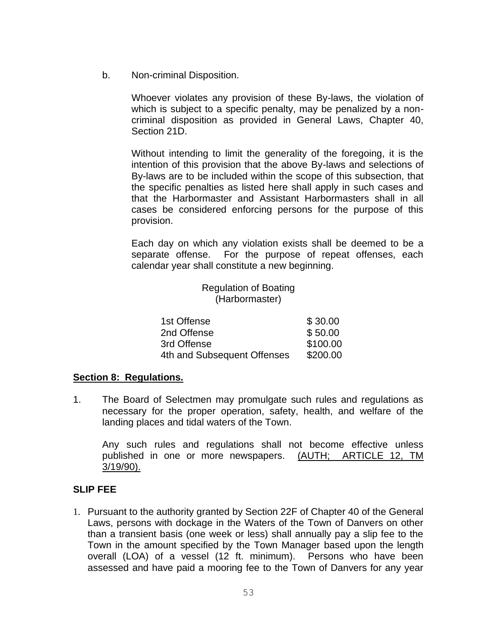b. Non-criminal Disposition.

Whoever violates any provision of these By-laws, the violation of which is subject to a specific penalty, may be penalized by a noncriminal disposition as provided in General Laws, Chapter 40, Section 21D.

Without intending to limit the generality of the foregoing, it is the intention of this provision that the above By-laws and selections of By-laws are to be included within the scope of this subsection, that the specific penalties as listed here shall apply in such cases and that the Harbormaster and Assistant Harbormasters shall in all cases be considered enforcing persons for the purpose of this provision.

Each day on which any violation exists shall be deemed to be a separate offense. For the purpose of repeat offenses, each calendar year shall constitute a new beginning.

> Regulation of Boating (Harbormaster)

| 1st Offense                 | \$30.00  |
|-----------------------------|----------|
| 2nd Offense                 | \$50.00  |
| 3rd Offense                 | \$100.00 |
| 4th and Subsequent Offenses | \$200.00 |

### **Section 8: Regulations.**

1. The Board of Selectmen may promulgate such rules and regulations as necessary for the proper operation, safety, health, and welfare of the landing places and tidal waters of the Town.

Any such rules and regulations shall not become effective unless published in one or more newspapers. (AUTH; ARTICLE 12, TM 3/19/90).

### **SLIP FEE**

1. Pursuant to the authority granted by Section 22F of Chapter 40 of the General Laws, persons with dockage in the Waters of the Town of Danvers on other than a transient basis (one week or less) shall annually pay a slip fee to the Town in the amount specified by the Town Manager based upon the length overall (LOA) of a vessel (12 ft. minimum). Persons who have been assessed and have paid a mooring fee to the Town of Danvers for any year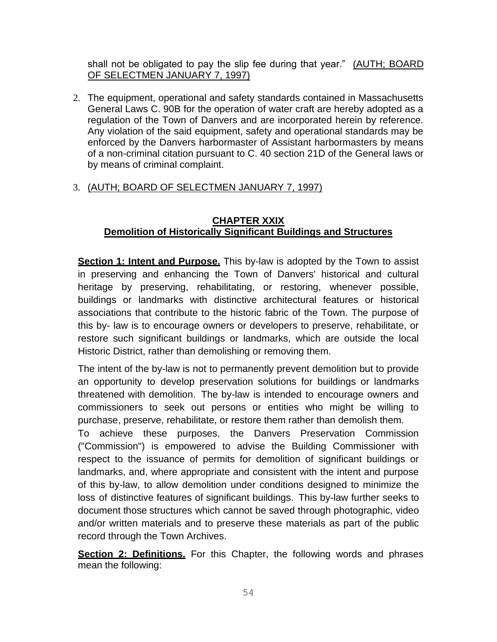shall not be obligated to pay the slip fee during that year." (AUTH; BOARD OF SELECTMEN JANUARY 7, 1997)

2. The equipment, operational and safety standards contained in Massachusetts General Laws C. 90B for the operation of water craft are hereby adopted as a regulation of the Town of Danvers and are incorporated herein by reference. Any violation of the said equipment, safety and operational standards may be enforced by the Danvers harbormaster of Assistant harbormasters by means of a non-criminal citation pursuant to C. 40 section 21D of the General laws or by means of criminal complaint.

# 3. (AUTH; BOARD OF SELECTMEN JANUARY 7, 1997)

# **CHAPTER XXIX Demolition of Historically Significant Buildings and Structures**

**Section 1: Intent and Purpose.** This by-law is adopted by the Town to assist in preserving and enhancing the Town of Danvers' historical and cultural heritage by preserving, rehabilitating, or restoring, whenever possible, buildings or landmarks with distinctive architectural features or historical associations that contribute to the historic fabric of the Town. The purpose of this by- law is to encourage owners or developers to preserve, rehabilitate, or restore such significant buildings or landmarks, which are outside the local Historic District, rather than demolishing or removing them.

The intent of the by-law is not to permanently prevent demolition but to provide an opportunity to develop preservation solutions for buildings or landmarks threatened with demolition. The by-law is intended to encourage owners and commissioners to seek out persons or entities who might be willing to purchase, preserve, rehabilitate, or restore them rather than demolish them.

To achieve these purposes, the Danvers Preservation Commission ("Commission") is empowered to advise the Building Commissioner with respect to the issuance of permits for demolition of significant buildings or landmarks, and, where appropriate and consistent with the intent and purpose of this by-law, to allow demolition under conditions designed to minimize the loss of distinctive features of significant buildings. This by-law further seeks to document those structures which cannot be saved through photographic, video and/or written materials and to preserve these materials as part of the public record through the Town Archives.

**Section 2: Definitions.** For this Chapter, the following words and phrases mean the following: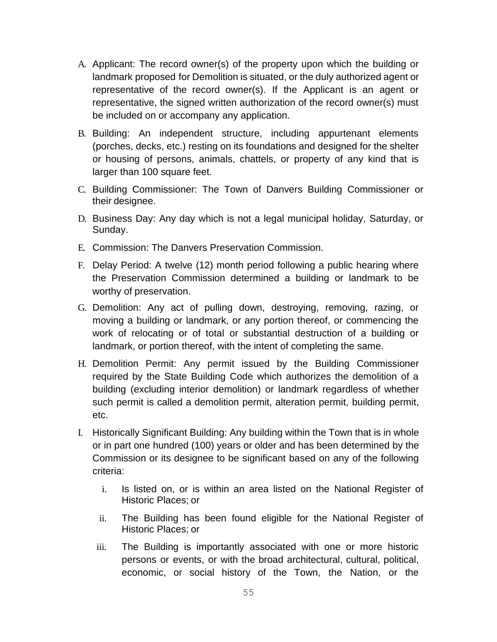- A. Applicant: The record owner(s) of the property upon which the building or landmark proposed for Demolition is situated, or the duly authorized agent or representative of the record owner(s). If the Applicant is an agent or representative, the signed written authorization of the record owner(s) must be included on or accompany any application.
- B. Building: An independent structure, including appurtenant elements (porches, decks, etc.) resting on its foundations and designed for the shelter or housing of persons, animals, chattels, or property of any kind that is larger than 100 square feet.
- C. Building Commissioner: The Town of Danvers Building Commissioner or their designee.
- D. Business Day: Any day which is not a legal municipal holiday, Saturday, or Sunday.
- E. Commission: The Danvers Preservation Commission.
- F. Delay Period: A twelve (12) month period following a public hearing where the Preservation Commission determined a building or landmark to be worthy of preservation.
- G. Demolition: Any act of pulling down, destroying, removing, razing, or moving a building or landmark, or any portion thereof, or commencing the work of relocating or of total or substantial destruction of a building or landmark, or portion thereof, with the intent of completing the same.
- H. Demolition Permit: Any permit issued by the Building Commissioner required by the State Building Code which authorizes the demolition of a building (excluding interior demolition) or landmark regardless of whether such permit is called a demolition permit, alteration permit, building permit, etc.
- I. Historically Significant Building: Any building within the Town that is in whole or in part one hundred (100) years or older and has been determined by the Commission or its designee to be significant based on any of the following criteria:
	- i. Is listed on, or is within an area listed on the National Register of Historic Places; or
	- ii. The Building has been found eligible for the National Register of Historic Places; or
	- iii. The Building is importantly associated with one or more historic persons or events, or with the broad architectural, cultural, political, economic, or social history of the Town, the Nation, or the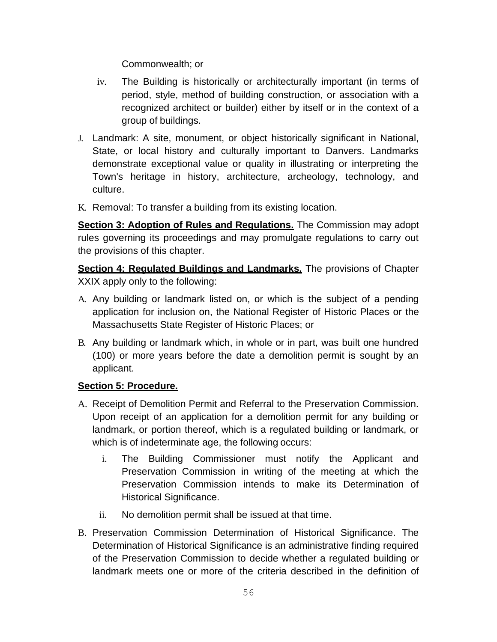Commonwealth; or

- iv. The Building is historically or architecturally important (in terms of period, style, method of building construction, or association with a recognized architect or builder) either by itself or in the context of a group of buildings.
- J. Landmark: A site, monument, or object historically significant in National, State, or local history and culturally important to Danvers. Landmarks demonstrate exceptional value or quality in illustrating or interpreting the Town's heritage in history, architecture, archeology, technology, and culture.
- K. Removal: To transfer a building from its existing location.

**Section 3: Adoption of Rules and Regulations.** The Commission may adopt rules governing its proceedings and may promulgate regulations to carry out the provisions of this chapter.

**Section 4: Regulated Buildings and Landmarks.** The provisions of Chapter XXIX apply only to the following:

- A. Any building or landmark listed on, or which is the subject of a pending application for inclusion on, the National Register of Historic Places or the Massachusetts State Register of Historic Places; or
- B. Any building or landmark which, in whole or in part, was built one hundred (100) or more years before the date a demolition permit is sought by an applicant.

# **Section 5: Procedure.**

- A. Receipt of Demolition Permit and Referral to the Preservation Commission. Upon receipt of an application for a demolition permit for any building or landmark, or portion thereof, which is a regulated building or landmark, or which is of indeterminate age, the following occurs:
	- i. The Building Commissioner must notify the Applicant and Preservation Commission in writing of the meeting at which the Preservation Commission intends to make its Determination of Historical Significance.
	- ii. No demolition permit shall be issued at that time.
- B. Preservation Commission Determination of Historical Significance. The Determination of Historical Significance is an administrative finding required of the Preservation Commission to decide whether a regulated building or landmark meets one or more of the criteria described in the definition of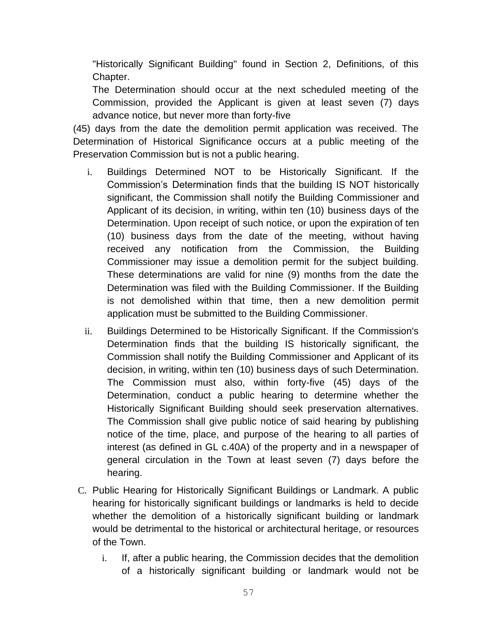"Historically Significant Building" found in Section 2, Definitions, of this Chapter.

The Determination should occur at the next scheduled meeting of the Commission, provided the Applicant is given at least seven (7) days advance notice, but never more than forty-five

(45) days from the date the demolition permit application was received. The Determination of Historical Significance occurs at a public meeting of the Preservation Commission but is not a public hearing.

- i. Buildings Determined NOT to be Historically Significant. If the Commission's Determination finds that the building IS NOT historically significant, the Commission shall notify the Building Commissioner and Applicant of its decision, in writing, within ten (10) business days of the Determination. Upon receipt of such notice, or upon the expiration of ten (10) business days from the date of the meeting, without having received any notification from the Commission, the Building Commissioner may issue a demolition permit for the subject building. These determinations are valid for nine (9) months from the date the Determination was filed with the Building Commissioner. If the Building is not demolished within that time, then a new demolition permit application must be submitted to the Building Commissioner.
- ii. Buildings Determined to be Historically Significant. If the Commission's Determination finds that the building IS historically significant, the Commission shall notify the Building Commissioner and Applicant of its decision, in writing, within ten (10) business days of such Determination. The Commission must also, within forty-five (45) days of the Determination, conduct a public hearing to determine whether the Historically Significant Building should seek preservation alternatives. The Commission shall give public notice of said hearing by publishing notice of the time, place, and purpose of the hearing to all parties of interest (as defined in GL c.40A) of the property and in a newspaper of general circulation in the Town at least seven (7) days before the hearing.
- C. Public Hearing for Historically Significant Buildings or Landmark. A public hearing for historically significant buildings or landmarks is held to decide whether the demolition of a historically significant building or landmark would be detrimental to the historical or architectural heritage, or resources of the Town.
	- i. If, after a public hearing, the Commission decides that the demolition of a historically significant building or landmark would not be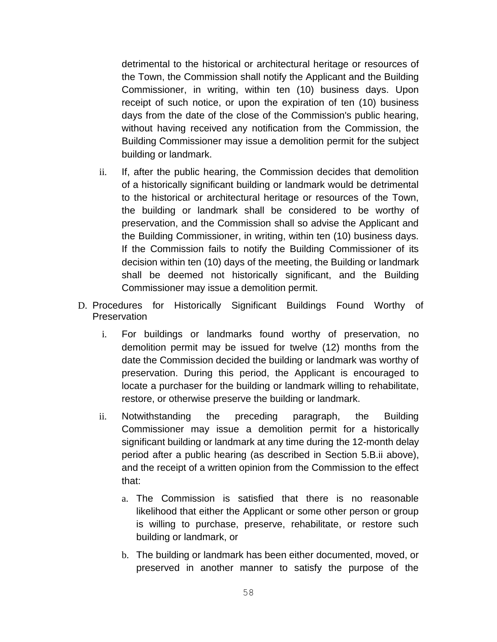detrimental to the historical or architectural heritage or resources of the Town, the Commission shall notify the Applicant and the Building Commissioner, in writing, within ten (10) business days. Upon receipt of such notice, or upon the expiration of ten (10) business days from the date of the close of the Commission's public hearing, without having received any notification from the Commission, the Building Commissioner may issue a demolition permit for the subject building or landmark.

- ii. If, after the public hearing, the Commission decides that demolition of a historically significant building or landmark would be detrimental to the historical or architectural heritage or resources of the Town, the building or landmark shall be considered to be worthy of preservation, and the Commission shall so advise the Applicant and the Building Commissioner, in writing, within ten (10) business days. If the Commission fails to notify the Building Commissioner of its decision within ten (10) days of the meeting, the Building or landmark shall be deemed not historically significant, and the Building Commissioner may issue a demolition permit.
- D. Procedures for Historically Significant Buildings Found Worthy of **Preservation** 
	- i. For buildings or landmarks found worthy of preservation, no demolition permit may be issued for twelve (12) months from the date the Commission decided the building or landmark was worthy of preservation. During this period, the Applicant is encouraged to locate a purchaser for the building or landmark willing to rehabilitate, restore, or otherwise preserve the building or landmark.
	- ii. Notwithstanding the preceding paragraph, the Building Commissioner may issue a demolition permit for a historically significant building or landmark at any time during the 12-month delay period after a public hearing (as described in Section 5.B.ii above), and the receipt of a written opinion from the Commission to the effect that:
		- a. The Commission is satisfied that there is no reasonable likelihood that either the Applicant or some other person or group is willing to purchase, preserve, rehabilitate, or restore such building or landmark, or
		- b. The building or landmark has been either documented, moved, or preserved in another manner to satisfy the purpose of the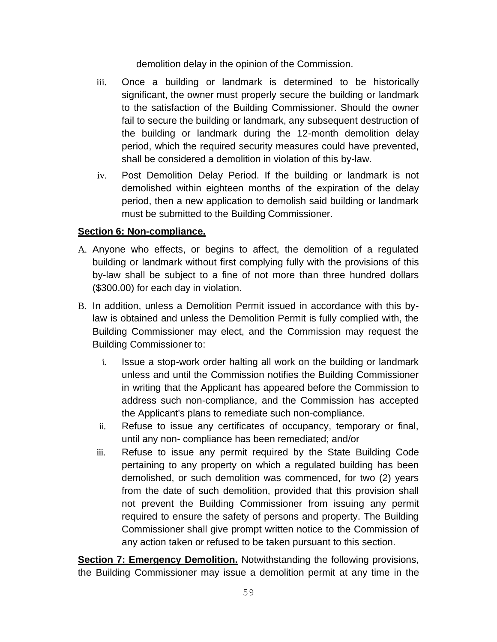demolition delay in the opinion of the Commission.

- iii. Once a building or landmark is determined to be historically significant, the owner must properly secure the building or landmark to the satisfaction of the Building Commissioner. Should the owner fail to secure the building or landmark, any subsequent destruction of the building or landmark during the 12-month demolition delay period, which the required security measures could have prevented, shall be considered a demolition in violation of this by-law.
- iv. Post Demolition Delay Period. If the building or landmark is not demolished within eighteen months of the expiration of the delay period, then a new application to demolish said building or landmark must be submitted to the Building Commissioner.

# **Section 6: Non-compliance.**

- A. Anyone who effects, or begins to affect, the demolition of a regulated building or landmark without first complying fully with the provisions of this by-law shall be subject to a fine of not more than three hundred dollars (\$300.00) for each day in violation.
- B. In addition, unless a Demolition Permit issued in accordance with this bylaw is obtained and unless the Demolition Permit is fully complied with, the Building Commissioner may elect, and the Commission may request the Building Commissioner to:
	- i. Issue a stop-work order halting all work on the building or landmark unless and until the Commission notifies the Building Commissioner in writing that the Applicant has appeared before the Commission to address such non-compliance, and the Commission has accepted the Applicant's plans to remediate such non-compliance.
	- ii. Refuse to issue any certificates of occupancy, temporary or final, until any non- compliance has been remediated; and/or
	- iii. Refuse to issue any permit required by the State Building Code pertaining to any property on which a regulated building has been demolished, or such demolition was commenced, for two (2) years from the date of such demolition, provided that this provision shall not prevent the Building Commissioner from issuing any permit required to ensure the safety of persons and property. The Building Commissioner shall give prompt written notice to the Commission of any action taken or refused to be taken pursuant to this section.

**Section 7: Emergency Demolition.** Notwithstanding the following provisions, the Building Commissioner may issue a demolition permit at any time in the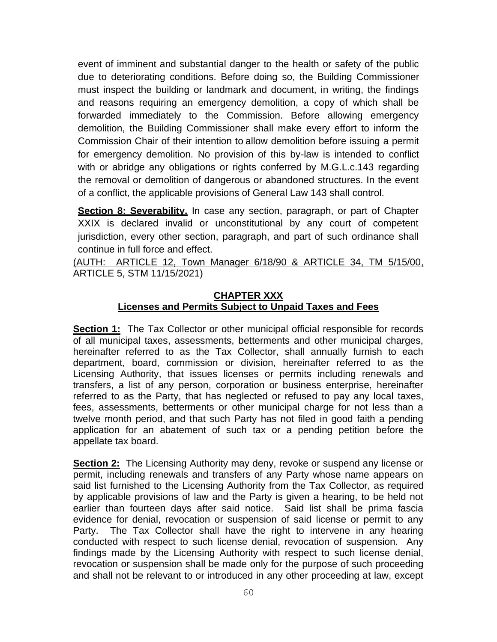event of imminent and substantial danger to the health or safety of the public due to deteriorating conditions. Before doing so, the Building Commissioner must inspect the building or landmark and document, in writing, the findings and reasons requiring an emergency demolition, a copy of which shall be forwarded immediately to the Commission. Before allowing emergency demolition, the Building Commissioner shall make every effort to inform the Commission Chair of their intention to allow demolition before issuing a permit for emergency demolition. No provision of this by-law is intended to conflict with or abridge any obligations or rights conferred by M.G.L.c.143 regarding the removal or demolition of dangerous or abandoned structures. In the event of a conflict, the applicable provisions of General Law 143 shall control.

**Section 8: Severability.** In case any section, paragraph, or part of Chapter XXIX is declared invalid or unconstitutional by any court of competent jurisdiction, every other section, paragraph, and part of such ordinance shall continue in full force and effect.

(AUTH: ARTICLE 12, Town Manager 6/18/90 & ARTICLE 34, TM 5/15/00, ARTICLE 5, STM 11/15/2021)

## **CHAPTER XXX Licenses and Permits Subject to Unpaid Taxes and Fees**

**Section 1:** The Tax Collector or other municipal official responsible for records of all municipal taxes, assessments, betterments and other municipal charges, hereinafter referred to as the Tax Collector, shall annually furnish to each department, board, commission or division, hereinafter referred to as the Licensing Authority, that issues licenses or permits including renewals and transfers, a list of any person, corporation or business enterprise, hereinafter referred to as the Party, that has neglected or refused to pay any local taxes, fees, assessments, betterments or other municipal charge for not less than a twelve month period, and that such Party has not filed in good faith a pending application for an abatement of such tax or a pending petition before the appellate tax board.

**Section 2:** The Licensing Authority may deny, revoke or suspend any license or permit, including renewals and transfers of any Party whose name appears on said list furnished to the Licensing Authority from the Tax Collector, as required by applicable provisions of law and the Party is given a hearing, to be held not earlier than fourteen days after said notice. Said list shall be prima fascia evidence for denial, revocation or suspension of said license or permit to any Party. The Tax Collector shall have the right to intervene in any hearing conducted with respect to such license denial, revocation of suspension. Any findings made by the Licensing Authority with respect to such license denial, revocation or suspension shall be made only for the purpose of such proceeding and shall not be relevant to or introduced in any other proceeding at law, except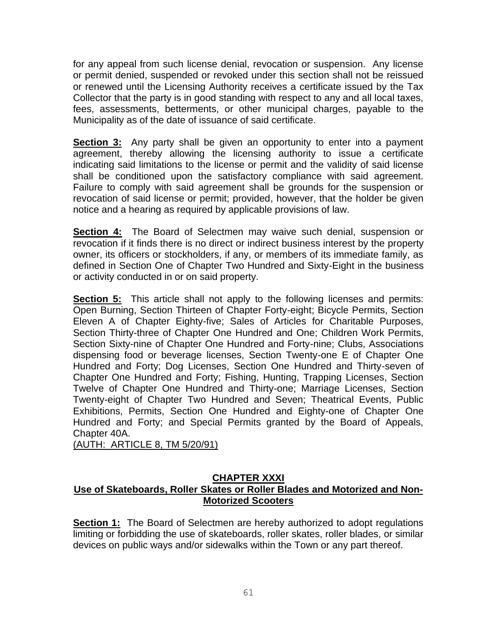for any appeal from such license denial, revocation or suspension. Any license or permit denied, suspended or revoked under this section shall not be reissued or renewed until the Licensing Authority receives a certificate issued by the Tax Collector that the party is in good standing with respect to any and all local taxes, fees, assessments, betterments, or other municipal charges, payable to the Municipality as of the date of issuance of said certificate.

**Section 3:** Any party shall be given an opportunity to enter into a payment agreement, thereby allowing the licensing authority to issue a certificate indicating said limitations to the license or permit and the validity of said license shall be conditioned upon the satisfactory compliance with said agreement. Failure to comply with said agreement shall be grounds for the suspension or revocation of said license or permit; provided, however, that the holder be given notice and a hearing as required by applicable provisions of law.

**Section 4:** The Board of Selectmen may waive such denial, suspension or revocation if it finds there is no direct or indirect business interest by the property owner, its officers or stockholders, if any, or members of its immediate family, as defined in Section One of Chapter Two Hundred and Sixty-Eight in the business or activity conducted in or on said property.

**Section 5:** This article shall not apply to the following licenses and permits: Open Burning, Section Thirteen of Chapter Forty-eight; Bicycle Permits, Section Eleven A of Chapter Eighty-five; Sales of Articles for Charitable Purposes, Section Thirty-three of Chapter One Hundred and One; Children Work Permits, Section Sixty-nine of Chapter One Hundred and Forty-nine; Clubs, Associations dispensing food or beverage licenses, Section Twenty-one E of Chapter One Hundred and Forty; Dog Licenses, Section One Hundred and Thirty-seven of Chapter One Hundred and Forty; Fishing, Hunting, Trapping Licenses, Section Twelve of Chapter One Hundred and Thirty-one; Marriage Licenses, Section Twenty-eight of Chapter Two Hundred and Seven; Theatrical Events, Public Exhibitions, Permits, Section One Hundred and Eighty-one of Chapter One Hundred and Forty; and Special Permits granted by the Board of Appeals, Chapter 40A.

(AUTH: ARTICLE 8, TM 5/20/91)

#### **CHAPTER XXXI Use of Skateboards, Roller Skates or Roller Blades and Motorized and Non-Motorized Scooters**

**Section 1:** The Board of Selectmen are hereby authorized to adopt regulations limiting or forbidding the use of skateboards, roller skates, roller blades, or similar devices on public ways and/or sidewalks within the Town or any part thereof.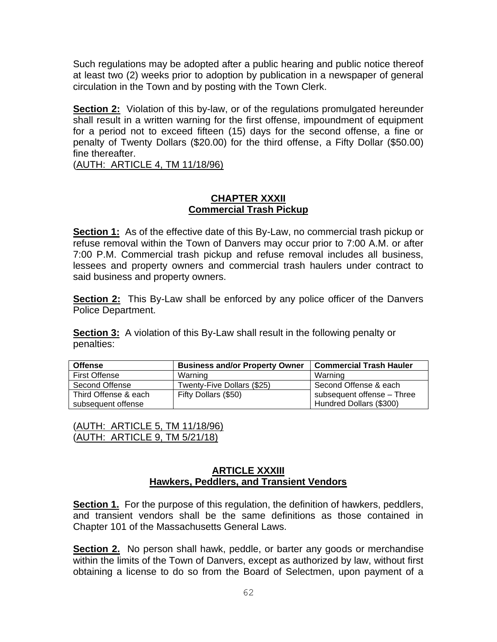Such regulations may be adopted after a public hearing and public notice thereof at least two (2) weeks prior to adoption by publication in a newspaper of general circulation in the Town and by posting with the Town Clerk.

**Section 2:** Violation of this by-law, or of the regulations promulgated hereunder shall result in a written warning for the first offense, impoundment of equipment for a period not to exceed fifteen (15) days for the second offense, a fine or penalty of Twenty Dollars (\$20.00) for the third offense, a Fifty Dollar (\$50.00) fine thereafter.

(AUTH: ARTICLE 4, TM 11/18/96)

#### **CHAPTER XXXII Commercial Trash Pickup**

**Section 1:** As of the effective date of this By-Law, no commercial trash pickup or refuse removal within the Town of Danvers may occur prior to 7:00 A.M. or after 7:00 P.M. Commercial trash pickup and refuse removal includes all business, lessees and property owners and commercial trash haulers under contract to said business and property owners.

**Section 2:** This By-Law shall be enforced by any police officer of the Danvers Police Department.

**Section 3:** A violation of this By-Law shall result in the following penalty or penalties:

| <b>Offense</b>       | <b>Business and/or Property Owner</b> | <b>Commercial Trash Hauler</b> |
|----------------------|---------------------------------------|--------------------------------|
| First Offense        | Warning                               | Warning                        |
| Second Offense       | Twenty-Five Dollars (\$25)            | Second Offense & each          |
| Third Offense & each | Fifty Dollars (\$50)                  | subsequent offense - Three     |
| subsequent offense   |                                       | Hundred Dollars (\$300)        |

| (AUTH: ARTICLE 5, TM 11/18/96) |
|--------------------------------|
| (AUTH: ARTICLE 9, TM 5/21/18)  |

#### **ARTICLE XXXIII Hawkers, Peddlers, and Transient Vendors**

**Section 1.** For the purpose of this regulation, the definition of hawkers, peddlers, and transient vendors shall be the same definitions as those contained in Chapter 101 of the Massachusetts General Laws.

**Section 2.** No person shall hawk, peddle, or barter any goods or merchandise within the limits of the Town of Danvers, except as authorized by law, without first obtaining a license to do so from the Board of Selectmen, upon payment of a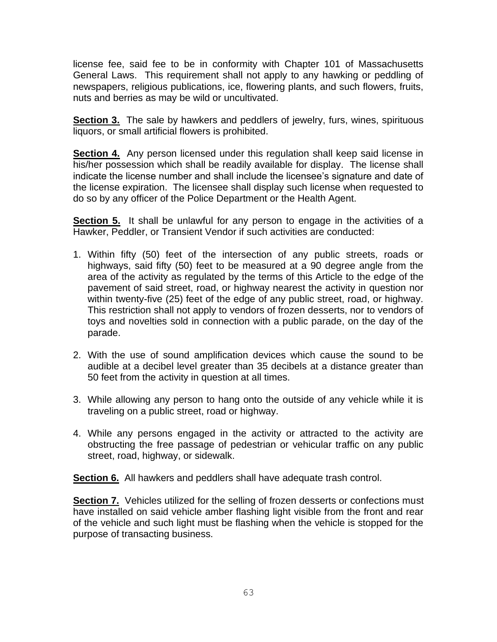license fee, said fee to be in conformity with Chapter 101 of Massachusetts General Laws. This requirement shall not apply to any hawking or peddling of newspapers, religious publications, ice, flowering plants, and such flowers, fruits, nuts and berries as may be wild or uncultivated.

**Section 3.** The sale by hawkers and peddlers of jewelry, furs, wines, spirituous liquors, or small artificial flowers is prohibited.

**Section 4.** Any person licensed under this regulation shall keep said license in his/her possession which shall be readily available for display. The license shall indicate the license number and shall include the licensee's signature and date of the license expiration. The licensee shall display such license when requested to do so by any officer of the Police Department or the Health Agent.

**Section 5.** It shall be unlawful for any person to engage in the activities of a Hawker, Peddler, or Transient Vendor if such activities are conducted:

- 1. Within fifty (50) feet of the intersection of any public streets, roads or highways, said fifty (50) feet to be measured at a 90 degree angle from the area of the activity as regulated by the terms of this Article to the edge of the pavement of said street, road, or highway nearest the activity in question nor within twenty-five (25) feet of the edge of any public street, road, or highway. This restriction shall not apply to vendors of frozen desserts, nor to vendors of toys and novelties sold in connection with a public parade, on the day of the parade.
- 2. With the use of sound amplification devices which cause the sound to be audible at a decibel level greater than 35 decibels at a distance greater than 50 feet from the activity in question at all times.
- 3. While allowing any person to hang onto the outside of any vehicle while it is traveling on a public street, road or highway.
- 4. While any persons engaged in the activity or attracted to the activity are obstructing the free passage of pedestrian or vehicular traffic on any public street, road, highway, or sidewalk.

**Section 6.** All hawkers and peddlers shall have adequate trash control.

**Section 7.** Vehicles utilized for the selling of frozen desserts or confections must have installed on said vehicle amber flashing light visible from the front and rear of the vehicle and such light must be flashing when the vehicle is stopped for the purpose of transacting business.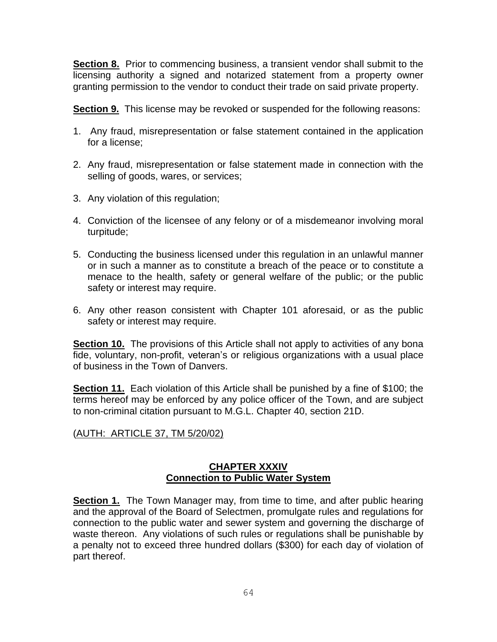**Section 8.** Prior to commencing business, a transient vendor shall submit to the licensing authority a signed and notarized statement from a property owner granting permission to the vendor to conduct their trade on said private property.

**Section 9.** This license may be revoked or suspended for the following reasons:

- 1. Any fraud, misrepresentation or false statement contained in the application for a license;
- 2. Any fraud, misrepresentation or false statement made in connection with the selling of goods, wares, or services;
- 3. Any violation of this regulation;
- 4. Conviction of the licensee of any felony or of a misdemeanor involving moral turpitude;
- 5. Conducting the business licensed under this regulation in an unlawful manner or in such a manner as to constitute a breach of the peace or to constitute a menace to the health, safety or general welfare of the public; or the public safety or interest may require.
- 6. Any other reason consistent with Chapter 101 aforesaid, or as the public safety or interest may require.

**Section 10.** The provisions of this Article shall not apply to activities of any bona fide, voluntary, non-profit, veteran's or religious organizations with a usual place of business in the Town of Danvers.

**Section 11.** Each violation of this Article shall be punished by a fine of \$100; the terms hereof may be enforced by any police officer of the Town, and are subject to non-criminal citation pursuant to M.G.L. Chapter 40, section 21D.

(AUTH: ARTICLE 37, TM 5/20/02)

### **CHAPTER XXXIV Connection to Public Water System**

**Section 1.** The Town Manager may, from time to time, and after public hearing and the approval of the Board of Selectmen, promulgate rules and regulations for connection to the public water and sewer system and governing the discharge of waste thereon. Any violations of such rules or regulations shall be punishable by a penalty not to exceed three hundred dollars (\$300) for each day of violation of part thereof.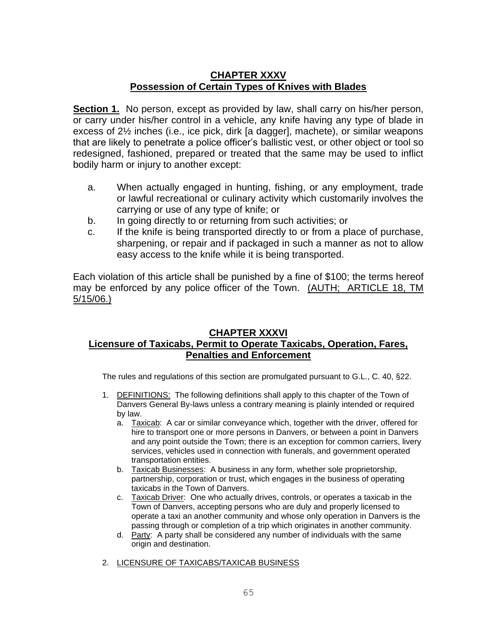## **CHAPTER XXXV Possession of Certain Types of Knives with Blades**

**Section 1.** No person, except as provided by law, shall carry on his/her person, or carry under his/her control in a vehicle, any knife having any type of blade in excess of 2½ inches (i.e., ice pick, dirk [a dagger], machete), or similar weapons that are likely to penetrate a police officer's ballistic vest, or other object or tool so redesigned, fashioned, prepared or treated that the same may be used to inflict bodily harm or injury to another except:

- a. When actually engaged in hunting, fishing, or any employment, trade or lawful recreational or culinary activity which customarily involves the carrying or use of any type of knife; or
- b. In going directly to or returning from such activities; or
- c. If the knife is being transported directly to or from a place of purchase, sharpening, or repair and if packaged in such a manner as not to allow easy access to the knife while it is being transported.

Each violation of this article shall be punished by a fine of \$100; the terms hereof may be enforced by any police officer of the Town. (AUTH; ARTICLE 18, TM 5/15/06.)

#### **CHAPTER XXXVI**

# **Licensure of Taxicabs, Permit to Operate Taxicabs, Operation, Fares, Penalties and Enforcement**

The rules and regulations of this section are promulgated pursuant to G.L., C. 40, §22.

- 1. DEFINITIONS: The following definitions shall apply to this chapter of the Town of Danvers General By-laws unless a contrary meaning is plainly intended or required by law.
	- a. Taxicab: A car or similar conveyance which, together with the driver, offered for hire to transport one or more persons in Danvers, or between a point in Danvers and any point outside the Town; there is an exception for common carriers, livery services, vehicles used in connection with funerals, and government operated transportation entities.
	- b. Taxicab Businesses: A business in any form, whether sole proprietorship, partnership, corporation or trust, which engages in the business of operating taxicabs in the Town of Danvers.
	- c. Taxicab Driver: One who actually drives, controls, or operates a taxicab in the Town of Danvers, accepting persons who are duly and properly licensed to operate a taxi an another community and whose only operation in Danvers is the passing through or completion of a trip which originates in another community.
	- d. Party: A party shall be considered any number of individuals with the same origin and destination.
- 2. LICENSURE OF TAXICABS/TAXICAB BUSINESS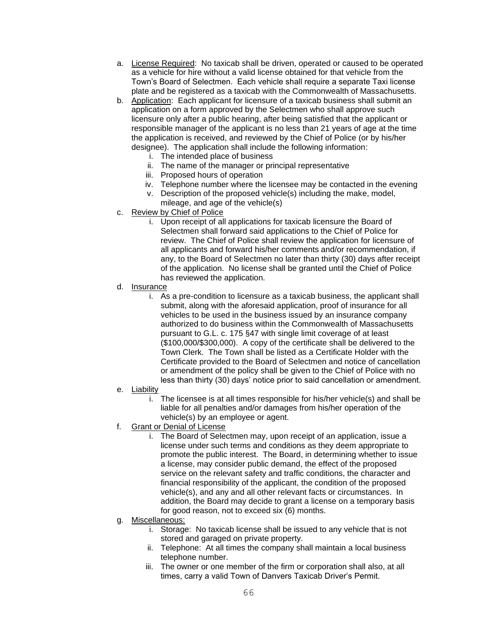- a. License Required: No taxicab shall be driven, operated or caused to be operated as a vehicle for hire without a valid license obtained for that vehicle from the Town's Board of Selectmen. Each vehicle shall require a separate Taxi license plate and be registered as a taxicab with the Commonwealth of Massachusetts.
- b. Application: Each applicant for licensure of a taxicab business shall submit an application on a form approved by the Selectmen who shall approve such licensure only after a public hearing, after being satisfied that the applicant or responsible manager of the applicant is no less than 21 years of age at the time the application is received, and reviewed by the Chief of Police (or by his/her designee). The application shall include the following information:
	- i. The intended place of business
	- ii. The name of the manager or principal representative
	- iii. Proposed hours of operation
	- iv. Telephone number where the licensee may be contacted in the evening
	- v. Description of the proposed vehicle(s) including the make, model,
	- mileage, and age of the vehicle(s)
- c. Review by Chief of Police
	- i. Upon receipt of all applications for taxicab licensure the Board of Selectmen shall forward said applications to the Chief of Police for review. The Chief of Police shall review the application for licensure of all applicants and forward his/her comments and/or recommendation, if any, to the Board of Selectmen no later than thirty (30) days after receipt of the application. No license shall be granted until the Chief of Police has reviewed the application.
- d. Insurance
	- i. As a pre-condition to licensure as a taxicab business, the applicant shall submit, along with the aforesaid application, proof of insurance for all vehicles to be used in the business issued by an insurance company authorized to do business within the Commonwealth of Massachusetts pursuant to G.L. c. 175 §47 with single limit coverage of at least (\$100,000/\$300,000). A copy of the certificate shall be delivered to the Town Clerk. The Town shall be listed as a Certificate Holder with the Certificate provided to the Board of Selectmen and notice of cancellation or amendment of the policy shall be given to the Chief of Police with no less than thirty (30) days' notice prior to said cancellation or amendment.
- e. Liability
	- i. The licensee is at all times responsible for his/her vehicle(s) and shall be liable for all penalties and/or damages from his/her operation of the vehicle(s) by an employee or agent.
- f. Grant or Denial of License
	- i. The Board of Selectmen may, upon receipt of an application, issue a license under such terms and conditions as they deem appropriate to promote the public interest. The Board, in determining whether to issue a license, may consider public demand, the effect of the proposed service on the relevant safety and traffic conditions, the character and financial responsibility of the applicant, the condition of the proposed vehicle(s), and any and all other relevant facts or circumstances. In addition, the Board may decide to grant a license on a temporary basis for good reason, not to exceed six (6) months.
- g. Miscellaneous:
	- i. Storage: No taxicab license shall be issued to any vehicle that is not stored and garaged on private property.
	- ii. Telephone: At all times the company shall maintain a local business telephone number.
	- iii. The owner or one member of the firm or corporation shall also, at all times, carry a valid Town of Danvers Taxicab Driver's Permit.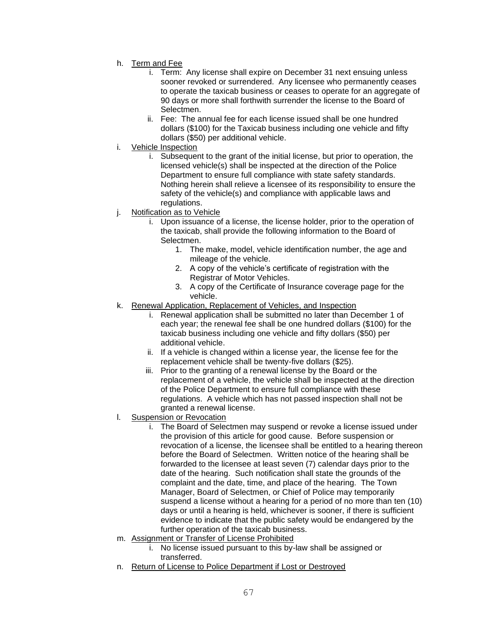- h. Term and Fee
	- i. Term: Any license shall expire on December 31 next ensuing unless sooner revoked or surrendered. Any licensee who permanently ceases to operate the taxicab business or ceases to operate for an aggregate of 90 days or more shall forthwith surrender the license to the Board of Selectmen.
	- ii. Fee: The annual fee for each license issued shall be one hundred dollars (\$100) for the Taxicab business including one vehicle and fifty dollars (\$50) per additional vehicle.
- i. Vehicle Inspection
	- i. Subsequent to the grant of the initial license, but prior to operation, the licensed vehicle(s) shall be inspected at the direction of the Police Department to ensure full compliance with state safety standards. Nothing herein shall relieve a licensee of its responsibility to ensure the safety of the vehicle(s) and compliance with applicable laws and regulations.
- j. Notification as to Vehicle
	- i. Upon issuance of a license, the license holder, prior to the operation of the taxicab, shall provide the following information to the Board of Selectmen.
		- 1. The make, model, vehicle identification number, the age and mileage of the vehicle.
		- 2. A copy of the vehicle's certificate of registration with the Registrar of Motor Vehicles.
		- 3. A copy of the Certificate of Insurance coverage page for the vehicle.
- k. Renewal Application, Replacement of Vehicles, and Inspection
	- i. Renewal application shall be submitted no later than December 1 of each year; the renewal fee shall be one hundred dollars (\$100) for the taxicab business including one vehicle and fifty dollars (\$50) per additional vehicle.
	- ii. If a vehicle is changed within a license year, the license fee for the replacement vehicle shall be twenty-five dollars (\$25).
	- iii. Prior to the granting of a renewal license by the Board or the replacement of a vehicle, the vehicle shall be inspected at the direction of the Police Department to ensure full compliance with these regulations. A vehicle which has not passed inspection shall not be granted a renewal license.
- l. Suspension or Revocation
	- i. The Board of Selectmen may suspend or revoke a license issued under the provision of this article for good cause. Before suspension or revocation of a license, the licensee shall be entitled to a hearing thereon before the Board of Selectmen. Written notice of the hearing shall be forwarded to the licensee at least seven (7) calendar days prior to the date of the hearing. Such notification shall state the grounds of the complaint and the date, time, and place of the hearing. The Town Manager, Board of Selectmen, or Chief of Police may temporarily suspend a license without a hearing for a period of no more than ten (10) days or until a hearing is held, whichever is sooner, if there is sufficient evidence to indicate that the public safety would be endangered by the further operation of the taxicab business.
- m. Assignment or Transfer of License Prohibited
	- i. No license issued pursuant to this by-law shall be assigned or transferred.
- n. Return of License to Police Department if Lost or Destroyed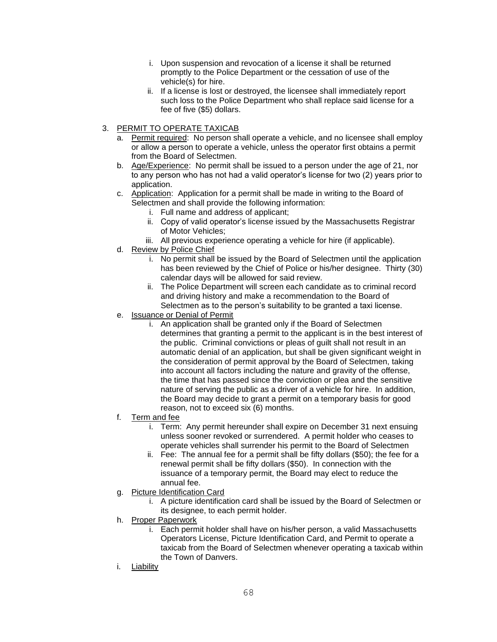- i. Upon suspension and revocation of a license it shall be returned promptly to the Police Department or the cessation of use of the vehicle(s) for hire.
- ii. If a license is lost or destroyed, the licensee shall immediately report such loss to the Police Department who shall replace said license for a fee of five (\$5) dollars.
- 3. PERMIT TO OPERATE TAXICAB
	- a. Permit required: No person shall operate a vehicle, and no licensee shall employ or allow a person to operate a vehicle, unless the operator first obtains a permit from the Board of Selectmen.
	- b. Age/Experience: No permit shall be issued to a person under the age of 21, nor to any person who has not had a valid operator's license for two (2) years prior to application.
	- c. Application: Application for a permit shall be made in writing to the Board of Selectmen and shall provide the following information:
		- i. Full name and address of applicant;
		- ii. Copy of valid operator's license issued by the Massachusetts Registrar of Motor Vehicles;
		- iii. All previous experience operating a vehicle for hire (if applicable).
	- d. Review by Police Chief
		- i. No permit shall be issued by the Board of Selectmen until the application has been reviewed by the Chief of Police or his/her designee. Thirty (30) calendar days will be allowed for said review.
		- ii. The Police Department will screen each candidate as to criminal record and driving history and make a recommendation to the Board of Selectmen as to the person's suitability to be granted a taxi license.
	- e. Issuance or Denial of Permit
		- i. An application shall be granted only if the Board of Selectmen determines that granting a permit to the applicant is in the best interest of the public. Criminal convictions or pleas of guilt shall not result in an automatic denial of an application, but shall be given significant weight in the consideration of permit approval by the Board of Selectmen, taking into account all factors including the nature and gravity of the offense, the time that has passed since the conviction or plea and the sensitive nature of serving the public as a driver of a vehicle for hire. In addition, the Board may decide to grant a permit on a temporary basis for good reason, not to exceed six (6) months.
	- f. Term and fee
		- i. Term: Any permit hereunder shall expire on December 31 next ensuing unless sooner revoked or surrendered. A permit holder who ceases to operate vehicles shall surrender his permit to the Board of Selectmen
		- ii. Fee: The annual fee for a permit shall be fifty dollars (\$50); the fee for a renewal permit shall be fifty dollars (\$50). In connection with the issuance of a temporary permit, the Board may elect to reduce the annual fee.
	- g. Picture Identification Card
		- i. A picture identification card shall be issued by the Board of Selectmen or its designee, to each permit holder.
	- h. Proper Paperwork
		- i. Each permit holder shall have on his/her person, a valid Massachusetts Operators License, Picture Identification Card, and Permit to operate a taxicab from the Board of Selectmen whenever operating a taxicab within the Town of Danvers.
	- i. Liability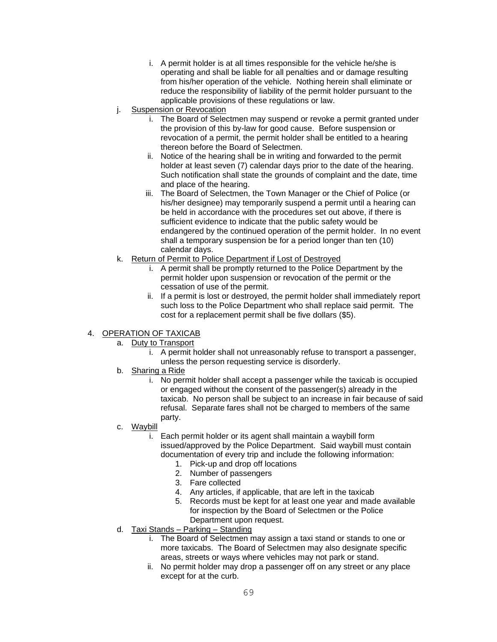- i. A permit holder is at all times responsible for the vehicle he/she is operating and shall be liable for all penalties and or damage resulting from his/her operation of the vehicle. Nothing herein shall eliminate or reduce the responsibility of liability of the permit holder pursuant to the applicable provisions of these regulations or law.
- j. Suspension or Revocation
	- i. The Board of Selectmen may suspend or revoke a permit granted under the provision of this by-law for good cause. Before suspension or revocation of a permit, the permit holder shall be entitled to a hearing thereon before the Board of Selectmen.
	- ii. Notice of the hearing shall be in writing and forwarded to the permit holder at least seven (7) calendar days prior to the date of the hearing. Such notification shall state the grounds of complaint and the date, time and place of the hearing.
	- iii. The Board of Selectmen, the Town Manager or the Chief of Police (or his/her designee) may temporarily suspend a permit until a hearing can be held in accordance with the procedures set out above, if there is sufficient evidence to indicate that the public safety would be endangered by the continued operation of the permit holder. In no event shall a temporary suspension be for a period longer than ten (10) calendar days.
- k. Return of Permit to Police Department if Lost of Destroyed
	- i. A permit shall be promptly returned to the Police Department by the permit holder upon suspension or revocation of the permit or the cessation of use of the permit.
	- ii. If a permit is lost or destroyed, the permit holder shall immediately report such loss to the Police Department who shall replace said permit. The cost for a replacement permit shall be five dollars (\$5).

#### 4. OPERATION OF TAXICAB

- a. Duty to Transport
	- i. A permit holder shall not unreasonably refuse to transport a passenger, unless the person requesting service is disorderly.
- b. Sharing a Ride
	- i. No permit holder shall accept a passenger while the taxicab is occupied or engaged without the consent of the passenger(s) already in the taxicab. No person shall be subject to an increase in fair because of said refusal. Separate fares shall not be charged to members of the same party.
- c. Waybill
	- i. Each permit holder or its agent shall maintain a waybill form issued/approved by the Police Department. Said waybill must contain documentation of every trip and include the following information:
		- 1. Pick-up and drop off locations
		- 2. Number of passengers
		- 3. Fare collected
		- 4. Any articles, if applicable, that are left in the taxicab
		- 5. Records must be kept for at least one year and made available for inspection by the Board of Selectmen or the Police Department upon request.
- d. Taxi Stands Parking Standing
	- i. The Board of Selectmen may assign a taxi stand or stands to one or more taxicabs. The Board of Selectmen may also designate specific areas, streets or ways where vehicles may not park or stand.
	- ii. No permit holder may drop a passenger off on any street or any place except for at the curb.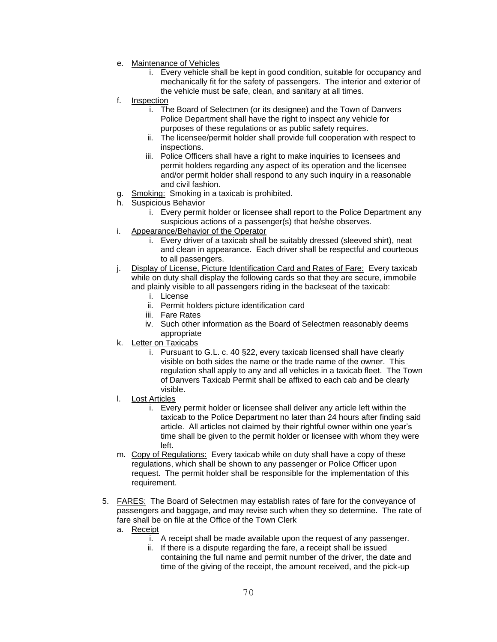- e. Maintenance of Vehicles
	- i. Every vehicle shall be kept in good condition, suitable for occupancy and mechanically fit for the safety of passengers. The interior and exterior of the vehicle must be safe, clean, and sanitary at all times.
- f. Inspection
	- i. The Board of Selectmen (or its designee) and the Town of Danvers Police Department shall have the right to inspect any vehicle for purposes of these regulations or as public safety requires.
	- ii. The licensee/permit holder shall provide full cooperation with respect to inspections.
	- iii. Police Officers shall have a right to make inquiries to licensees and permit holders regarding any aspect of its operation and the licensee and/or permit holder shall respond to any such inquiry in a reasonable and civil fashion.
- g. Smoking: Smoking in a taxicab is prohibited.
- h. Suspicious Behavior
	- i. Every permit holder or licensee shall report to the Police Department any suspicious actions of a passenger(s) that he/she observes.
- i. Appearance/Behavior of the Operator
	- i. Every driver of a taxicab shall be suitably dressed (sleeved shirt), neat and clean in appearance. Each driver shall be respectful and courteous to all passengers.
- j. Display of License, Picture Identification Card and Rates of Fare: Every taxicab while on duty shall display the following cards so that they are secure, immobile and plainly visible to all passengers riding in the backseat of the taxicab:
	- i. License
	- ii. Permit holders picture identification card
	- iii. Fare Rates
	- iv. Such other information as the Board of Selectmen reasonably deems appropriate
- k. Letter on Taxicabs
	- i. Pursuant to G.L. c. 40 §22, every taxicab licensed shall have clearly visible on both sides the name or the trade name of the owner. This regulation shall apply to any and all vehicles in a taxicab fleet. The Town of Danvers Taxicab Permit shall be affixed to each cab and be clearly visible.
- l. Lost Articles
	- i. Every permit holder or licensee shall deliver any article left within the taxicab to the Police Department no later than 24 hours after finding said article. All articles not claimed by their rightful owner within one year's time shall be given to the permit holder or licensee with whom they were left.
- m. Copy of Regulations: Every taxicab while on duty shall have a copy of these regulations, which shall be shown to any passenger or Police Officer upon request. The permit holder shall be responsible for the implementation of this requirement.
- 5. FARES: The Board of Selectmen may establish rates of fare for the conveyance of passengers and baggage, and may revise such when they so determine. The rate of fare shall be on file at the Office of the Town Clerk
	- a. Receipt
		- i. A receipt shall be made available upon the request of any passenger.
		- ii. If there is a dispute regarding the fare, a receipt shall be issued containing the full name and permit number of the driver, the date and time of the giving of the receipt, the amount received, and the pick-up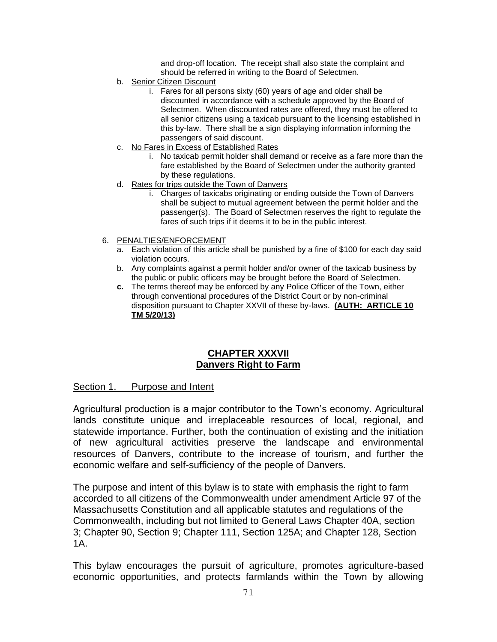and drop-off location. The receipt shall also state the complaint and should be referred in writing to the Board of Selectmen.

- b. Senior Citizen Discount
	- i. Fares for all persons sixty (60) years of age and older shall be discounted in accordance with a schedule approved by the Board of Selectmen. When discounted rates are offered, they must be offered to all senior citizens using a taxicab pursuant to the licensing established in this by-law. There shall be a sign displaying information informing the passengers of said discount.
- c. No Fares in Excess of Established Rates
	- i. No taxicab permit holder shall demand or receive as a fare more than the fare established by the Board of Selectmen under the authority granted by these regulations.
- d. Rates for trips outside the Town of Danvers
	- i. Charges of taxicabs originating or ending outside the Town of Danvers shall be subject to mutual agreement between the permit holder and the passenger(s). The Board of Selectmen reserves the right to regulate the fares of such trips if it deems it to be in the public interest.
- 6. PENALTIES/ENFORCEMENT
	- a. Each violation of this article shall be punished by a fine of \$100 for each day said violation occurs.
	- b. Any complaints against a permit holder and/or owner of the taxicab business by the public or public officers may be brought before the Board of Selectmen.
	- **c.** The terms thereof may be enforced by any Police Officer of the Town, either through conventional procedures of the District Court or by non-criminal disposition pursuant to Chapter XXVII of these by-laws. **(AUTH: ARTICLE 10 TM 5/20/13)**

### **CHAPTER XXXVII Danvers Right to Farm**

#### Section 1. Purpose and Intent

Agricultural production is a major contributor to the Town's economy. Agricultural lands constitute unique and irreplaceable resources of local, regional, and statewide importance. Further, both the continuation of existing and the initiation of new agricultural activities preserve the landscape and environmental resources of Danvers, contribute to the increase of tourism, and further the economic welfare and self-sufficiency of the people of Danvers.

The purpose and intent of this bylaw is to state with emphasis the right to farm accorded to all citizens of the Commonwealth under amendment Article 97 of the Massachusetts Constitution and all applicable statutes and regulations of the Commonwealth, including but not limited to General Laws Chapter 40A, section 3; Chapter 90, Section 9; Chapter 111, Section 125A; and Chapter 128, Section 1A.

This bylaw encourages the pursuit of agriculture, promotes agriculture-based economic opportunities, and protects farmlands within the Town by allowing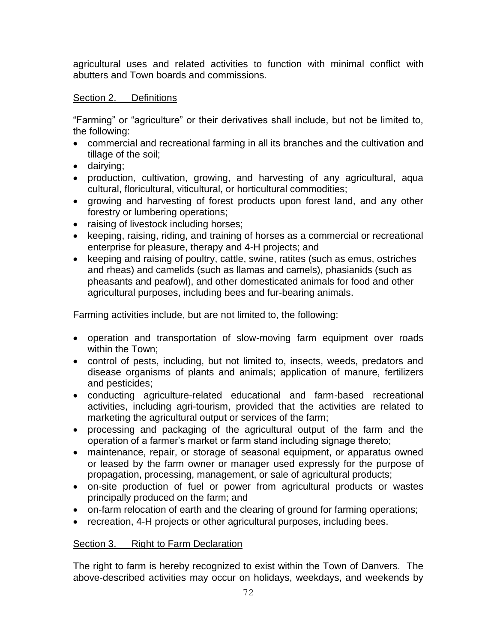agricultural uses and related activities to function with minimal conflict with abutters and Town boards and commissions.

## Section 2. Definitions

"Farming" or "agriculture" or their derivatives shall include, but not be limited to, the following:

- commercial and recreational farming in all its branches and the cultivation and tillage of the soil;
- dairying;
- production, cultivation, growing, and harvesting of any agricultural, aqua cultural, floricultural, viticultural, or horticultural commodities;
- growing and harvesting of forest products upon forest land, and any other forestry or lumbering operations;
- raising of livestock including horses;
- keeping, raising, riding, and training of horses as a commercial or recreational enterprise for pleasure, therapy and 4-H projects; and
- keeping and raising of poultry, cattle, swine, ratites (such as emus, ostriches and rheas) and camelids (such as llamas and camels), phasianids (such as pheasants and peafowl), and other domesticated animals for food and other agricultural purposes, including bees and fur-bearing animals.

Farming activities include, but are not limited to, the following:

- operation and transportation of slow-moving farm equipment over roads within the Town;
- control of pests, including, but not limited to, insects, weeds, predators and disease organisms of plants and animals; application of manure, fertilizers and pesticides;
- conducting agriculture-related educational and farm-based recreational activities, including agri-tourism, provided that the activities are related to marketing the agricultural output or services of the farm;
- processing and packaging of the agricultural output of the farm and the operation of a farmer's market or farm stand including signage thereto;
- maintenance, repair, or storage of seasonal equipment, or apparatus owned or leased by the farm owner or manager used expressly for the purpose of propagation, processing, management, or sale of agricultural products;
- on-site production of fuel or power from agricultural products or wastes principally produced on the farm; and
- on-farm relocation of earth and the clearing of ground for farming operations;
- recreation, 4-H projects or other agricultural purposes, including bees.

# Section 3. Right to Farm Declaration

The right to farm is hereby recognized to exist within the Town of Danvers. The above-described activities may occur on holidays, weekdays, and weekends by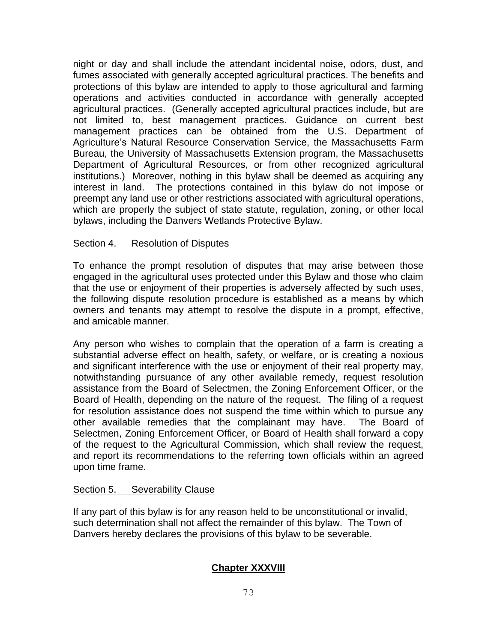night or day and shall include the attendant incidental noise, odors, dust, and fumes associated with generally accepted agricultural practices. The benefits and protections of this bylaw are intended to apply to those agricultural and farming operations and activities conducted in accordance with generally accepted agricultural practices. (Generally accepted agricultural practices include, but are not limited to, best management practices. Guidance on current best management practices can be obtained from the U.S. Department of Agriculture's Natural Resource Conservation Service, the Massachusetts Farm Bureau, the University of Massachusetts Extension program, the Massachusetts Department of Agricultural Resources, or from other recognized agricultural institutions.) Moreover, nothing in this bylaw shall be deemed as acquiring any interest in land. The protections contained in this bylaw do not impose or preempt any land use or other restrictions associated with agricultural operations, which are properly the subject of state statute, regulation, zoning, or other local bylaws, including the Danvers Wetlands Protective Bylaw.

#### Section 4. Resolution of Disputes

To enhance the prompt resolution of disputes that may arise between those engaged in the agricultural uses protected under this Bylaw and those who claim that the use or enjoyment of their properties is adversely affected by such uses, the following dispute resolution procedure is established as a means by which owners and tenants may attempt to resolve the dispute in a prompt, effective, and amicable manner.

Any person who wishes to complain that the operation of a farm is creating a substantial adverse effect on health, safety, or welfare, or is creating a noxious and significant interference with the use or enjoyment of their real property may, notwithstanding pursuance of any other available remedy, request resolution assistance from the Board of Selectmen, the Zoning Enforcement Officer, or the Board of Health, depending on the nature of the request. The filing of a request for resolution assistance does not suspend the time within which to pursue any other available remedies that the complainant may have. The Board of Selectmen, Zoning Enforcement Officer, or Board of Health shall forward a copy of the request to the Agricultural Commission, which shall review the request, and report its recommendations to the referring town officials within an agreed upon time frame.

#### Section 5. Severability Clause

If any part of this bylaw is for any reason held to be unconstitutional or invalid, such determination shall not affect the remainder of this bylaw. The Town of Danvers hereby declares the provisions of this bylaw to be severable.

# **Chapter XXXVIII**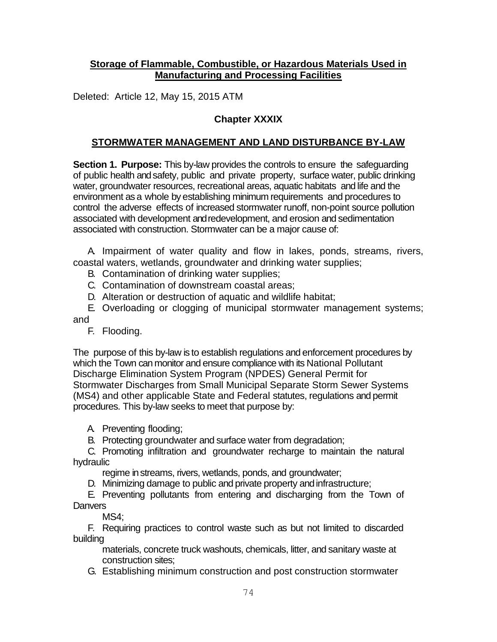## **Storage of Flammable, Combustible, or Hazardous Materials Used in Manufacturing and Processing Facilities**

Deleted: Article 12, May 15, 2015 ATM

# **Chapter XXXIX**

# **STORMWATER MANAGEMENT AND LAND DISTURBANCE BY-LAW**

**Section 1. Purpose:** This by-law provides the controls to ensure the safeguarding of public health and safety, public and private property, surface water, public drinking water, groundwater resources, recreational areas, aquatic habitats and life and the environment as a whole by establishing minimum requirements and procedures to control the adverse effects of increased stormwater runoff, non-point source pollution associated with development and redevelopment, and erosion and sedimentation associated with construction. Stormwater can be a major cause of:

A. Impairment of water quality and flow in lakes, ponds, streams, rivers, coastal waters, wetlands, groundwater and drinking water supplies;

- B. Contamination of drinking water supplies;
- C. Contamination of downstream coastal areas;
- D. Alteration or destruction of aquatic and wildlife habitat;

E. Overloading or clogging of municipal stormwater management systems; and

F. Flooding.

The purpose of this by-law is to establish regulations and enforcement procedures by which the Town can monitor and ensure compliance with its National Pollutant Discharge Elimination System Program (NPDES) General Permit for Stormwater Discharges from Small Municipal Separate Storm Sewer Systems (MS4) and other applicable State and Federal statutes, regulations and permit procedures. This by-law seeks to meet that purpose by:

A. Preventing flooding;

B. Protecting groundwater and surface water from degradation;

C. Promoting infiltration and groundwater recharge to maintain the natural hydraulic

- regime in streams, rivers, wetlands, ponds, and groundwater;
- D. Minimizing damage to public and private property andinfrastructure;

E. Preventing pollutants from entering and discharging from the Town of **Danvers** 

MS4;

F. Requiring practices to control waste such as but not limited to discarded building

materials, concrete truck washouts, chemicals, litter, and sanitary waste at construction sites;

G. Establishing minimum construction and post construction stormwater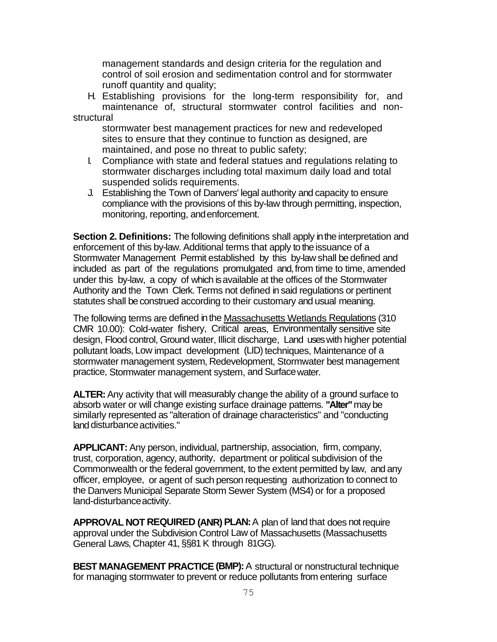management standards and design criteria for the regulation and control of soil erosion and sedimentation control and for stormwater runoff quantity and quality;

H. Establishing provisions for the long-term responsibility for, and maintenance of, structural stormwater control facilities and nonstructural

stormwater best management practices for new and redeveloped sites to ensure that they continue to function as designed, are maintained, and pose no threat to public safety;

- I. Compliance with state and federal statues and regulations relating to stormwater discharges including total maximum daily load and total suspended solids requirements.
- J. Establishing the Town of Danvers' legal authority and capacity to ensure compliance with the provisions of this by-law through permitting, inspection, monitoring, reporting, andenforcement.

**Section 2. Definitions:** The following definitions shall apply in the interpretation and enforcement of this by-law. Additional terms that apply to the issuance of a Stormwater Management Permit established by this by-law shall be defined and included as part of the regulations promulgated and, from time to time, amended under this by-law, a copy of which is available at the offices of the Stormwater Authority and the Town Clerk. Terms not defined in said regulations or pertinent statutes shall be construed according to their customary and usual meaning.

The following terms are defined in the Massachusetts Wetlands Regulations (310 CMR 10.00): Cold-water fishery, Critical areas, Environmentally sensitive site design, Flood control, Ground water, Illicit discharge, Land uses with higher potential pollutant loads, Low impact development (LID) techniques, Maintenance of a stormwater management system, Redevelopment, Stormwater best management practice, Stormwater management system, and Surfacewater.

**ALTER:** Any activity that will measurably change the ability of a ground surface to absorb water or will change existing surface drainage patterns. **"Alter"** may be similarly represented as "alteration of drainage characteristics" and "conducting land disturbance activities."

**APPLICANT:** Any person, individual, partnership, association, firm, company, trust, corporation, agency, authority, department or political subdivision of the Commonwealth or the federal government, to the extent permitted by law, and any officer, employee, or agent of such person requesting authorization to connect to the Danvers Municipal Separate Storm Sewer System (MS4) or for a proposed land-disturbanceactivity.

**APPROVAL NOT REQUIRED (ANR) PLAN:** A plan of land that does not require approval under the Subdivision Control Law of Massachusetts (Massachusetts General Laws, Chapter 41, §§81 K through 81GG).

**BEST MANAGEMENT PRACTICE (BMP):** A structural or nonstructural technique for managing stormwater to prevent or reduce pollutants from entering surface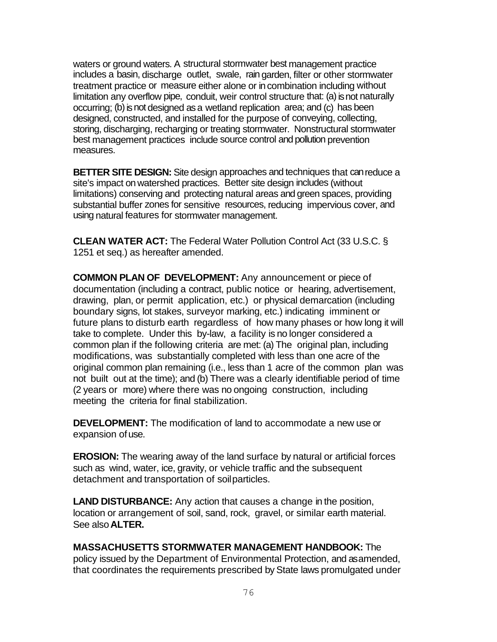waters or ground waters. A structural stormwater best management practice includes a basin, discharge outlet, swale, rain garden, filter or other stormwater treatment practice or measure either alone or in combination including without limitation any overflow pipe, conduit, weir control structure that: (a) is not naturally occurring; (b) is not designed as a wetland replication area; and (c) has been designed, constructed, and installed for the purpose of conveying, collecting, storing, discharging, recharging or treating stormwater. Nonstructural stormwater best management practices include source control and pollution prevention measures.

**BETTER SITE DESIGN:** Site design approaches and techniques that canreduce a site's impact on watershed practices. Better site design includes (without limitations) conserving and protecting natural areas and green spaces, providing substantial buffer zones for sensitive resources, reducing impervious cover, and using natural features for stormwater management.

**CLEAN WATER ACT:** The Federal Water Pollution Control Act (33 U.S.C. § 1251 et seq.) as hereafter amended.

**COMMON PLAN OF DEVELOPMENT:** Any announcement or piece of documentation (including a contract, public notice or hearing, advertisement, drawing, plan, or permit application, etc.) or physical demarcation (including boundary signs, lot stakes, surveyor marking, etc.) indicating imminent or future plans to disturb earth regardless of how many phases or how long it will take to complete. Under this by-law, a facility is no longer considered a common plan if the following criteria are met: (a) The original plan, including modifications, was substantially completed with less than one acre of the original common plan remaining (i.e., less than 1 acre of the common plan was not built out at the time); and (b) There was a clearly identifiable period of time (2 years or more) where there was no ongoing construction, including meeting the criteria for final stabilization.

**DEVELOPMENT:** The modification of land to accommodate a new use or expansion ofuse.

**EROSION:** The wearing away of the land surface by natural or artificial forces such as wind, water, ice, gravity, or vehicle traffic and the subsequent detachment and transportation of soilparticles.

**LAND DISTURBANCE:** Any action that causes a change in the position, location or arrangement of soil, sand, rock, gravel, or similar earth material. See also**ALTER.**

#### **MASSACHUSETTS STORMWATER MANAGEMENT HANDBOOK:** The

policy issued by the Department of Environmental Protection, and as amended, that coordinates the requirements prescribed by State laws promulgated under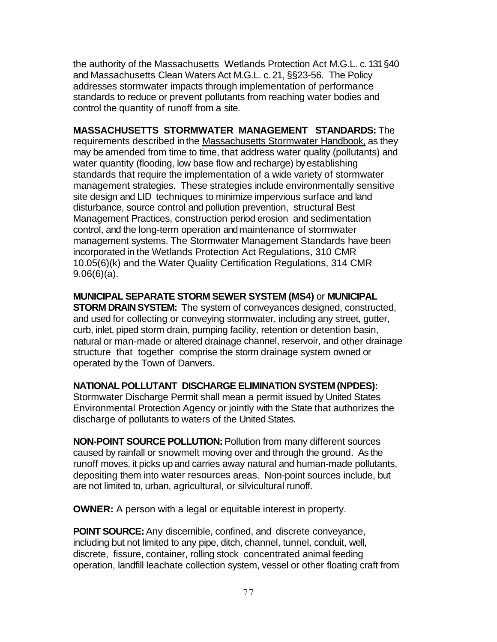the authority of the Massachusetts Wetlands Protection Act M.G.L. c. 131 §40 and Massachusetts Clean Waters Act M.G.L. c. 21, §§23-56. The Policy addresses stormwater impacts through implementation of performance standards to reduce or prevent pollutants from reaching water bodies and control the quantity of runoff from a site.

**MASSACHUSETTS STORMWATER MANAGEMENT STANDARDS:** The requirements described in the Massachusetts Stormwater Handbook, as they may be amended from time to time, that address water quality (pollutants) and water quantity (flooding, low base flow and recharge) by establishing standards that require the implementation of a wide variety of stormwater management strategies. These strategies include environmentally sensitive site design and LID techniques to minimize impervious surface and land disturbance, source control and pollution prevention, structural Best Management Practices, construction period erosion and sedimentation control, and the long-term operation and maintenance of stormwater management systems. The Stormwater Management Standards have been incorporated in the Wetlands Protection Act Regulations, 310 CMR 10.05(6)(k) and the Water Quality Certification Regulations, 314 CMR 9.06(6)(a).

#### **MUNICIPAL SEPARATE STORM SEWER SYSTEM (MS4)** or **MUNICIPAL**

**STORM DRAIN SYSTEM:** The system of conveyances designed, constructed, and used for collecting or conveying stormwater, including any street, gutter, curb, inlet, piped storm drain, pumping facility, retention or detention basin, natural or man-made or altered drainage channel, reservoir, and other drainage structure that together comprise the storm drainage system owned or operated by the Town of Danvers.

#### **NATIONAL POLLUTANT DISCHARGE ELIMINATION SYSTEM (NPDES):**

Stormwater Discharge Permit shall mean a permit issued by United States Environmental Protection Agency or jointly with the State that authorizes the discharge of pollutants to waters of the United States.

**NON-POINT SOURCE POLLUTION:** Pollution from many different sources caused by rainfall or snowmelt moving over and through the ground. As the runoff moves, it picks up and carries away natural and human-made pollutants, depositing them into water resources areas. Non-point sources include, but are not limited to, urban, agricultural, or silvicultural runoff.

**OWNER:** A person with a legal or equitable interest in property.

**POINT SOURCE:** Any discernible, confined, and discrete conveyance, including but not limited to any pipe, ditch, channel, tunnel, conduit, well, discrete, fissure, container, rolling stock concentrated animal feeding operation, landfill leachate collection system, vessel or other floating craft from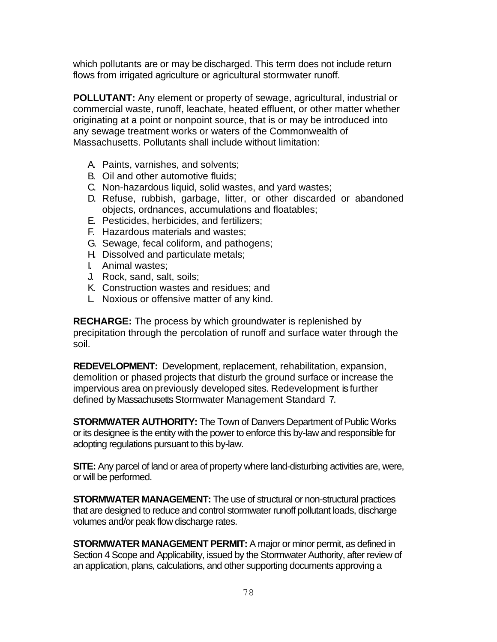which pollutants are or may be discharged. This term does not include return flows from irrigated agriculture or agricultural stormwater runoff.

**POLLUTANT:** Any element or property of sewage, agricultural, industrial or commercial waste, runoff, leachate, heated effluent, or other matter whether originating at a point or nonpoint source, that is or may be introduced into any sewage treatment works or waters of the Commonwealth of Massachusetts. Pollutants shall include without limitation:

- A. Paints, varnishes, and solvents;
- B. Oil and other automotive fluids;
- C. Non-hazardous liquid, solid wastes, and yard wastes;
- D. Refuse, rubbish, garbage, litter, or other discarded or abandoned objects, ordnances, accumulations and floatables;
- E. Pesticides, herbicides, and fertilizers;
- F. Hazardous materials and wastes;
- G. Sewage, fecal coliform, and pathogens;
- H. Dissolved and particulate metals;
- I. Animal wastes;
- J. Rock, sand, salt, soils;
- K. Construction wastes and residues; and
- L. Noxious or offensive matter of any kind.

**RECHARGE:** The process by which groundwater is replenished by precipitation through the percolation of runoff and surface water through the soil.

**REDEVELOPMENT:** Development, replacement, rehabilitation, expansion, demolition or phased projects that disturb the ground surface or increase the impervious area on previously developed sites. Redevelopment is further defined by Massachusetts Stormwater Management Standard 7.

**STORMWATER AUTHORITY:** The Town of Danvers Department of Public Works or its designee is the entity with the power to enforce this by-law and responsible for adopting regulations pursuant to this by-law.

**SITE:** Any parcel of land or area of property where land-disturbing activities are, were, or will be performed.

**STORMWATER MANAGEMENT:** The use of structural or non-structural practices that are designed to reduce and control stormwater runoff pollutant loads, discharge volumes and/or peak flow discharge rates.

**STORMWATER MANAGEMENT PERMIT:** A major or minor permit, as defined in Section 4 Scope and Applicability, issued by the Stormwater Authority, after review of an application, plans, calculations, and other supporting documents approving a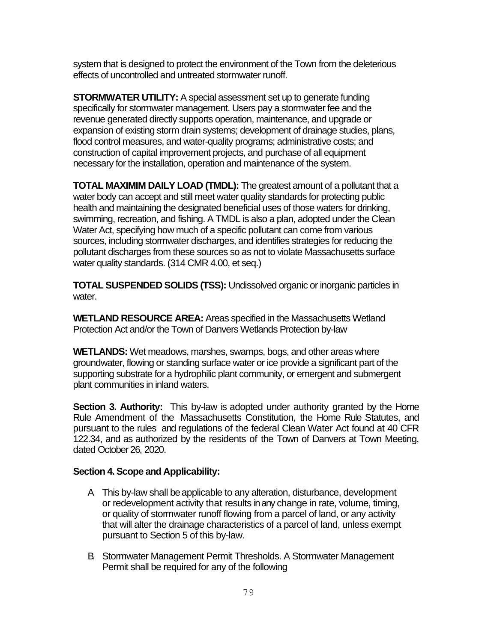system that is designed to protect the environment of the Town from the deleterious effects of uncontrolled and untreated stormwater runoff.

**STORMWATER UTILITY:** A special assessment set up to generate funding specifically for stormwater management. Users pay a stormwater fee and the revenue generated directly supports operation, maintenance, and upgrade or expansion of existing storm drain systems; development of drainage studies, plans, flood control measures, and water-quality programs; administrative costs; and construction of capital improvement projects, and purchase of all equipment necessary for the installation, operation and maintenance of the system.

**TOTAL MAXIMIM DAILY LOAD (TMDL):** The greatest amount of a pollutant that a water body can accept and still meet water quality standards for protecting public health and maintaining the designated beneficial uses of those waters for drinking, swimming, recreation, and fishing. A TMDL is also a plan, adopted under the Clean Water Act, specifying how much of a specific pollutant can come from various sources, including stormwater discharges, and identifies strategies for reducing the pollutant discharges from these sources so as not to violate Massachusetts surface water quality standards. (314 CMR 4.00, et seq.)

**TOTAL SUSPENDED SOLIDS (TSS):** Undissolved organic or inorganic particles in water.

**WETLAND RESOURCE AREA:** Areas specified in the Massachusetts Wetland Protection Act and/or the Town of Danvers Wetlands Protection by-law

**WETLANDS:** Wet meadows, marshes, swamps, bogs, and other areas where groundwater, flowing or standing surface water or ice provide a significant part of the supporting substrate for a hydrophilic plant community, or emergent and submergent plant communities in inland waters.

**Section 3. Authority:** This by-law is adopted under authority granted by the Home Rule Amendment of the Massachusetts Constitution, the Home Rule Statutes, and pursuant to the rules and regulations of the federal Clean Water Act found at 40 CFR 122.34, and as authorized by the residents of the Town of Danvers at Town Meeting, dated October 26, 2020.

#### **Section 4. Scope and Applicability:**

- A. This by-law shall be applicable to any alteration, disturbance, development or redevelopment activity that results in any change in rate, volume, timing, or quality of stormwater runoff flowing from a parcel of land, or any activity that will alter the drainage characteristics of a parcel of land, unless exempt pursuant to Section 5 of this by-law.
- B. Stormwater Management Permit Thresholds. A Stormwater Management Permit shall be required for any of the following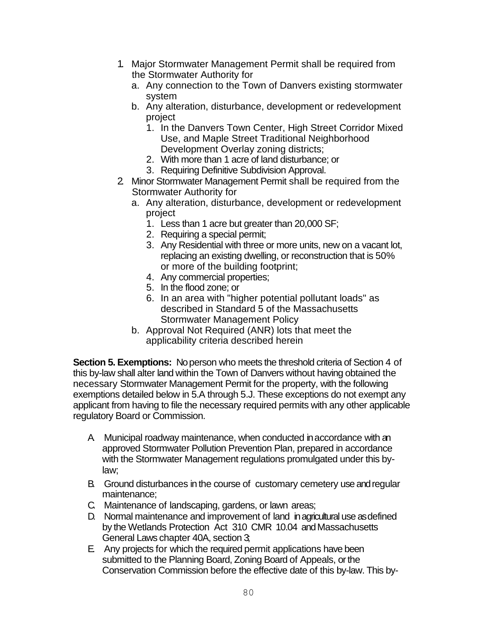- 1. Major Stormwater Management Permit shall be required from the Stormwater Authority for
	- a. Any connection to the Town of Danvers existing stormwater system
	- b. Any alteration, disturbance, development or redevelopment project
		- 1. In the Danvers Town Center, High Street Corridor Mixed Use, and Maple Street Traditional Neighborhood Development Overlay zoning districts;
		- 2. With more than 1 acre of land disturbance; or
		- 3. Requiring Definitive Subdivision Approval.
- 2. Minor Stormwater Management Permit shall be required from the Stormwater Authority for
	- a. Any alteration, disturbance, development or redevelopment project
		- 1. Less than 1 acre but greater than 20,000 SF;
		- 2. Requiring a special permit;
		- 3. Any Residential with three or more units, new on a vacant lot, replacing an existing dwelling, or reconstruction that is 50% or more of the building footprint;
		- 4. Any commercial properties;
		- 5. In the flood zone; or
		- 6. In an area with "higher potential pollutant loads" as described in Standard 5 of the Massachusetts Stormwater Management Policy
	- b. Approval Not Required (ANR) lots that meet the applicability criteria described herein

**Section 5. Exemptions:** No person who meets the threshold criteria of Section 4 of this by-law shall alter land within the Town of Danvers without having obtained the necessary Stormwater Management Permit for the property, with the following exemptions detailed below in 5.A through 5.J. These exceptions do not exempt any applicant from having to file the necessary required permits with any other applicable regulatory Board or Commission.

- A. Municipal roadway maintenance, when conducted in accordance with an approved Stormwater Pollution Prevention Plan, prepared in accordance with the Stormwater Management regulations promulgated under this bylaw;
- B. Ground disturbances in the course of customary cemetery use and regular maintenance;
- C. Maintenance of landscaping, gardens, or lawn areas;
- D. Normal maintenance and improvement of land in agricultural use as defined by the Wetlands Protection Act 310 CMR 10.04 and Massachusetts General Laws chapter 40A, section 3;
- E. Any projects for which the required permit applications have been submitted to the Planning Board, Zoning Board of Appeals, or the Conservation Commission before the effective date of this by-law. This by-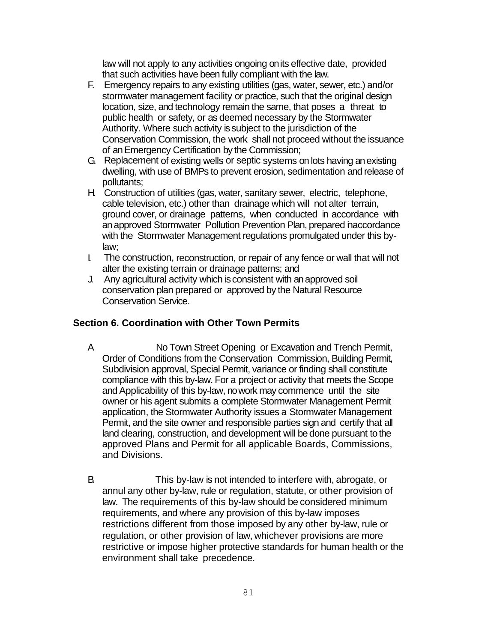law will not apply to any activities ongoing on its effective date, provided that such activities have been fully compliant with the law.

- F. Emergency repairs to any existing utilities (gas, water, sewer, etc.) and/or stormwater management facility or practice, such that the original design location, size, and technology remain the same, that poses a threat to public health or safety, or as deemed necessary by the Stormwater Authority. Where such activity is subject to the jurisdiction of the Conservation Commission, the work shall not proceed without the issuance of an Emergency Certification by the Commission;
- G. Replacement of existing wells or septic systems on lots having an existing dwelling, with use of BMPs to prevent erosion, sedimentation and release of pollutants;
- H. Construction of utilities (gas, water, sanitary sewer, electric, telephone, cable television, etc.) other than drainage which will not alter terrain, ground cover, or drainage patterns, when conducted in accordance with an approved Stormwater Pollution Prevention Plan, prepared naccordance with the Stormwater Management regulations promulgated under this bylaw;
- I. The construction, reconstruction, or repair of any fence or wall that will not alter the existing terrain or drainage patterns; and
- J. Any agricultural activity which is consistent with an approved soil conservation plan prepared or approved by the Natural Resource Conservation Service.

#### **Section 6. Coordination with Other Town Permits**

- A. No Town Street Opening or Excavation and Trench Permit, Order of Conditions from the Conservation Commission, Building Permit, Subdivision approval, Special Permit, variance or finding shall constitute compliance with this by-law. For a project or activity that meets the Scope and Applicability of this by-law, no work may commence until the site owner or his agent submits a complete Stormwater Management Permit application, the Stormwater Authority issues a Stormwater Management Permit, and the site owner and responsible parties sign and certify that all land clearing, construction, and development will be done pursuant to the approved Plans and Permit for all applicable Boards, Commissions, and Divisions.
- B. This by-law is not intended to interfere with, abrogate, or annul any other by-law, rule or regulation, statute, or other provision of law. The requirements of this by-law should be considered minimum requirements, and where any provision of this by-law imposes restrictions different from those imposed by any other by-law, rule or regulation, or other provision of law, whichever provisions are more restrictive or impose higher protective standards for human health or the environment shall take precedence.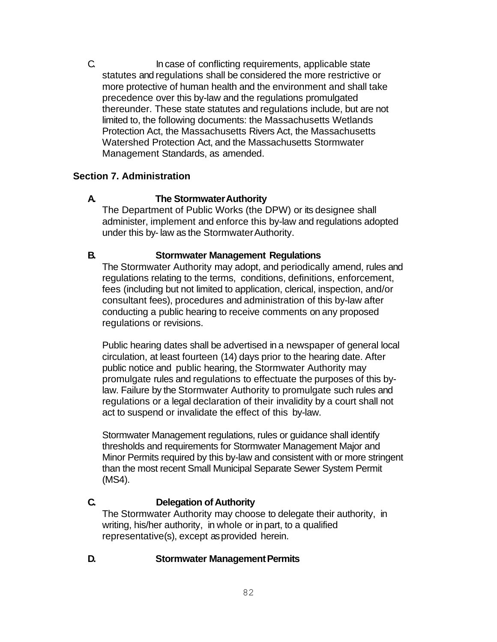C. In case of conflicting requirements, applicable state statutes and regulations shall be considered the more restrictive or more protective of human health and the environment and shall take precedence over this by-law and the regulations promulgated thereunder. These state statutes and regulations include, but are not limited to, the following documents: the Massachusetts Wetlands Protection Act, the Massachusetts Rivers Act, the Massachusetts Watershed Protection Act, and the Massachusetts Stormwater Management Standards, as amended.

## **Section 7. Administration**

#### **A. The StormwaterAuthority**

The Department of Public Works (the DPW) or its designee shall administer, implement and enforce this by-law and regulations adopted under this by- law as the StormwaterAuthority.

#### **B. Stormwater Management Regulations**

The Stormwater Authority may adopt, and periodically amend, rules and regulations relating to the terms, conditions, definitions, enforcement, fees (including but not limited to application, clerical, inspection, and/or consultant fees), procedures and administration of this by-law after conducting a public hearing to receive comments on any proposed regulations or revisions.

Public hearing dates shall be advertised in a newspaper of general local circulation, at least fourteen (14) days prior to the hearing date. After public notice and public hearing, the Stormwater Authority may promulgate rules and regulations to effectuate the purposes of this bylaw. Failure by the Stormwater Authority to promulgate such rules and regulations or a legal declaration of their invalidity by a court shall not act to suspend or invalidate the effect of this by-law.

Stormwater Management regulations, rules or guidance shall identify thresholds and requirements for Stormwater Management Major and Minor Permits required by this by-law and consistent with or more stringent than the most recent Small Municipal Separate Sewer System Permit (MS4).

## **C. Delegation of Authority**

The Stormwater Authority may choose to delegate their authority, in writing, his/her authority, in whole or in part, to a qualified representative(s), except as provided herein.

#### **D.** Stormwater Management Permits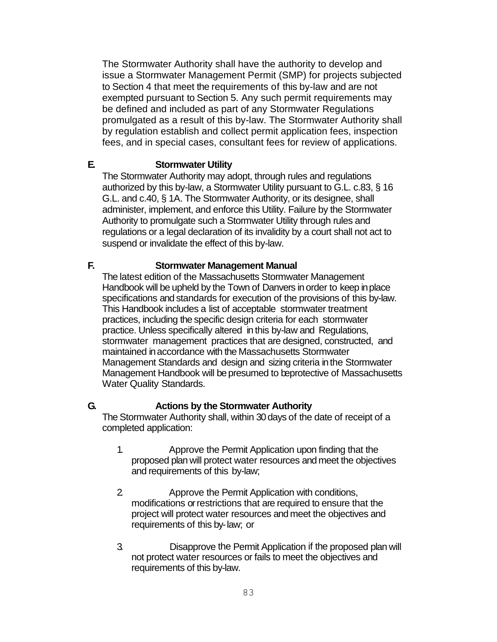The Stormwater Authority shall have the authority to develop and issue a Stormwater Management Permit (SMP) for projects subjected to Section 4 that meet the requirements of this by-law and are not exempted pursuant to Section 5. Any such permit requirements may be defined and included as part of any Stormwater Regulations promulgated as a result of this by-law. The Stormwater Authority shall by regulation establish and collect permit application fees, inspection fees, and in special cases, consultant fees for review of applications.

## **E. Stormwater Utility**

The Stormwater Authority may adopt, through rules and regulations authorized by this by-law, a Stormwater Utility pursuant to G.L. c.83, § 16 G.L. and c.40, § 1A. The Stormwater Authority, or its designee, shall administer, implement, and enforce this Utility. Failure by the Stormwater Authority to promulgate such a Stormwater Utility through rules and regulations or a legal declaration of its invalidity by a court shall not act to suspend or invalidate the effect of this by-law.

# **F. Stormwater Management Manual**

The latest edition of the Massachusetts Stormwater Management Handbook will be upheld by the Town of Danvers in order to keep in place specifications and standards for execution of the provisions of this by-law. This Handbook includes a list of acceptable stormwater treatment practices, including the specific design criteria for each stormwater practice. Unless specifically altered in this by-law and Regulations, stormwater management practices that are designed, constructed, and maintained in accordance with the Massachusetts Stormwater Management Standards and design and sizing criteria in the Stormwater Management Handbook will be presumed to beprotective of Massachusetts Water Quality Standards.

## **G. Actions by the Stormwater Authority**

The Stormwater Authority shall, within 30 days of the date of receipt of a completed application:

- 1. Approve the Permit Application upon finding that the proposed plan will protect water resources and meet the objectives and requirements of this by-law;
- 2. Approve the Permit Application with conditions, modifications or restrictions that are required to ensure that the project will protect water resources and meet the objectives and requirements of this by-law; or
- 3. Disapprove the Permit Application if the proposed plan will not protect water resources or fails to meet the objectives and requirements of this by-law.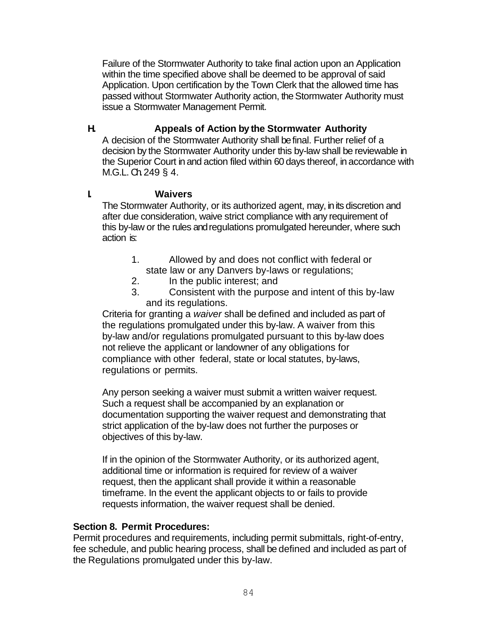Failure of the Stormwater Authority to take final action upon an Application within the time specified above shall be deemed to be approval of said Application. Upon certification by the Town Clerk that the allowed time has passed without Stormwater Authority action, the Stormwater Authority must issue a Stormwater Management Permit.

# **H. Appeals of Action by the Stormwater Authority**

A decision of the Stormwater Authority shall be final. Further relief of a decision by the Stormwater Authority under this by-law shall be reviewable in the Superior Court in and action filed within 60 days thereof, in accordance with M.G.L. Ch.249 § 4.

# **I. Waivers**

The Stormwater Authority, or its authorized agent, may, in its discretion and after due consideration, waive strict compliance with any requirement of this by-law or the rules and regulations promulgated hereunder, where such action is:

- 1. Allowed by and does not conflict with federal or state law or any Danvers by-laws or regulations;
- 2. In the public interest; and
- 3. Consistent with the purpose and intent of this by-law and its regulations.

Criteria for granting a *waiver* shall be defined and included as part of the regulations promulgated under this by-law. A waiver from this by-law and/or regulations promulgated pursuant to this by-law does not relieve the applicant or landowner of any obligations for compliance with other federal, state or local statutes, by-laws, regulations or permits.

Any person seeking a waiver must submit a written waiver request. Such a request shall be accompanied by an explanation or documentation supporting the waiver request and demonstrating that strict application of the by-law does not further the purposes or objectives of this by-law.

If in the opinion of the Stormwater Authority, or its authorized agent, additional time or information is required for review of a waiver request, then the applicant shall provide it within a reasonable timeframe. In the event the applicant objects to or fails to provide requests information, the waiver request shall be denied.

## **Section 8. Permit Procedures:**

Permit procedures and requirements, including permit submittals, right-of-entry, fee schedule, and public hearing process, shall be defined and included as part of the Regulations promulgated under this by-law.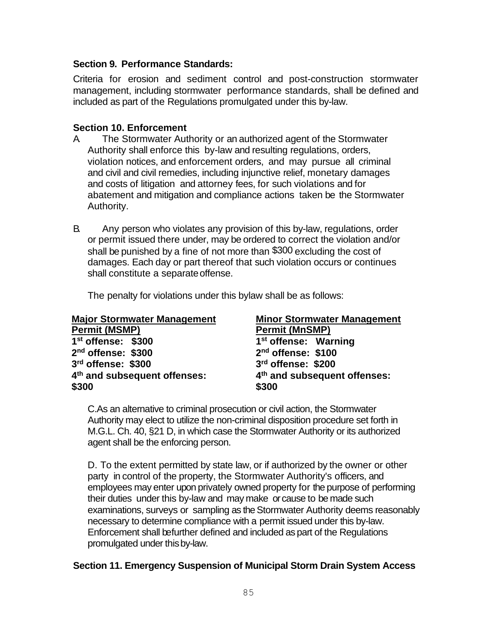## **Section 9. Performance Standards:**

Criteria for erosion and sediment control and post-construction stormwater management, including stormwater performance standards, shall be defined and included as part of the Regulations promulgated under this by-law.

#### **Section 10. Enforcement**

- A. The Stormwater Authority or an authorized agent of the Stormwater Authority shall enforce this by-law and resulting regulations, orders, violation notices, and enforcement orders, and may pursue all criminal and civil and civil remedies, including injunctive relief, monetary damages and costs of litigation and attorney fees, for such violations and for abatement and mitigation and compliance actions taken be the Stormwater Authority.
- B. Any person who violates any provision of this by-law, regulations, order or permit issued there under, may be ordered to correct the violation and/or shall be punished by a fine of not more than \$300 excluding the cost of damages. Each day or part thereof that such violation occurs or continues shall constitute a separateoffense.

The penalty for violations under this bylaw shall be as follows:

| <b>Major Stormwater Management</b>       | <b>Minor Stormwater Management</b>       |
|------------------------------------------|------------------------------------------|
| <b>Permit (MSMP)</b>                     | <b>Permit (MnSMP)</b>                    |
| 1 <sup>st</sup> offense: \$300           | 1 <sup>st</sup> offense: Warning         |
| 2 <sup>nd</sup> offense: \$300           | 2 <sup>nd</sup> offense: \$100           |
| 3rd offense: \$300                       | 3rd offense: \$200                       |
| 4 <sup>th</sup> and subsequent offenses: | 4 <sup>th</sup> and subsequent offenses: |
| \$300                                    | \$300                                    |

C.As an alternative to criminal prosecution or civil action, the Stormwater Authority may elect to utilize the non-criminal disposition procedure set forth in M.G.L. Ch. 40, §21 D, in which case the Stormwater Authority or its authorized agent shall be the enforcing person.

D. To the extent permitted by state law, or if authorized by the owner or other party in control of the property, the Stormwater Authority's officers, and employees may enter upon privately owned property for the purpose of performing their duties under this by-law and may make or cause to be made such examinations, surveys or sampling as the Stormwater Authority deems reasonably necessary to determine compliance with a permit issued under this by-law. Enforcement shall befurther defined and included as part of the Regulations promulgated under thisby-law.

## **Section 11. Emergency Suspension of Municipal Storm Drain System Access**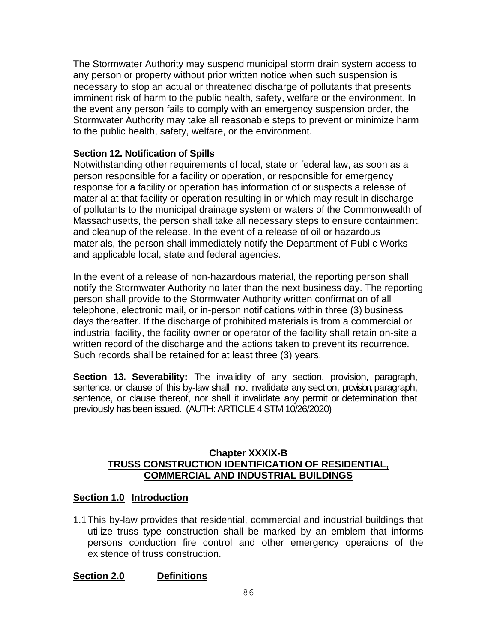The Stormwater Authority may suspend municipal storm drain system access to any person or property without prior written notice when such suspension is necessary to stop an actual or threatened discharge of pollutants that presents imminent risk of harm to the public health, safety, welfare or the environment. In the event any person fails to comply with an emergency suspension order, the Stormwater Authority may take all reasonable steps to prevent or minimize harm to the public health, safety, welfare, or the environment.

#### **Section 12. Notification of Spills**

Notwithstanding other requirements of local, state or federal law, as soon as a person responsible for a facility or operation, or responsible for emergency response for a facility or operation has information of or suspects a release of material at that facility or operation resulting in or which may result in discharge of pollutants to the municipal drainage system or waters of the Commonwealth of Massachusetts, the person shall take all necessary steps to ensure containment, and cleanup of the release. In the event of a release of oil or hazardous materials, the person shall immediately notify the Department of Public Works and applicable local, state and federal agencies.

In the event of a release of non-hazardous material, the reporting person shall notify the Stormwater Authority no later than the next business day. The reporting person shall provide to the Stormwater Authority written confirmation of all telephone, electronic mail, or in-person notifications within three (3) business days thereafter. If the discharge of prohibited materials is from a commercial or industrial facility, the facility owner or operator of the facility shall retain on-site a written record of the discharge and the actions taken to prevent its recurrence. Such records shall be retained for at least three (3) years.

**Section 13. Severability:** The invalidity of any section, provision, paragraph, sentence, or clause of this by-law shall not invalidate any section, provision, paragraph, sentence, or clause thereof, nor shall it invalidate any permit or determination that previously has been issued. (AUTH: ARTICLE 4 STM 10/26/2020)

#### **Chapter XXXIX-B TRUSS CONSTRUCTION IDENTIFICATION OF RESIDENTIAL, COMMERCIAL AND INDUSTRIAL BUILDINGS**

## **Section 1.0 Introduction**

1.1This by-law provides that residential, commercial and industrial buildings that utilize truss type construction shall be marked by an emblem that informs persons conduction fire control and other emergency operaions of the existence of truss construction.

## **Section 2.0 Definitions**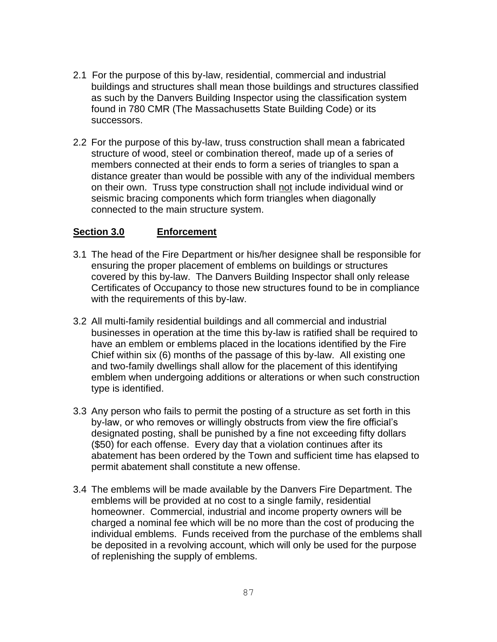- 2.1 For the purpose of this by-law, residential, commercial and industrial buildings and structures shall mean those buildings and structures classified as such by the Danvers Building Inspector using the classification system found in 780 CMR (The Massachusetts State Building Code) or its successors.
- 2.2 For the purpose of this by-law, truss construction shall mean a fabricated structure of wood, steel or combination thereof, made up of a series of members connected at their ends to form a series of triangles to span a distance greater than would be possible with any of the individual members on their own. Truss type construction shall not include individual wind or seismic bracing components which form triangles when diagonally connected to the main structure system.

#### **Section 3.0 Enforcement**

- 3.1 The head of the Fire Department or his/her designee shall be responsible for ensuring the proper placement of emblems on buildings or structures covered by this by-law. The Danvers Building Inspector shall only release Certificates of Occupancy to those new structures found to be in compliance with the requirements of this by-law.
- 3.2 All multi-family residential buildings and all commercial and industrial businesses in operation at the time this by-law is ratified shall be required to have an emblem or emblems placed in the locations identified by the Fire Chief within six (6) months of the passage of this by-law. All existing one and two-family dwellings shall allow for the placement of this identifying emblem when undergoing additions or alterations or when such construction type is identified.
- 3.3 Any person who fails to permit the posting of a structure as set forth in this by-law, or who removes or willingly obstructs from view the fire official's designated posting, shall be punished by a fine not exceeding fifty dollars (\$50) for each offense. Every day that a violation continues after its abatement has been ordered by the Town and sufficient time has elapsed to permit abatement shall constitute a new offense.
- 3.4 The emblems will be made available by the Danvers Fire Department. The emblems will be provided at no cost to a single family, residential homeowner. Commercial, industrial and income property owners will be charged a nominal fee which will be no more than the cost of producing the individual emblems. Funds received from the purchase of the emblems shall be deposited in a revolving account, which will only be used for the purpose of replenishing the supply of emblems.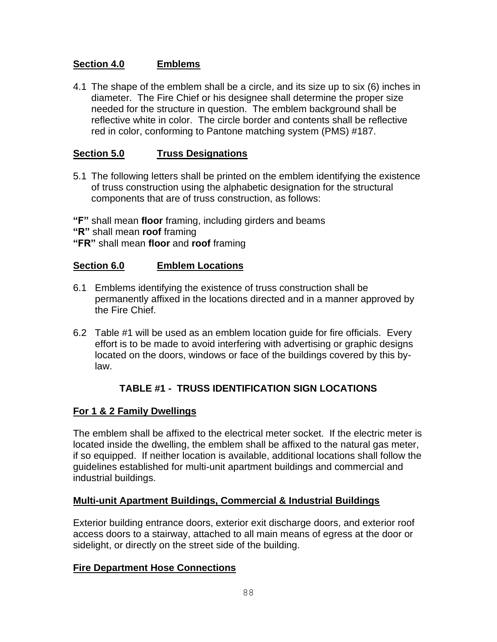# **Section 4.0 Emblems**

4.1 The shape of the emblem shall be a circle, and its size up to six (6) inches in diameter. The Fire Chief or his designee shall determine the proper size needed for the structure in question. The emblem background shall be reflective white in color. The circle border and contents shall be reflective red in color, conforming to Pantone matching system (PMS) #187.

# **Section 5.0 Truss Designations**

5.1 The following letters shall be printed on the emblem identifying the existence of truss construction using the alphabetic designation for the structural components that are of truss construction, as follows:

**"F"** shall mean **floor** framing, including girders and beams **"R"** shall mean **roof** framing **"FR"** shall mean **floor** and **roof** framing

#### **Section 6.0 Emblem Locations**

- 6.1 Emblems identifying the existence of truss construction shall be permanently affixed in the locations directed and in a manner approved by the Fire Chief.
- 6.2 Table #1 will be used as an emblem location guide for fire officials. Every effort is to be made to avoid interfering with advertising or graphic designs located on the doors, windows or face of the buildings covered by this bylaw.

## **TABLE #1 - TRUSS IDENTIFICATION SIGN LOCATIONS**

## **For 1 & 2 Family Dwellings**

The emblem shall be affixed to the electrical meter socket. If the electric meter is located inside the dwelling, the emblem shall be affixed to the natural gas meter, if so equipped. If neither location is available, additional locations shall follow the guidelines established for multi-unit apartment buildings and commercial and industrial buildings.

## **Multi-unit Apartment Buildings, Commercial & Industrial Buildings**

Exterior building entrance doors, exterior exit discharge doors, and exterior roof access doors to a stairway, attached to all main means of egress at the door or sidelight, or directly on the street side of the building.

## **Fire Department Hose Connections**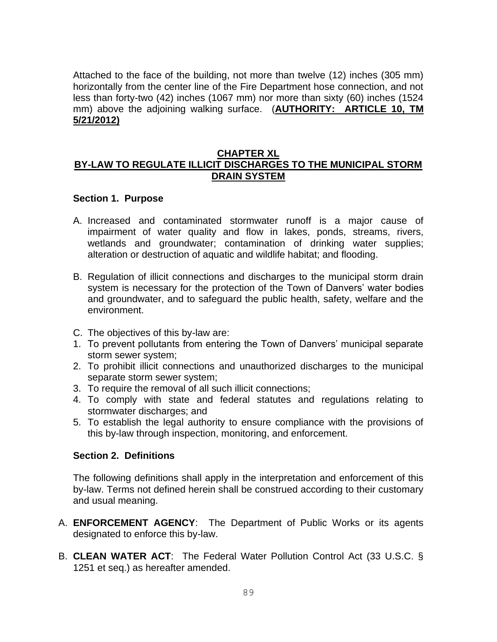Attached to the face of the building, not more than twelve (12) inches (305 mm) horizontally from the center line of the Fire Department hose connection, and not less than forty-two (42) inches (1067 mm) nor more than sixty (60) inches (1524 mm) above the adjoining walking surface. (**AUTHORITY: ARTICLE 10, TM 5/21/2012)**

#### **CHAPTER XL BY-LAW TO REGULATE ILLICIT DISCHARGES TO THE MUNICIPAL STORM DRAIN SYSTEM**

#### **Section 1. Purpose**

- A. Increased and contaminated stormwater runoff is a major cause of impairment of water quality and flow in lakes, ponds, streams, rivers, wetlands and groundwater; contamination of drinking water supplies; alteration or destruction of aquatic and wildlife habitat; and flooding.
- B. Regulation of illicit connections and discharges to the municipal storm drain system is necessary for the protection of the Town of Danvers' water bodies and groundwater, and to safeguard the public health, safety, welfare and the environment.
- C. The objectives of this by-law are:
- 1. To prevent pollutants from entering the Town of Danvers' municipal separate storm sewer system;
- 2. To prohibit illicit connections and unauthorized discharges to the municipal separate storm sewer system;
- 3. To require the removal of all such illicit connections;
- 4. To comply with state and federal statutes and regulations relating to stormwater discharges; and
- 5. To establish the legal authority to ensure compliance with the provisions of this by-law through inspection, monitoring, and enforcement.

#### **Section 2. Definitions**

The following definitions shall apply in the interpretation and enforcement of this by-law. Terms not defined herein shall be construed according to their customary and usual meaning.

- A. **ENFORCEMENT AGENCY**: The Department of Public Works or its agents designated to enforce this by-law.
- B. **CLEAN WATER ACT**: The Federal Water Pollution Control Act (33 U.S.C. § 1251 et seq.) as hereafter amended.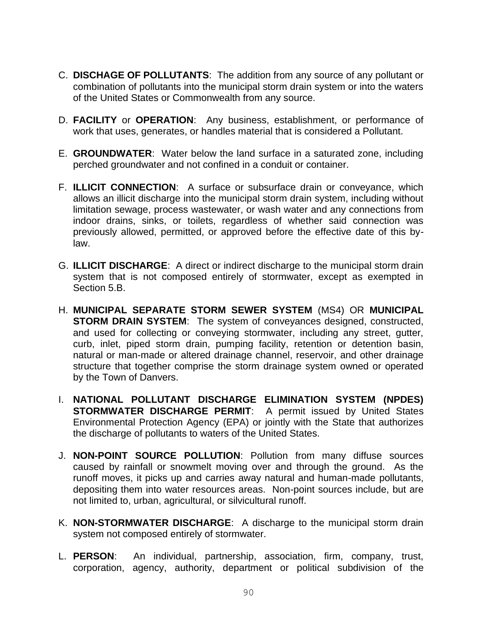- C. **DISCHAGE OF POLLUTANTS**: The addition from any source of any pollutant or combination of pollutants into the municipal storm drain system or into the waters of the United States or Commonwealth from any source.
- D. **FACILITY** or **OPERATION**: Any business, establishment, or performance of work that uses, generates, or handles material that is considered a Pollutant.
- E. **GROUNDWATER**: Water below the land surface in a saturated zone, including perched groundwater and not confined in a conduit or container.
- F. **ILLICIT CONNECTION**: A surface or subsurface drain or conveyance, which allows an illicit discharge into the municipal storm drain system, including without limitation sewage, process wastewater, or wash water and any connections from indoor drains, sinks, or toilets, regardless of whether said connection was previously allowed, permitted, or approved before the effective date of this bylaw.
- G. **ILLICIT DISCHARGE**: A direct or indirect discharge to the municipal storm drain system that is not composed entirely of stormwater, except as exempted in Section 5.B.
- H. **MUNICIPAL SEPARATE STORM SEWER SYSTEM** (MS4) OR **MUNICIPAL STORM DRAIN SYSTEM**: The system of conveyances designed, constructed, and used for collecting or conveying stormwater, including any street, gutter, curb, inlet, piped storm drain, pumping facility, retention or detention basin, natural or man-made or altered drainage channel, reservoir, and other drainage structure that together comprise the storm drainage system owned or operated by the Town of Danvers.
- I. **NATIONAL POLLUTANT DISCHARGE ELIMINATION SYSTEM (NPDES) STORMWATER DISCHARGE PERMIT**: A permit issued by United States Environmental Protection Agency (EPA) or jointly with the State that authorizes the discharge of pollutants to waters of the United States.
- J. **NON-POINT SOURCE POLLUTION**: Pollution from many diffuse sources caused by rainfall or snowmelt moving over and through the ground. As the runoff moves, it picks up and carries away natural and human-made pollutants, depositing them into water resources areas. Non-point sources include, but are not limited to, urban, agricultural, or silvicultural runoff.
- K. **NON-STORMWATER DISCHARGE**: A discharge to the municipal storm drain system not composed entirely of stormwater.
- L. **PERSON**: An individual, partnership, association, firm, company, trust, corporation, agency, authority, department or political subdivision of the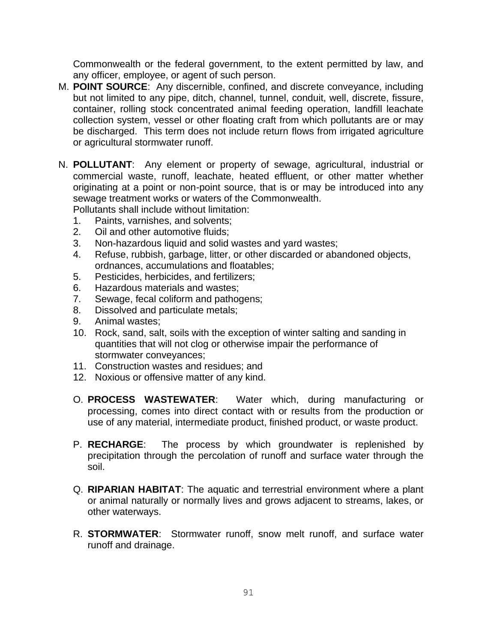Commonwealth or the federal government, to the extent permitted by law, and any officer, employee, or agent of such person.

- M. **POINT SOURCE**: Any discernible, confined, and discrete conveyance, including but not limited to any pipe, ditch, channel, tunnel, conduit, well, discrete, fissure, container, rolling stock concentrated animal feeding operation, landfill leachate collection system, vessel or other floating craft from which pollutants are or may be discharged. This term does not include return flows from irrigated agriculture or agricultural stormwater runoff.
- N. **POLLUTANT**: Any element or property of sewage, agricultural, industrial or commercial waste, runoff, leachate, heated effluent, or other matter whether originating at a point or non-point source, that is or may be introduced into any sewage treatment works or waters of the Commonwealth.

Pollutants shall include without limitation:

- 1. Paints, varnishes, and solvents;
- 2. Oil and other automotive fluids;
- 3. Non-hazardous liquid and solid wastes and yard wastes;
- 4. Refuse, rubbish, garbage, litter, or other discarded or abandoned objects, ordnances, accumulations and floatables;
- 5. Pesticides, herbicides, and fertilizers;
- 6. Hazardous materials and wastes;
- 7. Sewage, fecal coliform and pathogens;
- 8. Dissolved and particulate metals;
- 9. Animal wastes;
- 10. Rock, sand, salt, soils with the exception of winter salting and sanding in quantities that will not clog or otherwise impair the performance of stormwater conveyances;
- 11. Construction wastes and residues; and
- 12. Noxious or offensive matter of any kind.
- O. **PROCESS WASTEWATER**: Water which, during manufacturing or processing, comes into direct contact with or results from the production or use of any material, intermediate product, finished product, or waste product.
- P. **RECHARGE**: The process by which groundwater is replenished by precipitation through the percolation of runoff and surface water through the soil.
- Q. **RIPARIAN HABITAT**: The aquatic and terrestrial environment where a plant or animal naturally or normally lives and grows adjacent to streams, lakes, or other waterways.
- R. **STORMWATER**: Stormwater runoff, snow melt runoff, and surface water runoff and drainage.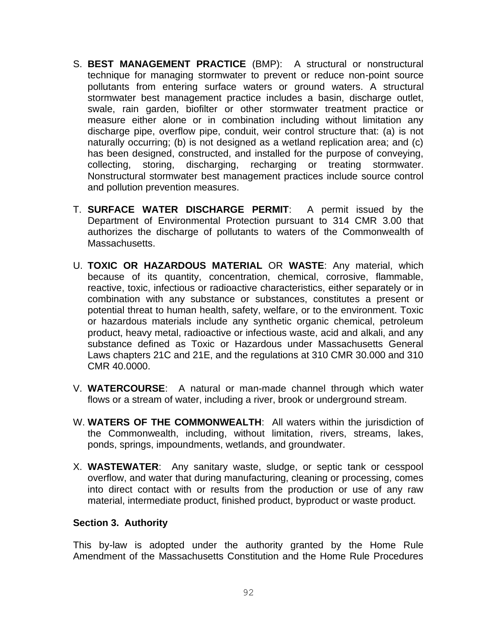- S. **BEST MANAGEMENT PRACTICE** (BMP): A structural or nonstructural technique for managing stormwater to prevent or reduce non-point source pollutants from entering surface waters or ground waters. A structural stormwater best management practice includes a basin, discharge outlet, swale, rain garden, biofilter or other stormwater treatment practice or measure either alone or in combination including without limitation any discharge pipe, overflow pipe, conduit, weir control structure that: (a) is not naturally occurring; (b) is not designed as a wetland replication area; and (c) has been designed, constructed, and installed for the purpose of conveying, collecting, storing, discharging, recharging or treating stormwater. Nonstructural stormwater best management practices include source control and pollution prevention measures.
- T. **SURFACE WATER DISCHARGE PERMIT**: A permit issued by the Department of Environmental Protection pursuant to 314 CMR 3.00 that authorizes the discharge of pollutants to waters of the Commonwealth of Massachusetts.
- U. **TOXIC OR HAZARDOUS MATERIAL** OR **WASTE**: Any material, which because of its quantity, concentration, chemical, corrosive, flammable, reactive, toxic, infectious or radioactive characteristics, either separately or in combination with any substance or substances, constitutes a present or potential threat to human health, safety, welfare, or to the environment. Toxic or hazardous materials include any synthetic organic chemical, petroleum product, heavy metal, radioactive or infectious waste, acid and alkali, and any substance defined as Toxic or Hazardous under Massachusetts General Laws chapters 21C and 21E, and the regulations at 310 CMR 30.000 and 310 CMR 40.0000.
- V. **WATERCOURSE**: A natural or man-made channel through which water flows or a stream of water, including a river, brook or underground stream.
- W. **WATERS OF THE COMMONWEALTH**: All waters within the jurisdiction of the Commonwealth, including, without limitation, rivers, streams, lakes, ponds, springs, impoundments, wetlands, and groundwater.
- X. **WASTEWATER**: Any sanitary waste, sludge, or septic tank or cesspool overflow, and water that during manufacturing, cleaning or processing, comes into direct contact with or results from the production or use of any raw material, intermediate product, finished product, byproduct or waste product.

## **Section 3. Authority**

This by-law is adopted under the authority granted by the Home Rule Amendment of the Massachusetts Constitution and the Home Rule Procedures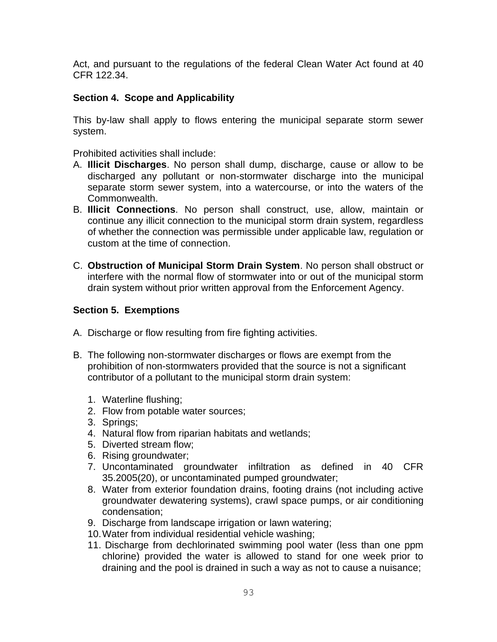Act, and pursuant to the regulations of the federal Clean Water Act found at 40 CFR 122.34.

## **Section 4. Scope and Applicability**

This by-law shall apply to flows entering the municipal separate storm sewer system.

Prohibited activities shall include:

- A. **Illicit Discharges**. No person shall dump, discharge, cause or allow to be discharged any pollutant or non-stormwater discharge into the municipal separate storm sewer system, into a watercourse, or into the waters of the Commonwealth.
- B. **Illicit Connections**. No person shall construct, use, allow, maintain or continue any illicit connection to the municipal storm drain system, regardless of whether the connection was permissible under applicable law, regulation or custom at the time of connection.
- C. **Obstruction of Municipal Storm Drain System**. No person shall obstruct or interfere with the normal flow of stormwater into or out of the municipal storm drain system without prior written approval from the Enforcement Agency.

## **Section 5. Exemptions**

- A. Discharge or flow resulting from fire fighting activities.
- B. The following non-stormwater discharges or flows are exempt from the prohibition of non-stormwaters provided that the source is not a significant contributor of a pollutant to the municipal storm drain system:
	- 1. Waterline flushing;
	- 2. Flow from potable water sources;
	- 3. Springs;
	- 4. Natural flow from riparian habitats and wetlands;
	- 5. Diverted stream flow;
	- 6. Rising groundwater;
	- 7. Uncontaminated groundwater infiltration as defined in 40 CFR 35.2005(20), or uncontaminated pumped groundwater;
	- 8. Water from exterior foundation drains, footing drains (not including active groundwater dewatering systems), crawl space pumps, or air conditioning condensation;
	- 9. Discharge from landscape irrigation or lawn watering;
	- 10.Water from individual residential vehicle washing;
	- 11. Discharge from dechlorinated swimming pool water (less than one ppm chlorine) provided the water is allowed to stand for one week prior to draining and the pool is drained in such a way as not to cause a nuisance;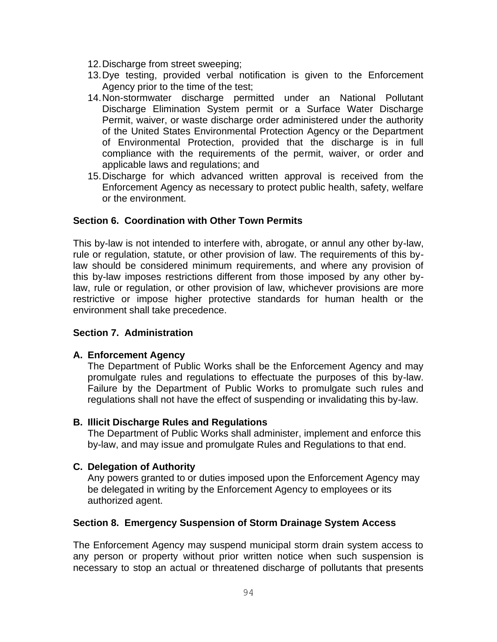- 12.Discharge from street sweeping;
- 13.Dye testing, provided verbal notification is given to the Enforcement Agency prior to the time of the test;
- 14.Non-stormwater discharge permitted under an National Pollutant Discharge Elimination System permit or a Surface Water Discharge Permit, waiver, or waste discharge order administered under the authority of the United States Environmental Protection Agency or the Department of Environmental Protection, provided that the discharge is in full compliance with the requirements of the permit, waiver, or order and applicable laws and regulations; and
- 15.Discharge for which advanced written approval is received from the Enforcement Agency as necessary to protect public health, safety, welfare or the environment.

## **Section 6. Coordination with Other Town Permits**

This by-law is not intended to interfere with, abrogate, or annul any other by-law, rule or regulation, statute, or other provision of law. The requirements of this bylaw should be considered minimum requirements, and where any provision of this by-law imposes restrictions different from those imposed by any other bylaw, rule or regulation, or other provision of law, whichever provisions are more restrictive or impose higher protective standards for human health or the environment shall take precedence.

## **Section 7. Administration**

#### **A. Enforcement Agency**

The Department of Public Works shall be the Enforcement Agency and may promulgate rules and regulations to effectuate the purposes of this by-law. Failure by the Department of Public Works to promulgate such rules and regulations shall not have the effect of suspending or invalidating this by-law.

#### **B. Illicit Discharge Rules and Regulations**

The Department of Public Works shall administer, implement and enforce this by-law, and may issue and promulgate Rules and Regulations to that end.

#### **C. Delegation of Authority**

Any powers granted to or duties imposed upon the Enforcement Agency may be delegated in writing by the Enforcement Agency to employees or its authorized agent.

## **Section 8. Emergency Suspension of Storm Drainage System Access**

The Enforcement Agency may suspend municipal storm drain system access to any person or property without prior written notice when such suspension is necessary to stop an actual or threatened discharge of pollutants that presents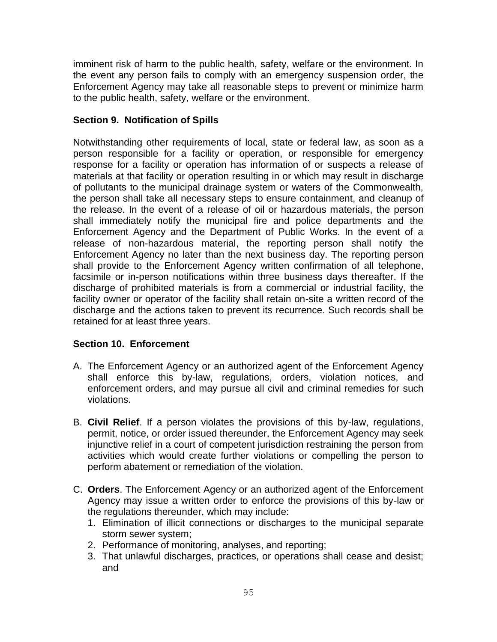imminent risk of harm to the public health, safety, welfare or the environment. In the event any person fails to comply with an emergency suspension order, the Enforcement Agency may take all reasonable steps to prevent or minimize harm to the public health, safety, welfare or the environment.

# **Section 9. Notification of Spills**

Notwithstanding other requirements of local, state or federal law, as soon as a person responsible for a facility or operation, or responsible for emergency response for a facility or operation has information of or suspects a release of materials at that facility or operation resulting in or which may result in discharge of pollutants to the municipal drainage system or waters of the Commonwealth, the person shall take all necessary steps to ensure containment, and cleanup of the release. In the event of a release of oil or hazardous materials, the person shall immediately notify the municipal fire and police departments and the Enforcement Agency and the Department of Public Works. In the event of a release of non-hazardous material, the reporting person shall notify the Enforcement Agency no later than the next business day. The reporting person shall provide to the Enforcement Agency written confirmation of all telephone, facsimile or in-person notifications within three business days thereafter. If the discharge of prohibited materials is from a commercial or industrial facility, the facility owner or operator of the facility shall retain on-site a written record of the discharge and the actions taken to prevent its recurrence. Such records shall be retained for at least three years.

# **Section 10. Enforcement**

- A. The Enforcement Agency or an authorized agent of the Enforcement Agency shall enforce this by-law, regulations, orders, violation notices, and enforcement orders, and may pursue all civil and criminal remedies for such violations.
- B. **Civil Relief**. If a person violates the provisions of this by-law, regulations, permit, notice, or order issued thereunder, the Enforcement Agency may seek injunctive relief in a court of competent jurisdiction restraining the person from activities which would create further violations or compelling the person to perform abatement or remediation of the violation.
- C. **Orders**. The Enforcement Agency or an authorized agent of the Enforcement Agency may issue a written order to enforce the provisions of this by-law or the regulations thereunder, which may include:
	- 1. Elimination of illicit connections or discharges to the municipal separate storm sewer system;
	- 2. Performance of monitoring, analyses, and reporting;
	- 3. That unlawful discharges, practices, or operations shall cease and desist; and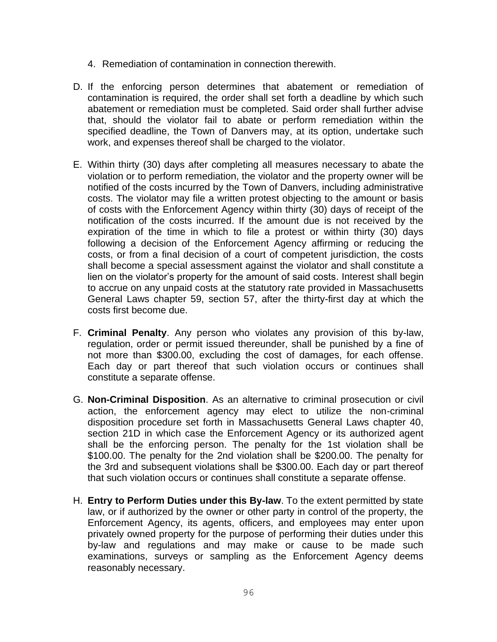- 4. Remediation of contamination in connection therewith.
- D. If the enforcing person determines that abatement or remediation of contamination is required, the order shall set forth a deadline by which such abatement or remediation must be completed. Said order shall further advise that, should the violator fail to abate or perform remediation within the specified deadline, the Town of Danvers may, at its option, undertake such work, and expenses thereof shall be charged to the violator.
- E. Within thirty (30) days after completing all measures necessary to abate the violation or to perform remediation, the violator and the property owner will be notified of the costs incurred by the Town of Danvers, including administrative costs. The violator may file a written protest objecting to the amount or basis of costs with the Enforcement Agency within thirty (30) days of receipt of the notification of the costs incurred. If the amount due is not received by the expiration of the time in which to file a protest or within thirty (30) days following a decision of the Enforcement Agency affirming or reducing the costs, or from a final decision of a court of competent jurisdiction, the costs shall become a special assessment against the violator and shall constitute a lien on the violator's property for the amount of said costs. Interest shall begin to accrue on any unpaid costs at the statutory rate provided in Massachusetts General Laws chapter 59, section 57, after the thirty-first day at which the costs first become due.
- F. **Criminal Penalty**. Any person who violates any provision of this by-law, regulation, order or permit issued thereunder, shall be punished by a fine of not more than \$300.00, excluding the cost of damages, for each offense. Each day or part thereof that such violation occurs or continues shall constitute a separate offense.
- G. **Non-Criminal Disposition**. As an alternative to criminal prosecution or civil action, the enforcement agency may elect to utilize the non-criminal disposition procedure set forth in Massachusetts General Laws chapter 40, section 21D in which case the Enforcement Agency or its authorized agent shall be the enforcing person. The penalty for the 1st violation shall be \$100.00. The penalty for the 2nd violation shall be \$200.00. The penalty for the 3rd and subsequent violations shall be \$300.00. Each day or part thereof that such violation occurs or continues shall constitute a separate offense.
- H. **Entry to Perform Duties under this By-law**. To the extent permitted by state law, or if authorized by the owner or other party in control of the property, the Enforcement Agency, its agents, officers, and employees may enter upon privately owned property for the purpose of performing their duties under this by-law and regulations and may make or cause to be made such examinations, surveys or sampling as the Enforcement Agency deems reasonably necessary.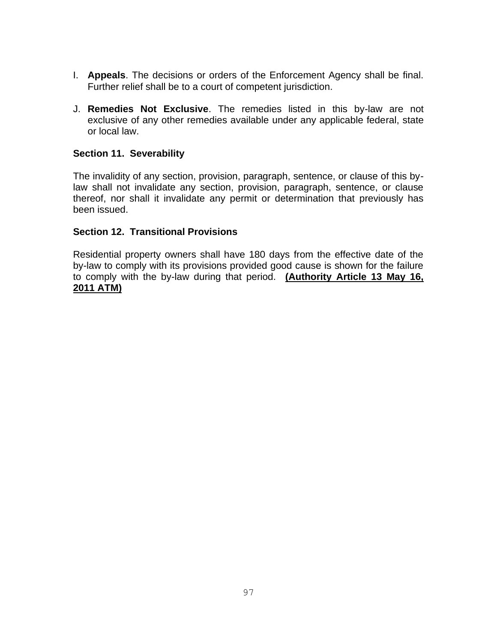- I. **Appeals**. The decisions or orders of the Enforcement Agency shall be final. Further relief shall be to a court of competent jurisdiction.
- J. **Remedies Not Exclusive**. The remedies listed in this by-law are not exclusive of any other remedies available under any applicable federal, state or local law.

# **Section 11. Severability**

The invalidity of any section, provision, paragraph, sentence, or clause of this bylaw shall not invalidate any section, provision, paragraph, sentence, or clause thereof, nor shall it invalidate any permit or determination that previously has been issued.

## **Section 12. Transitional Provisions**

Residential property owners shall have 180 days from the effective date of the by-law to comply with its provisions provided good cause is shown for the failure to comply with the by-law during that period. **(Authority Article 13 May 16, 2011 ATM)**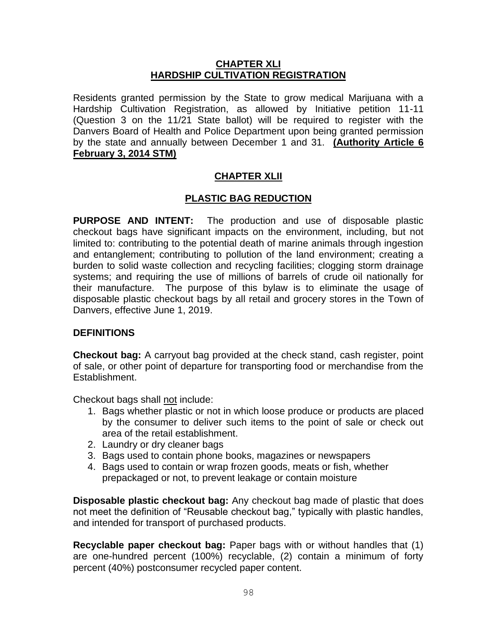## **CHAPTER XLI HARDSHIP CULTIVATION REGISTRATION**

Residents granted permission by the State to grow medical Marijuana with a Hardship Cultivation Registration, as allowed by Initiative petition 11-11 (Question 3 on the 11/21 State ballot) will be required to register with the Danvers Board of Health and Police Department upon being granted permission by the state and annually between December 1 and 31. **(Authority Article 6 February 3, 2014 STM)**

# **CHAPTER XLII**

# **PLASTIC BAG REDUCTION**

**PURPOSE AND INTENT:** The production and use of disposable plastic checkout bags have significant impacts on the environment, including, but not limited to: contributing to the potential death of marine animals through ingestion and entanglement; contributing to pollution of the land environment; creating a burden to solid waste collection and recycling facilities; clogging storm drainage systems; and requiring the use of millions of barrels of crude oil nationally for their manufacture. The purpose of this bylaw is to eliminate the usage of disposable plastic checkout bags by all retail and grocery stores in the Town of Danvers, effective June 1, 2019.

## **DEFINITIONS**

**Checkout bag:** A carryout bag provided at the check stand, cash register, point of sale, or other point of departure for transporting food or merchandise from the Establishment.

Checkout bags shall not include:

- 1. Bags whether plastic or not in which loose produce or products are placed by the consumer to deliver such items to the point of sale or check out area of the retail establishment.
- 2. Laundry or dry cleaner bags
- 3. Bags used to contain phone books, magazines or newspapers
- 4. Bags used to contain or wrap frozen goods, meats or fish, whether prepackaged or not, to prevent leakage or contain moisture

**Disposable plastic checkout bag:** Any checkout bag made of plastic that does not meet the definition of "Reusable checkout bag," typically with plastic handles, and intended for transport of purchased products.

**Recyclable paper checkout bag:** Paper bags with or without handles that (1) are one-hundred percent (100%) recyclable, (2) contain a minimum of forty percent (40%) postconsumer recycled paper content.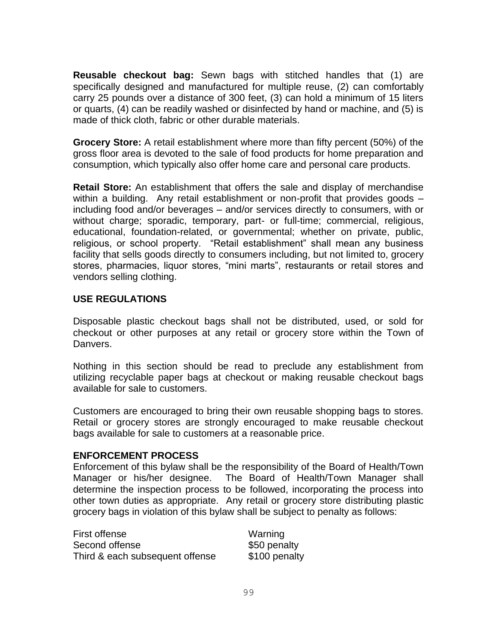**Reusable checkout bag:** Sewn bags with stitched handles that (1) are specifically designed and manufactured for multiple reuse, (2) can comfortably carry 25 pounds over a distance of 300 feet, (3) can hold a minimum of 15 liters or quarts, (4) can be readily washed or disinfected by hand or machine, and (5) is made of thick cloth, fabric or other durable materials.

**Grocery Store:** A retail establishment where more than fifty percent (50%) of the gross floor area is devoted to the sale of food products for home preparation and consumption, which typically also offer home care and personal care products.

**Retail Store:** An establishment that offers the sale and display of merchandise within a building. Any retail establishment or non-profit that provides goods – including food and/or beverages – and/or services directly to consumers, with or without charge; sporadic, temporary, part- or full-time; commercial, religious, educational, foundation-related, or governmental; whether on private, public, religious, or school property. "Retail establishment" shall mean any business facility that sells goods directly to consumers including, but not limited to, grocery stores, pharmacies, liquor stores, "mini marts", restaurants or retail stores and vendors selling clothing.

# **USE REGULATIONS**

Disposable plastic checkout bags shall not be distributed, used, or sold for checkout or other purposes at any retail or grocery store within the Town of Danvers.

Nothing in this section should be read to preclude any establishment from utilizing recyclable paper bags at checkout or making reusable checkout bags available for sale to customers.

Customers are encouraged to bring their own reusable shopping bags to stores. Retail or grocery stores are strongly encouraged to make reusable checkout bags available for sale to customers at a reasonable price.

## **ENFORCEMENT PROCESS**

Enforcement of this bylaw shall be the responsibility of the Board of Health/Town Manager or his/her designee. The Board of Health/Town Manager shall determine the inspection process to be followed, incorporating the process into other town duties as appropriate. Any retail or grocery store distributing plastic grocery bags in violation of this bylaw shall be subject to penalty as follows:

| First offense                   | Warning       |
|---------------------------------|---------------|
| Second offense                  | \$50 penalty  |
| Third & each subsequent offense | \$100 penalty |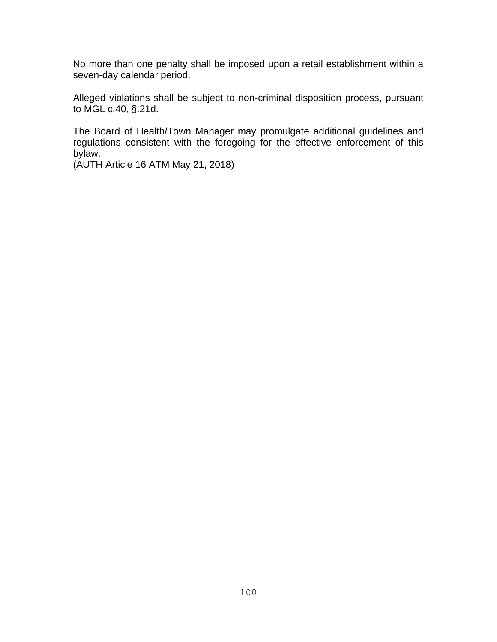No more than one penalty shall be imposed upon a retail establishment within a seven-day calendar period.

Alleged violations shall be subject to non-criminal disposition process, pursuant to MGL c.40, §.21d.

The Board of Health/Town Manager may promulgate additional guidelines and regulations consistent with the foregoing for the effective enforcement of this bylaw.

(AUTH Article 16 ATM May 21, 2018)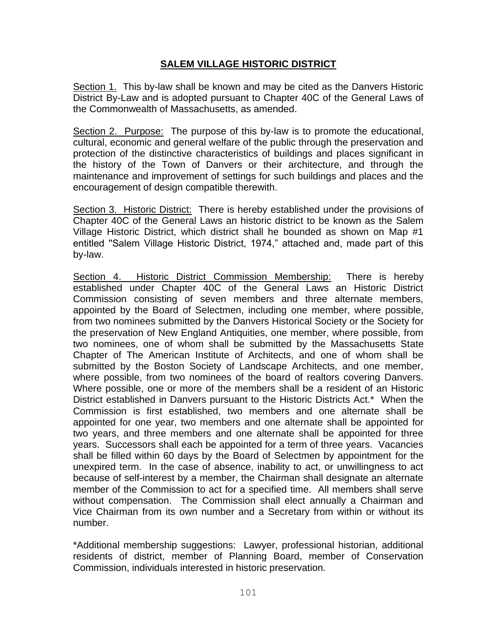# **SALEM VILLAGE HISTORIC DISTRICT**

Section 1. This by-law shall be known and may be cited as the Danvers Historic District By-Law and is adopted pursuant to Chapter 40C of the General Laws of the Commonwealth of Massachusetts, as amended.

Section 2. Purpose: The purpose of this by-law is to promote the educational, cultural, economic and general welfare of the public through the preservation and protection of the distinctive characteristics of buildings and places significant in the history of the Town of Danvers or their architecture, and through the maintenance and improvement of settings for such buildings and places and the encouragement of design compatible therewith.

Section 3. Historic District: There is hereby established under the provisions of Chapter 40C of the General Laws an historic district to be known as the Salem Village Historic District, which district shall he bounded as shown on Map #1 entitled ''Salem Village Historic District, 1974," attached and, made part of this by-law.

Section 4. Historic District Commission Membership: There is hereby established under Chapter 40C of the General Laws an Historic District Commission consisting of seven members and three alternate members, appointed by the Board of Selectmen, including one member, where possible, from two nominees submitted by the Danvers Historical Society or the Society for the preservation of New England Antiquities, one member, where possible, from two nominees, one of whom shall be submitted by the Massachusetts State Chapter of The American Institute of Architects, and one of whom shall be submitted by the Boston Society of Landscape Architects, and one member, where possible, from two nominees of the board of realtors covering Danvers. Where possible, one or more of the members shall be a resident of an Historic District established in Danvers pursuant to the Historic Districts Act.\* When the Commission is first established, two members and one alternate shall be appointed for one year, two members and one alternate shall be appointed for two years, and three members and one alternate shall be appointed for three years. Successors shall each be appointed for a term of three years. Vacancies shall be filled within 60 days by the Board of Selectmen by appointment for the unexpired term. In the case of absence, inability to act, or unwillingness to act because of self-interest by a member, the Chairman shall designate an alternate member of the Commission to act for a specified time. All members shall serve without compensation. The Commission shall elect annually a Chairman and Vice Chairman from its own number and a Secretary from within or without its number.

\*Additional membership suggestions: Lawyer, professional historian, additional residents of district, member of Planning Board, member of Conservation Commission, individuals interested in historic preservation.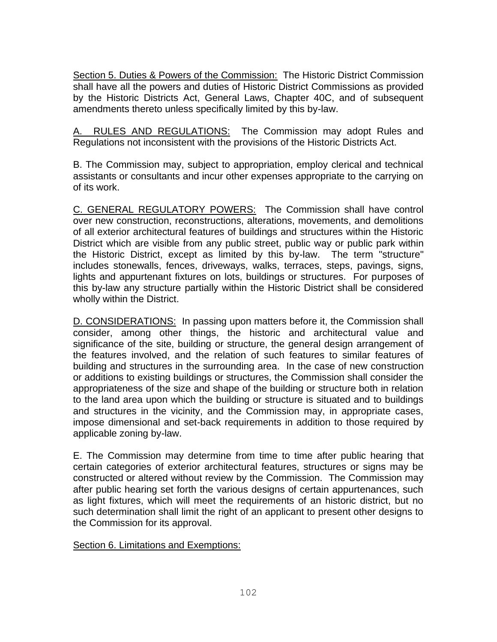Section 5. Duties & Powers of the Commission: The Historic District Commission shall have all the powers and duties of Historic District Commissions as provided by the Historic Districts Act, General Laws, Chapter 40C, and of subsequent amendments thereto unless specifically limited by this by-law.

A. RULES AND REGULATIONS: The Commission may adopt Rules and Regulations not inconsistent with the provisions of the Historic Districts Act.

B. The Commission may, subject to appropriation, employ clerical and technical assistants or consultants and incur other expenses appropriate to the carrying on of its work.

C. GENERAL REGULATORY POWERS: The Commission shall have control over new construction, reconstructions, alterations, movements, and demolitions of all exterior architectural features of buildings and structures within the Historic District which are visible from any public street, public way or public park within the Historic District, except as limited by this by-law. The term "structure" includes stonewalls, fences, driveways, walks, terraces, steps, pavings, signs, lights and appurtenant fixtures on lots, buildings or structures. For purposes of this by-law any structure partially within the Historic District shall be considered wholly within the District.

D. CONSIDERATIONS: In passing upon matters before it, the Commission shall consider, among other things, the historic and architectural value and significance of the site, building or structure, the general design arrangement of the features involved, and the relation of such features to similar features of building and structures in the surrounding area. In the case of new construction or additions to existing buildings or structures, the Commission shall consider the appropriateness of the size and shape of the building or structure both in relation to the land area upon which the building or structure is situated and to buildings and structures in the vicinity, and the Commission may, in appropriate cases, impose dimensional and set-back requirements in addition to those required by applicable zoning by-law.

E. The Commission may determine from time to time after public hearing that certain categories of exterior architectural features, structures or signs may be constructed or altered without review by the Commission. The Commission may after public hearing set forth the various designs of certain appurtenances, such as light fixtures, which will meet the requirements of an historic district, but no such determination shall limit the right of an applicant to present other designs to the Commission for its approval.

Section 6. Limitations and Exemptions: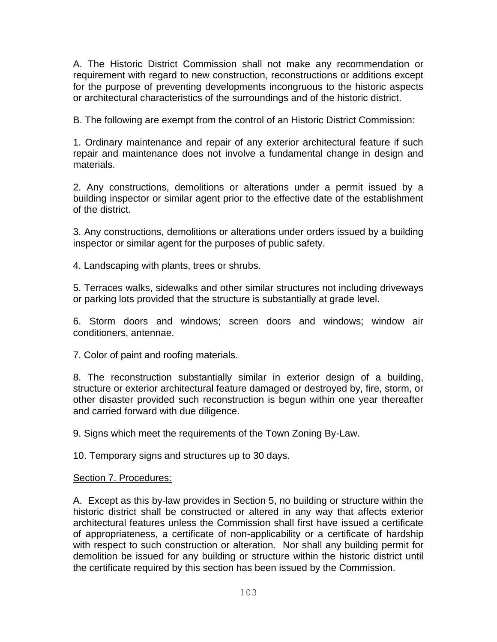A. The Historic District Commission shall not make any recommendation or requirement with regard to new construction, reconstructions or additions except for the purpose of preventing developments incongruous to the historic aspects or architectural characteristics of the surroundings and of the historic district.

B. The following are exempt from the control of an Historic District Commission:

1. Ordinary maintenance and repair of any exterior architectural feature if such repair and maintenance does not involve a fundamental change in design and materials.

2. Any constructions, demolitions or alterations under a permit issued by a building inspector or similar agent prior to the effective date of the establishment of the district.

3. Any constructions, demolitions or alterations under orders issued by a building inspector or similar agent for the purposes of public safety.

4. Landscaping with plants, trees or shrubs.

5. Terraces walks, sidewalks and other similar structures not including driveways or parking lots provided that the structure is substantially at grade level.

6. Storm doors and windows; screen doors and windows; window air conditioners, antennae.

7. Color of paint and roofing materials.

8. The reconstruction substantially similar in exterior design of a building, structure or exterior architectural feature damaged or destroyed by, fire, storm, or other disaster provided such reconstruction is begun within one year thereafter and carried forward with due diligence.

9. Signs which meet the requirements of the Town Zoning By-Law.

10. Temporary signs and structures up to 30 days.

## Section 7. Procedures:

A. Except as this by-law provides in Section 5, no building or structure within the historic district shall be constructed or altered in any way that affects exterior architectural features unless the Commission shall first have issued a certificate of appropriateness, a certificate of non-applicability or a certificate of hardship with respect to such construction or alteration. Nor shall any building permit for demolition be issued for any building or structure within the historic district until the certificate required by this section has been issued by the Commission.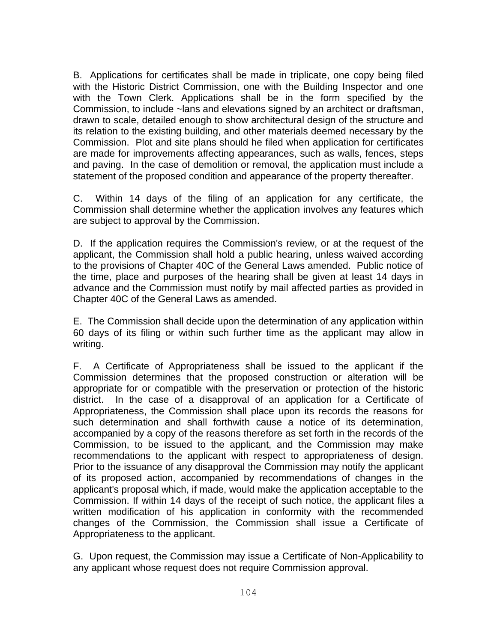B. Applications for certificates shall be made in triplicate, one copy being filed with the Historic District Commission, one with the Building Inspector and one with the Town Clerk. Applications shall be in the form specified by the Commission, to include ~lans and elevations signed by an architect or draftsman, drawn to scale, detailed enough to show architectural design of the structure and its relation to the existing building, and other materials deemed necessary by the Commission. Plot and site plans should he filed when application for certificates are made for improvements affecting appearances, such as walls, fences, steps and paving. In the case of demolition or removal, the application must include a statement of the proposed condition and appearance of the property thereafter.

C. Within 14 days of the filing of an application for any certificate, the Commission shall determine whether the application involves any features which are subject to approval by the Commission.

D. If the application requires the Commission's review, or at the request of the applicant, the Commission shall hold a public hearing, unless waived according to the provisions of Chapter 40C of the General Laws amended. Public notice of the time, place and purposes of the hearing shall be given at least 14 days in advance and the Commission must notify by mail affected parties as provided in Chapter 40C of the General Laws as amended.

E. The Commission shall decide upon the determination of any application within 60 days of its filing or within such further time as the applicant may allow in writing.

F. A Certificate of Appropriateness shall be issued to the applicant if the Commission determines that the proposed construction or alteration will be appropriate for or compatible with the preservation or protection of the historic district. In the case of a disapproval of an application for a Certificate of Appropriateness, the Commission shall place upon its records the reasons for such determination and shall forthwith cause a notice of its determination, accompanied by a copy of the reasons therefore as set forth in the records of the Commission, to be issued to the applicant, and the Commission may make recommendations to the applicant with respect to appropriateness of design. Prior to the issuance of any disapproval the Commission may notify the applicant of its proposed action, accompanied by recommendations of changes in the applicant's proposal which, if made, would make the application acceptable to the Commission. If within 14 days of the receipt of such notice, the applicant files a written modification of his application in conformity with the recommended changes of the Commission, the Commission shall issue a Certificate of Appropriateness to the applicant.

G. Upon request, the Commission may issue a Certificate of Non-Applicability to any applicant whose request does not require Commission approval.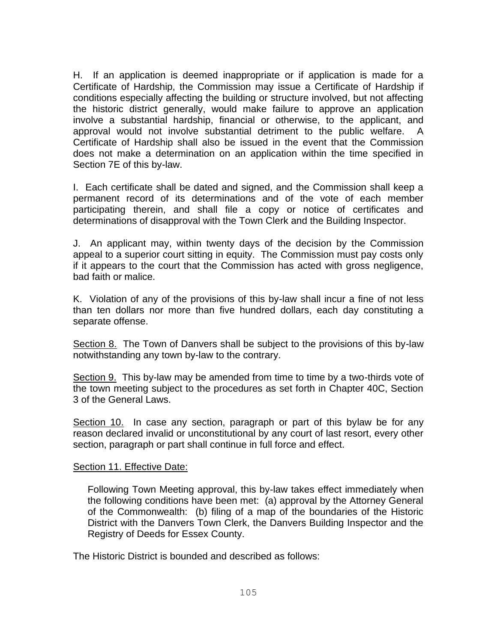H. If an application is deemed inappropriate or if application is made for a Certificate of Hardship, the Commission may issue a Certificate of Hardship if conditions especially affecting the building or structure involved, but not affecting the historic district generally, would make failure to approve an application involve a substantial hardship, financial or otherwise, to the applicant, and approval would not involve substantial detriment to the public welfare. Certificate of Hardship shall also be issued in the event that the Commission does not make a determination on an application within the time specified in Section 7E of this by-law.

I. Each certificate shall be dated and signed, and the Commission shall keep a permanent record of its determinations and of the vote of each member participating therein, and shall file a copy or notice of certificates and determinations of disapproval with the Town Clerk and the Building Inspector.

J. An applicant may, within twenty days of the decision by the Commission appeal to a superior court sitting in equity. The Commission must pay costs only if it appears to the court that the Commission has acted with gross negligence, bad faith or malice.

K. Violation of any of the provisions of this by-law shall incur a fine of not less than ten dollars nor more than five hundred dollars, each day constituting a separate offense.

Section 8. The Town of Danvers shall be subject to the provisions of this by-law notwithstanding any town by-law to the contrary.

Section 9. This by-law may be amended from time to time by a two-thirds vote of the town meeting subject to the procedures as set forth in Chapter 40C, Section 3 of the General Laws.

Section 10. In case any section, paragraph or part of this bylaw be for any reason declared invalid or unconstitutional by any court of last resort, every other section, paragraph or part shall continue in full force and effect.

## Section 11. Effective Date:

Following Town Meeting approval, this by-law takes effect immediately when the following conditions have been met: (a) approval by the Attorney General of the Commonwealth: (b) filing of a map of the boundaries of the Historic District with the Danvers Town Clerk, the Danvers Building Inspector and the Registry of Deeds for Essex County.

The Historic District is bounded and described as follows: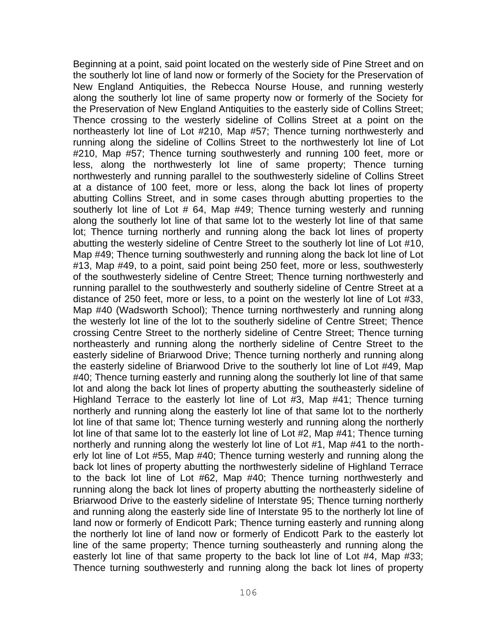Beginning at a point, said point located on the westerly side of Pine Street and on the southerly lot line of land now or formerly of the Society for the Preservation of New England Antiquities, the Rebecca Nourse House, and running westerly along the southerly lot line of same property now or formerly of the Society for the Preservation of New England Antiquities to the easterly side of Collins Street; Thence crossing to the westerly sideline of Collins Street at a point on the northeasterly lot line of Lot #210, Map #57; Thence turning northwesterly and running along the sideline of Collins Street to the northwesterly lot line of Lot #210, Map #57; Thence turning southwesterly and running 100 feet, more or less, along the northwesterly lot line of same property; Thence turning northwesterly and running parallel to the southwesterly sideline of Collins Street at a distance of 100 feet, more or less, along the back lot lines of property abutting Collins Street, and in some cases through abutting properties to the southerly lot line of Lot # 64, Map #49; Thence turning westerly and running along the southerly lot line of that same lot to the westerly lot line of that same lot; Thence turning northerly and running along the back lot lines of property abutting the westerly sideline of Centre Street to the southerly lot line of Lot #10, Map #49; Thence turning southwesterly and running along the back lot line of Lot #13, Map #49, to a point, said point being 250 feet, more or less, southwesterly of the southwesterly sideline of Centre Street; Thence turning northwesterly and running parallel to the southwesterly and southerly sideline of Centre Street at a distance of 250 feet, more or less, to a point on the westerly lot line of Lot #33, Map #40 (Wadsworth School); Thence turning northwesterly and running along the westerly lot line of the lot to the southerly sideline of Centre Street; Thence crossing Centre Street to the northerly sideline of Centre Street; Thence turning northeasterly and running along the northerly sideline of Centre Street to the easterly sideline of Briarwood Drive; Thence turning northerly and running along the easterly sideline of Briarwood Drive to the southerly lot line of Lot #49, Map #40; Thence turning easterly and running along the southerly lot line of that same lot and along the back lot lines of property abutting the southeasterly sideline of Highland Terrace to the easterly lot line of Lot #3, Map #41; Thence turning northerly and running along the easterly lot line of that same lot to the northerly lot line of that same lot; Thence turning westerly and running along the northerly lot line of that same lot to the easterly lot line of Lot #2, Map #41; Thence turning northerly and running along the westerly lot line of Lot #1, Map #41 to the northerly lot line of Lot #55, Map #40; Thence turning westerly and running along the back lot lines of property abutting the northwesterly sideline of Highland Terrace to the back lot line of Lot #62, Map #40; Thence turning northwesterly and running along the back lot lines of property abutting the northeasterly sideline of Briarwood Drive to the easterly sideline of Interstate 95; Thence turning northerly and running along the easterly side line of Interstate 95 to the northerly lot line of land now or formerly of Endicott Park; Thence turning easterly and running along the northerly lot line of land now or formerly of Endicott Park to the easterly lot line of the same property; Thence turning southeasterly and running along the easterly lot line of that same property to the back lot line of Lot #4, Map #33; Thence turning southwesterly and running along the back lot lines of property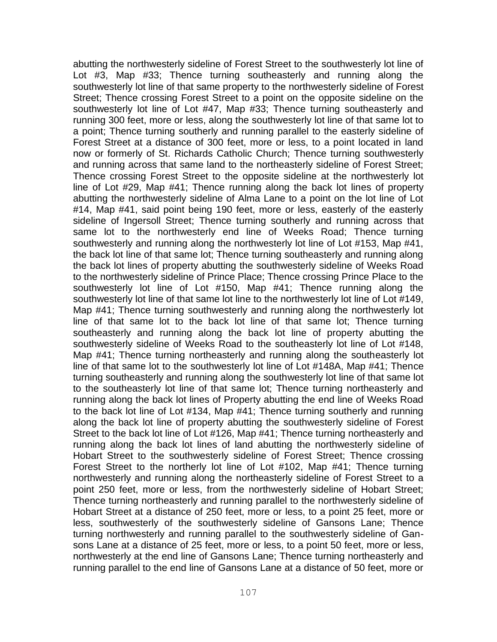abutting the northwesterly sideline of Forest Street to the southwesterly lot line of Lot #3, Map #33; Thence turning southeasterly and running along the southwesterly lot line of that same property to the northwesterly sideline of Forest Street; Thence crossing Forest Street to a point on the opposite sideline on the southwesterly lot line of Lot #47, Map #33; Thence turning southeasterly and running 300 feet, more or less, along the southwesterly lot line of that same lot to a point; Thence turning southerly and running parallel to the easterly sideline of Forest Street at a distance of 300 feet, more or less, to a point located in land now or formerly of St. Richards Catholic Church; Thence turning southwesterly and running across that same land to the northeasterly sideline of Forest Street; Thence crossing Forest Street to the opposite sideline at the northwesterly lot line of Lot #29, Map #41; Thence running along the back lot lines of property abutting the northwesterly sideline of Alma Lane to a point on the lot line of Lot #14, Map #41, said point being 190 feet, more or less, easterly of the easterly sideline of Ingersoll Street; Thence turning southerly and running across that same lot to the northwesterly end line of Weeks Road; Thence turning southwesterly and running along the northwesterly lot line of Lot #153, Map #41, the back lot line of that same lot; Thence turning southeasterly and running along the back lot lines of property abutting the southwesterly sideline of Weeks Road to the northwesterly sideline of Prince Place; Thence crossing Prince Place to the southwesterly lot line of Lot #150, Map #41; Thence running along the southwesterly lot line of that same lot line to the northwesterly lot line of Lot #149, Map #41; Thence turning southwesterly and running along the northwesterly lot line of that same lot to the back lot line of that same lot; Thence turning southeasterly and running along the back lot line of property abutting the southwesterly sideline of Weeks Road to the southeasterly lot line of Lot #148, Map #41; Thence turning northeasterly and running along the southeasterly lot line of that same lot to the southwesterly lot line of Lot #148A, Map #41; Thence turning southeasterly and running along the southwesterly lot line of that same lot to the southeasterly lot line of that same lot; Thence turning northeasterly and running along the back lot lines of Property abutting the end line of Weeks Road to the back lot line of Lot #134, Map #41; Thence turning southerly and running along the back lot line of property abutting the southwesterly sideline of Forest Street to the back lot line of Lot #126, Map #41; Thence turning northeasterly and running along the back lot lines of land abutting the northwesterly sideline of Hobart Street to the southwesterly sideline of Forest Street; Thence crossing Forest Street to the northerly lot line of Lot #102, Map #41; Thence turning northwesterly and running along the northeasterly sideline of Forest Street to a point 250 feet, more or less, from the northwesterly sideline of Hobart Street; Thence turning northeasterly and running parallel to the northwesterly sideline of Hobart Street at a distance of 250 feet, more or less, to a point 25 feet, more or less, southwesterly of the southwesterly sideline of Gansons Lane; Thence turning northwesterly and running parallel to the southwesterly sideline of Gansons Lane at a distance of 25 feet, more or less, to a point 50 feet, more or less, northwesterly at the end line of Gansons Lane; Thence turning northeasterly and running parallel to the end line of Gansons Lane at a distance of 50 feet, more or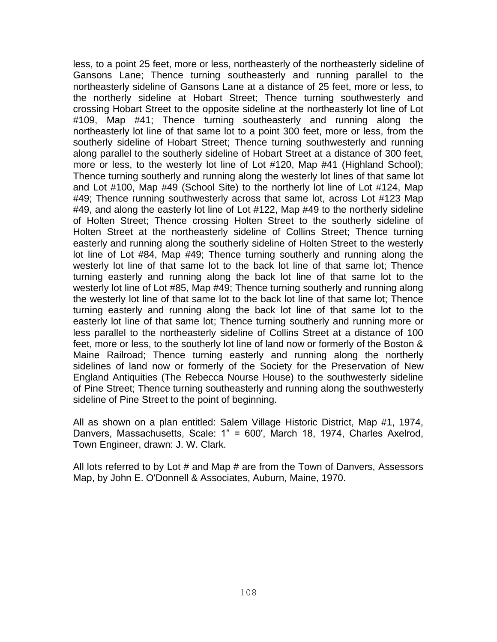less, to a point 25 feet, more or less, northeasterly of the northeasterly sideline of Gansons Lane; Thence turning southeasterly and running parallel to the northeasterly sideline of Gansons Lane at a distance of 25 feet, more or less, to the northerly sideline at Hobart Street; Thence turning southwesterly and crossing Hobart Street to the opposite sideline at the northeasterly lot line of Lot #109, Map #41; Thence turning southeasterly and running along the northeasterly lot line of that same lot to a point 300 feet, more or less, from the southerly sideline of Hobart Street; Thence turning southwesterly and running along parallel to the southerly sideline of Hobart Street at a distance of 300 feet, more or less, to the westerly lot line of Lot #120, Map #41 (Highland School); Thence turning southerly and running along the westerly lot lines of that same lot and Lot #100, Map #49 (School Site) to the northerly lot line of Lot #124, Map #49; Thence running southwesterly across that same lot, across Lot #123 Map #49, and along the easterly lot line of Lot #122, Map #49 to the northerly sideline of Holten Street; Thence crossing Holten Street to the southerly sideline of Holten Street at the northeasterly sideline of Collins Street; Thence turning easterly and running along the southerly sideline of Holten Street to the westerly lot line of Lot #84, Map #49; Thence turning southerly and running along the westerly lot line of that same lot to the back lot line of that same lot; Thence turning easterly and running along the back lot line of that same lot to the westerly lot line of Lot #85, Map #49; Thence turning southerly and running along the westerly lot line of that same lot to the back lot line of that same lot; Thence turning easterly and running along the back lot line of that same lot to the easterly lot line of that same lot; Thence turning southerly and running more or less parallel to the northeasterly sideline of Collins Street at a distance of 100 feet, more or less, to the southerly lot line of land now or formerly of the Boston & Maine Railroad; Thence turning easterly and running along the northerly sidelines of land now or formerly of the Society for the Preservation of New England Antiquities (The Rebecca Nourse House) to the southwesterly sideline of Pine Street; Thence turning southeasterly and running along the southwesterly sideline of Pine Street to the point of beginning.

All as shown on a plan entitled: Salem Village Historic District, Map #1, 1974, Danvers, Massachusetts, Scale: 1" = 600', March 18, 1974, Charles Axelrod, Town Engineer, drawn: J. W. Clark.

All lots referred to by Lot # and Map # are from the Town of Danvers, Assessors Map, by John E. O'Donnell & Associates, Auburn, Maine, 1970.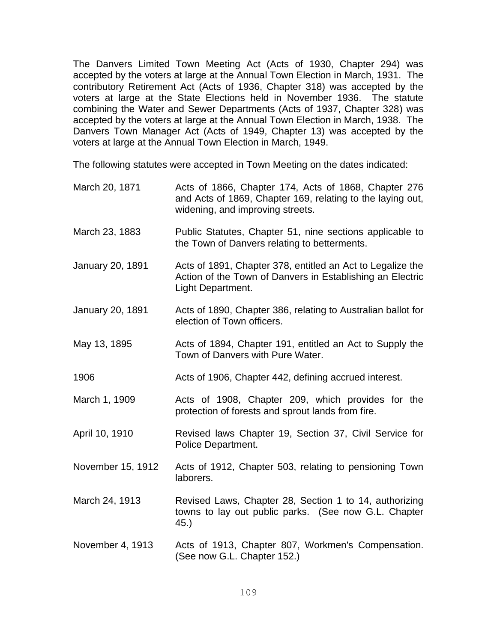The Danvers Limited Town Meeting Act (Acts of 1930, Chapter 294) was accepted by the voters at large at the Annual Town Election in March, 1931. The contributory Retirement Act (Acts of 1936, Chapter 318) was accepted by the voters at large at the State Elections held in November 1936. The statute combining the Water and Sewer Departments (Acts of 1937, Chapter 328) was accepted by the voters at large at the Annual Town Election in March, 1938. The Danvers Town Manager Act (Acts of 1949, Chapter 13) was accepted by the voters at large at the Annual Town Election in March, 1949.

The following statutes were accepted in Town Meeting on the dates indicated:

| March 20, 1871          | Acts of 1866, Chapter 174, Acts of 1868, Chapter 276<br>and Acts of 1869, Chapter 169, relating to the laying out,<br>widening, and improving streets. |
|-------------------------|--------------------------------------------------------------------------------------------------------------------------------------------------------|
| March 23, 1883          | Public Statutes, Chapter 51, nine sections applicable to<br>the Town of Danvers relating to betterments.                                               |
| <b>January 20, 1891</b> | Acts of 1891, Chapter 378, entitled an Act to Legalize the<br>Action of the Town of Danvers in Establishing an Electric<br>Light Department.           |
| <b>January 20, 1891</b> | Acts of 1890, Chapter 386, relating to Australian ballot for<br>election of Town officers.                                                             |
| May 13, 1895            | Acts of 1894, Chapter 191, entitled an Act to Supply the<br>Town of Danvers with Pure Water.                                                           |
| 1906                    | Acts of 1906, Chapter 442, defining accrued interest.                                                                                                  |
| March 1, 1909           | Acts of 1908, Chapter 209, which provides for the<br>protection of forests and sprout lands from fire.                                                 |
| April 10, 1910          | Revised laws Chapter 19, Section 37, Civil Service for<br>Police Department.                                                                           |
| November 15, 1912       | Acts of 1912, Chapter 503, relating to pensioning Town<br>laborers.                                                                                    |
| March 24, 1913          | Revised Laws, Chapter 28, Section 1 to 14, authorizing<br>towns to lay out public parks. (See now G.L. Chapter<br>45.)                                 |
| November 4, 1913        | Acts of 1913, Chapter 807, Workmen's Compensation.<br>(See now G.L. Chapter 152.)                                                                      |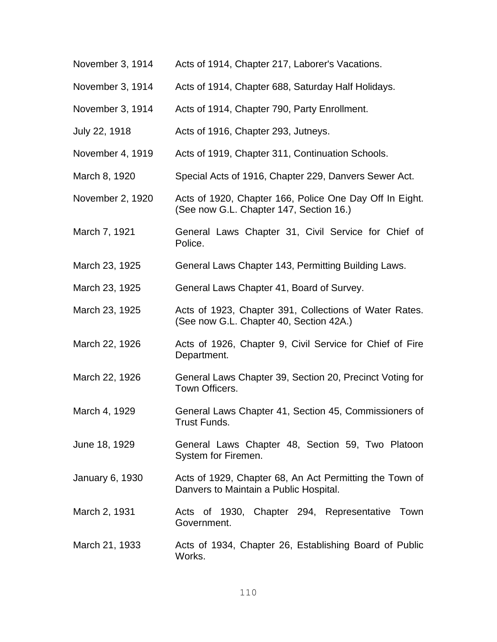- November 3, 1914 Acts of 1914, Chapter 217, Laborer's Vacations.
- November 3, 1914 Acts of 1914, Chapter 688, Saturday Half Holidays.
- November 3, 1914 Acts of 1914, Chapter 790, Party Enrollment.
- July 22, 1918 Acts of 1916, Chapter 293, Jutneys.
- November 4, 1919 Acts of 1919, Chapter 311, Continuation Schools.
- March 8, 1920 Special Acts of 1916, Chapter 229, Danvers Sewer Act.
- November 2, 1920 Acts of 1920, Chapter 166, Police One Day Off In Eight. (See now G.L. Chapter 147, Section 16.)
- March 7, 1921 General Laws Chapter 31, Civil Service for Chief of Police.
- March 23, 1925 General Laws Chapter 143, Permitting Building Laws.
- March 23, 1925 General Laws Chapter 41, Board of Survey.
- March 23, 1925 Acts of 1923, Chapter 391, Collections of Water Rates. (See now G.L. Chapter 40, Section 42A.)
- March 22, 1926 Acts of 1926, Chapter 9, Civil Service for Chief of Fire Department.
- March 22, 1926 General Laws Chapter 39, Section 20, Precinct Voting for Town Officers.
- March 4, 1929 General Laws Chapter 41, Section 45, Commissioners of Trust Funds.
- June 18, 1929 General Laws Chapter 48, Section 59, Two Platoon System for Firemen.
- January 6, 1930 Acts of 1929, Chapter 68, An Act Permitting the Town of Danvers to Maintain a Public Hospital.
- March 2, 1931 Acts of 1930, Chapter 294, Representative Town Government.
- March 21, 1933 Acts of 1934, Chapter 26, Establishing Board of Public Works.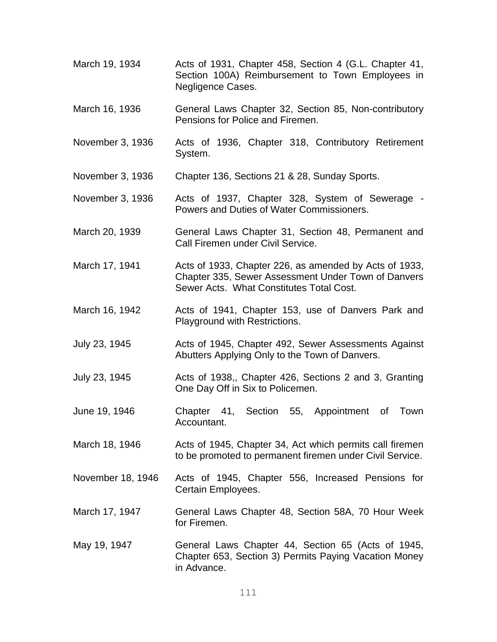- March 19, 1934 Acts of 1931, Chapter 458, Section 4 (G.L. Chapter 41, Section 100A) Reimbursement to Town Employees in Negligence Cases.
- March 16, 1936 General Laws Chapter 32, Section 85, Non-contributory Pensions for Police and Firemen.
- November 3, 1936 Acts of 1936, Chapter 318, Contributory Retirement System.
- November 3, 1936 Chapter 136, Sections 21 & 28, Sunday Sports.
- November 3, 1936 Acts of 1937, Chapter 328, System of Sewerage Powers and Duties of Water Commissioners.
- March 20, 1939 General Laws Chapter 31, Section 48, Permanent and Call Firemen under Civil Service.
- March 17, 1941 Acts of 1933, Chapter 226, as amended by Acts of 1933, Chapter 335, Sewer Assessment Under Town of Danvers Sewer Acts. What Constitutes Total Cost.
- March 16, 1942 Acts of 1941, Chapter 153, use of Danvers Park and Playground with Restrictions.
- July 23, 1945 Acts of 1945, Chapter 492, Sewer Assessments Against Abutters Applying Only to the Town of Danvers.
- July 23, 1945 Acts of 1938,, Chapter 426, Sections 2 and 3, Granting One Day Off in Six to Policemen.
- June 19, 1946 Chapter 41, Section 55, Appointment of Town Accountant.
- March 18, 1946 Acts of 1945, Chapter 34, Act which permits call firemen to be promoted to permanent firemen under Civil Service.
- November 18, 1946 Acts of 1945, Chapter 556, Increased Pensions for Certain Employees.
- March 17, 1947 General Laws Chapter 48, Section 58A, 70 Hour Week for Firemen.
- May 19, 1947 General Laws Chapter 44, Section 65 (Acts of 1945, Chapter 653, Section 3) Permits Paying Vacation Money in Advance.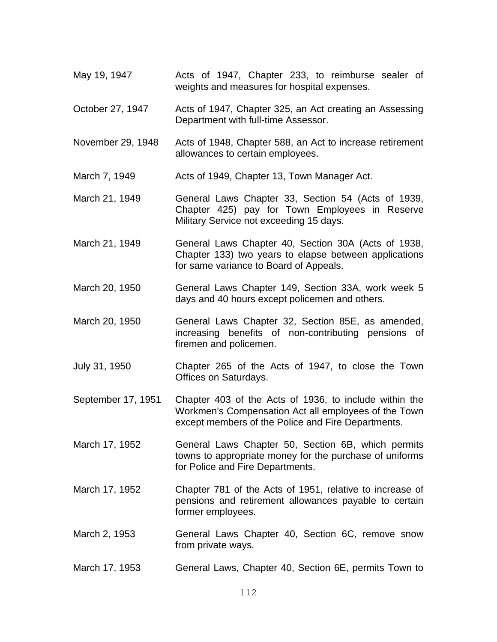- May 19, 1947 Acts of 1947, Chapter 233, to reimburse sealer of weights and measures for hospital expenses.
- October 27, 1947 Acts of 1947, Chapter 325, an Act creating an Assessing Department with full-time Assessor.
- November 29, 1948 Acts of 1948, Chapter 588, an Act to increase retirement allowances to certain employees.
- March 7, 1949 **Acts of 1949, Chapter 13, Town Manager Act.**
- March 21, 1949 General Laws Chapter 33, Section 54 (Acts of 1939, Chapter 425) pay for Town Employees in Reserve Military Service not exceeding 15 days.
- March 21, 1949 General Laws Chapter 40, Section 30A (Acts of 1938, Chapter 133) two years to elapse between applications for same variance to Board of Appeals.
- March 20, 1950 General Laws Chapter 149, Section 33A, work week 5 days and 40 hours except policemen and others.
- March 20, 1950 General Laws Chapter 32, Section 85E, as amended, increasing benefits of non-contributing pensions of firemen and policemen.
- July 31, 1950 Chapter 265 of the Acts of 1947, to close the Town Offices on Saturdays.
- September 17, 1951 Chapter 403 of the Acts of 1936, to include within the Workmen's Compensation Act all employees of the Town except members of the Police and Fire Departments.
- March 17, 1952 General Laws Chapter 50, Section 6B, which permits towns to appropriate money for the purchase of uniforms for Police and Fire Departments.
- March 17, 1952 Chapter 781 of the Acts of 1951, relative to increase of pensions and retirement allowances payable to certain former employees.
- March 2, 1953 General Laws Chapter 40, Section 6C, remove snow from private ways.
- March 17, 1953 General Laws, Chapter 40, Section 6E, permits Town to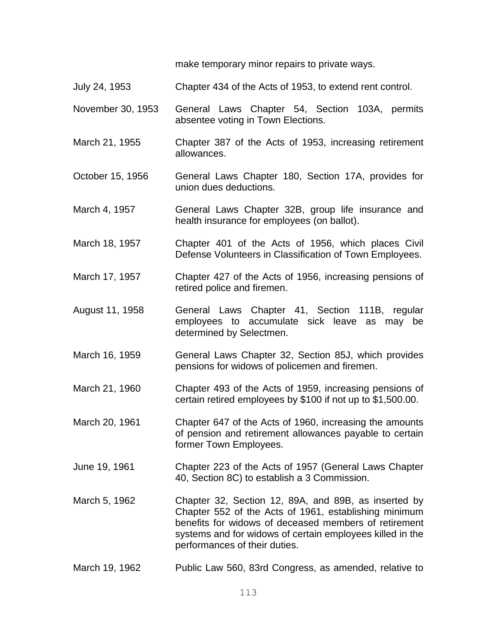make temporary minor repairs to private ways.

- July 24, 1953 Chapter 434 of the Acts of 1953, to extend rent control.
- November 30, 1953 General Laws Chapter 54, Section 103A, permits absentee voting in Town Elections.
- March 21, 1955 Chapter 387 of the Acts of 1953, increasing retirement allowances.
- October 15, 1956 General Laws Chapter 180, Section 17A, provides for union dues deductions.
- March 4, 1957 General Laws Chapter 32B, group life insurance and health insurance for employees (on ballot).
- March 18, 1957 Chapter 401 of the Acts of 1956, which places Civil Defense Volunteers in Classification of Town Employees.
- March 17, 1957 Chapter 427 of the Acts of 1956, increasing pensions of retired police and firemen.
- August 11, 1958 General Laws Chapter 41, Section 111B, regular employees to accumulate sick leave as may be determined by Selectmen.
- March 16, 1959 General Laws Chapter 32, Section 85J, which provides pensions for widows of policemen and firemen.
- March 21, 1960 Chapter 493 of the Acts of 1959, increasing pensions of certain retired employees by \$100 if not up to \$1,500.00.
- March 20, 1961 Chapter 647 of the Acts of 1960, increasing the amounts of pension and retirement allowances payable to certain former Town Employees.
- June 19, 1961 Chapter 223 of the Acts of 1957 (General Laws Chapter 40, Section 8C) to establish a 3 Commission.
- March 5, 1962 Chapter 32, Section 12, 89A, and 89B, as inserted by Chapter 552 of the Acts of 1961, establishing minimum benefits for widows of deceased members of retirement systems and for widows of certain employees killed in the performances of their duties.
- March 19, 1962 Public Law 560, 83rd Congress, as amended, relative to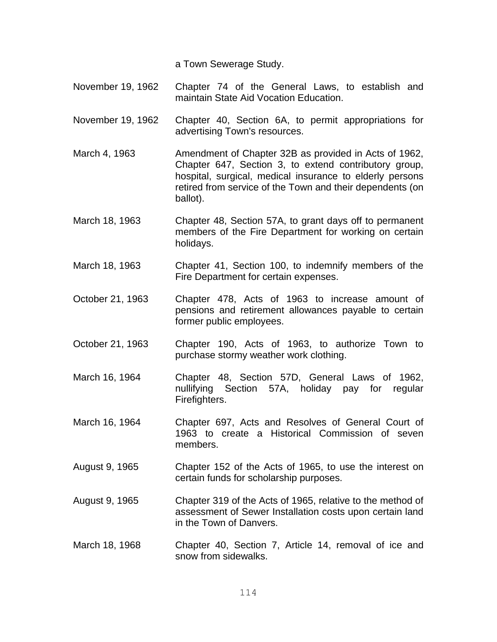a Town Sewerage Study.

- November 19, 1962 Chapter 74 of the General Laws, to establish and maintain State Aid Vocation Education.
- November 19, 1962 Chapter 40, Section 6A, to permit appropriations for advertising Town's resources.
- March 4, 1963 **Amendment of Chapter 32B as provided in Acts of 1962,** Chapter 647, Section 3, to extend contributory group, hospital, surgical, medical insurance to elderly persons retired from service of the Town and their dependents (on ballot).
- March 18, 1963 Chapter 48, Section 57A, to grant days off to permanent members of the Fire Department for working on certain holidays.
- March 18, 1963 Chapter 41, Section 100, to indemnify members of the Fire Department for certain expenses.
- October 21, 1963 Chapter 478, Acts of 1963 to increase amount of pensions and retirement allowances payable to certain former public employees.
- October 21, 1963 Chapter 190, Acts of 1963, to authorize Town to purchase stormy weather work clothing.
- March 16, 1964 Chapter 48, Section 57D, General Laws of 1962, nullifying Section 57A, holiday pay for regular Firefighters.
- March 16, 1964 Chapter 697, Acts and Resolves of General Court of 1963 to create a Historical Commission of seven members.
- August 9, 1965 Chapter 152 of the Acts of 1965, to use the interest on certain funds for scholarship purposes.
- August 9, 1965 Chapter 319 of the Acts of 1965, relative to the method of assessment of Sewer Installation costs upon certain land in the Town of Danvers.
- March 18, 1968 Chapter 40, Section 7, Article 14, removal of ice and snow from sidewalks.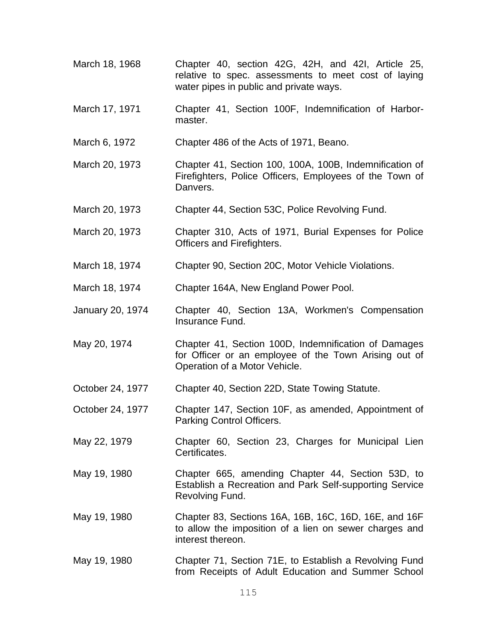- March 18, 1968 Chapter 40, section 42G, 42H, and 42I, Article 25, relative to spec. assessments to meet cost of laying water pipes in public and private ways.
- March 17, 1971 Chapter 41, Section 100F, Indemnification of Harbormaster.
- March 6, 1972 Chapter 486 of the Acts of 1971, Beano.
- March 20, 1973 Chapter 41, Section 100, 100A, 100B, Indemnification of Firefighters, Police Officers, Employees of the Town of Danvers.
- March 20, 1973 Chapter 44, Section 53C, Police Revolving Fund.
- March 20, 1973 Chapter 310, Acts of 1971, Burial Expenses for Police Officers and Firefighters.
- March 18, 1974 Chapter 90, Section 20C, Motor Vehicle Violations.
- March 18, 1974 Chapter 164A, New England Power Pool.
- January 20, 1974 Chapter 40, Section 13A, Workmen's Compensation Insurance Fund.
- May 20, 1974 Chapter 41, Section 100D, Indemnification of Damages for Officer or an employee of the Town Arising out of Operation of a Motor Vehicle.
- October 24, 1977 Chapter 40, Section 22D, State Towing Statute.
- October 24, 1977 Chapter 147, Section 10F, as amended, Appointment of Parking Control Officers.
- May 22, 1979 Chapter 60, Section 23, Charges for Municipal Lien Certificates.
- May 19, 1980 Chapter 665, amending Chapter 44, Section 53D, to Establish a Recreation and Park Self-supporting Service Revolving Fund.
- May 19, 1980 Chapter 83, Sections 16A, 16B, 16C, 16D, 16E, and 16F to allow the imposition of a lien on sewer charges and interest thereon.
- May 19, 1980 Chapter 71, Section 71E, to Establish a Revolving Fund from Receipts of Adult Education and Summer School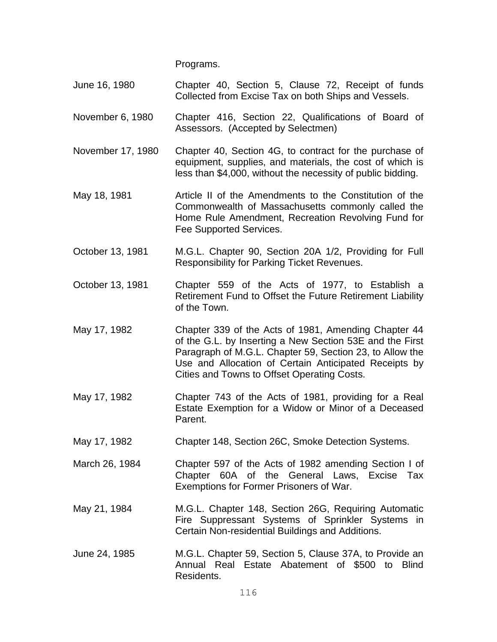Programs.

- June 16, 1980 Chapter 40, Section 5, Clause 72, Receipt of funds Collected from Excise Tax on both Ships and Vessels.
- November 6, 1980 Chapter 416, Section 22, Qualifications of Board of Assessors. (Accepted by Selectmen)
- November 17, 1980 Chapter 40, Section 4G, to contract for the purchase of equipment, supplies, and materials, the cost of which is less than \$4,000, without the necessity of public bidding.
- May 18, 1981 **Article II of the Amendments to the Constitution of the** Commonwealth of Massachusetts commonly called the Home Rule Amendment, Recreation Revolving Fund for Fee Supported Services.
- October 13, 1981 M.G.L. Chapter 90, Section 20A 1/2, Providing for Full Responsibility for Parking Ticket Revenues.
- October 13, 1981 Chapter 559 of the Acts of 1977, to Establish a Retirement Fund to Offset the Future Retirement Liability of the Town.
- May 17, 1982 Chapter 339 of the Acts of 1981, Amending Chapter 44 of the G.L. by Inserting a New Section 53E and the First Paragraph of M.G.L. Chapter 59, Section 23, to Allow the Use and Allocation of Certain Anticipated Receipts by Cities and Towns to Offset Operating Costs.
- May 17, 1982 Chapter 743 of the Acts of 1981, providing for a Real Estate Exemption for a Widow or Minor of a Deceased Parent.
- May 17, 1982 Chapter 148, Section 26C, Smoke Detection Systems.
- March 26, 1984 Chapter 597 of the Acts of 1982 amending Section I of Chapter 60A of the General Laws, Excise Tax Exemptions for Former Prisoners of War.
- May 21, 1984 M.G.L. Chapter 148, Section 26G, Requiring Automatic Fire Suppressant Systems of Sprinkler Systems in Certain Non-residential Buildings and Additions.
- June 24, 1985 M.G.L. Chapter 59, Section 5, Clause 37A, to Provide an Annual Real Estate Abatement of \$500 to Blind Residents.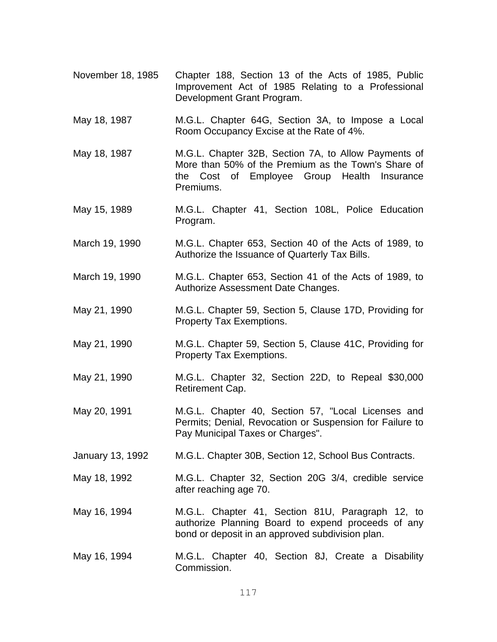- November 18, 1985 Chapter 188, Section 13 of the Acts of 1985, Public Improvement Act of 1985 Relating to a Professional Development Grant Program.
- May 18, 1987 M.G.L. Chapter 64G, Section 3A, to Impose a Local Room Occupancy Excise at the Rate of 4%.
- May 18, 1987 M.G.L. Chapter 32B, Section 7A, to Allow Payments of More than 50% of the Premium as the Town's Share of the Cost of Employee Group Health Insurance Premiums.
- May 15, 1989 M.G.L. Chapter 41, Section 108L, Police Education Program.
- March 19, 1990 M.G.L. Chapter 653, Section 40 of the Acts of 1989, to Authorize the Issuance of Quarterly Tax Bills.
- March 19, 1990 M.G.L. Chapter 653, Section 41 of the Acts of 1989, to Authorize Assessment Date Changes.
- May 21, 1990 M.G.L. Chapter 59, Section 5, Clause 17D, Providing for Property Tax Exemptions.
- May 21, 1990 M.G.L. Chapter 59, Section 5, Clause 41C, Providing for Property Tax Exemptions.
- May 21, 1990 M.G.L. Chapter 32, Section 22D, to Repeal \$30,000 Retirement Cap.
- May 20, 1991 M.G.L. Chapter 40, Section 57, "Local Licenses and Permits; Denial, Revocation or Suspension for Failure to Pay Municipal Taxes or Charges".
- January 13, 1992 M.G.L. Chapter 30B, Section 12, School Bus Contracts.
- May 18, 1992 M.G.L. Chapter 32, Section 20G 3/4, credible service after reaching age 70.
- May 16, 1994 M.G.L. Chapter 41, Section 81U, Paragraph 12, to authorize Planning Board to expend proceeds of any bond or deposit in an approved subdivision plan.
- May 16, 1994 M.G.L. Chapter 40, Section 8J, Create a Disability Commission.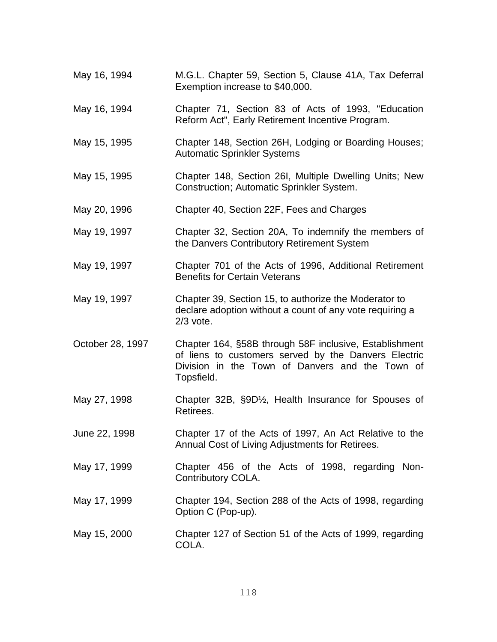| May 16, 1994     | M.G.L. Chapter 59, Section 5, Clause 41A, Tax Deferral<br>Exemption increase to \$40,000.                                                                                       |
|------------------|---------------------------------------------------------------------------------------------------------------------------------------------------------------------------------|
| May 16, 1994     | Chapter 71, Section 83 of Acts of 1993, "Education<br>Reform Act", Early Retirement Incentive Program.                                                                          |
| May 15, 1995     | Chapter 148, Section 26H, Lodging or Boarding Houses;<br><b>Automatic Sprinkler Systems</b>                                                                                     |
| May 15, 1995     | Chapter 148, Section 26I, Multiple Dwelling Units; New<br>Construction; Automatic Sprinkler System.                                                                             |
| May 20, 1996     | Chapter 40, Section 22F, Fees and Charges                                                                                                                                       |
| May 19, 1997     | Chapter 32, Section 20A, To indemnify the members of<br>the Danvers Contributory Retirement System                                                                              |
| May 19, 1997     | Chapter 701 of the Acts of 1996, Additional Retirement<br><b>Benefits for Certain Veterans</b>                                                                                  |
| May 19, 1997     | Chapter 39, Section 15, to authorize the Moderator to<br>declare adoption without a count of any vote requiring a<br>$2/3$ vote.                                                |
| October 28, 1997 | Chapter 164, §58B through 58F inclusive, Establishment<br>of liens to customers served by the Danvers Electric<br>Division in the Town of Danvers and the Town of<br>Topsfield. |
| May 27, 1998     | Chapter 32B, §9D <sup>1</sup> / <sub>2</sub> , Health Insurance for Spouses of<br>Retirees.                                                                                     |
| June 22, 1998    | Chapter 17 of the Acts of 1997, An Act Relative to the<br>Annual Cost of Living Adjustments for Retirees.                                                                       |
| May 17, 1999     | Chapter 456 of the Acts of 1998, regarding Non-<br>Contributory COLA.                                                                                                           |
| May 17, 1999     | Chapter 194, Section 288 of the Acts of 1998, regarding<br>Option C (Pop-up).                                                                                                   |
| May 15, 2000     | Chapter 127 of Section 51 of the Acts of 1999, regarding<br>COLA.                                                                                                               |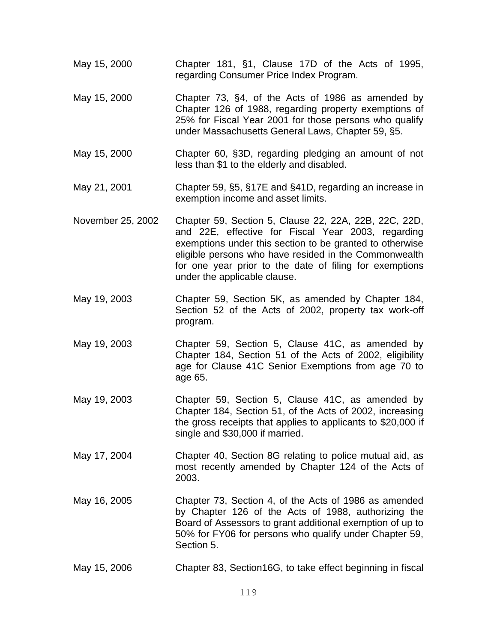- May 15, 2000 Chapter 181, §1, Clause 17D of the Acts of 1995, regarding Consumer Price Index Program.
- May 15, 2000 Chapter 73, §4, of the Acts of 1986 as amended by Chapter 126 of 1988, regarding property exemptions of 25% for Fiscal Year 2001 for those persons who qualify under Massachusetts General Laws, Chapter 59, §5.
- May 15, 2000 Chapter 60, §3D, regarding pledging an amount of not less than \$1 to the elderly and disabled.
- May 21, 2001 Chapter 59, §5, §17E and §41D, regarding an increase in exemption income and asset limits.
- November 25, 2002 Chapter 59, Section 5, Clause 22, 22A, 22B, 22C, 22D, and 22E, effective for Fiscal Year 2003, regarding exemptions under this section to be granted to otherwise eligible persons who have resided in the Commonwealth for one year prior to the date of filing for exemptions under the applicable clause.
- May 19, 2003 Chapter 59, Section 5K, as amended by Chapter 184, Section 52 of the Acts of 2002, property tax work-off program.
- May 19, 2003 Chapter 59, Section 5, Clause 41C, as amended by Chapter 184, Section 51 of the Acts of 2002, eligibility age for Clause 41C Senior Exemptions from age 70 to age 65.
- May 19, 2003 Chapter 59, Section 5, Clause 41C, as amended by Chapter 184, Section 51, of the Acts of 2002, increasing the gross receipts that applies to applicants to \$20,000 if single and \$30,000 if married.
- May 17, 2004 Chapter 40, Section 8G relating to police mutual aid, as most recently amended by Chapter 124 of the Acts of 2003.
- May 16, 2005 Chapter 73, Section 4, of the Acts of 1986 as amended by Chapter 126 of the Acts of 1988, authorizing the Board of Assessors to grant additional exemption of up to 50% for FY06 for persons who qualify under Chapter 59, Section 5.
- May 15, 2006 Chapter 83, Section16G, to take effect beginning in fiscal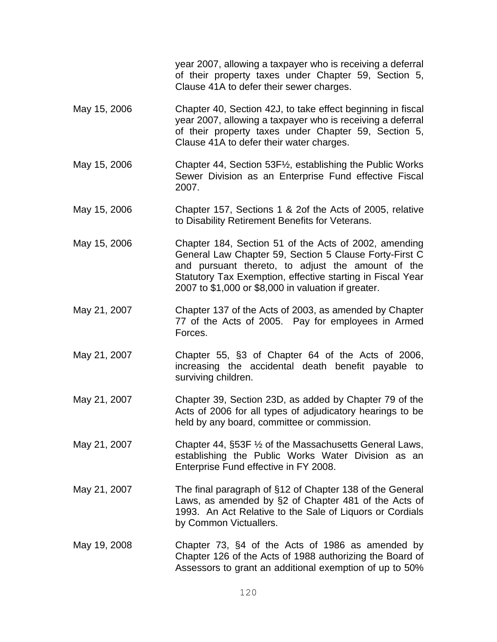|              | year 2007, allowing a taxpayer who is receiving a deferral<br>of their property taxes under Chapter 59, Section 5,<br>Clause 41A to defer their sewer charges.                                                                                                                            |
|--------------|-------------------------------------------------------------------------------------------------------------------------------------------------------------------------------------------------------------------------------------------------------------------------------------------|
| May 15, 2006 | Chapter 40, Section 42J, to take effect beginning in fiscal<br>year 2007, allowing a taxpayer who is receiving a deferral<br>of their property taxes under Chapter 59, Section 5,<br>Clause 41A to defer their water charges.                                                             |
| May 15, 2006 | Chapter 44, Section 53F1/2, establishing the Public Works<br>Sewer Division as an Enterprise Fund effective Fiscal<br>2007.                                                                                                                                                               |
| May 15, 2006 | Chapter 157, Sections 1 & 2of the Acts of 2005, relative<br>to Disability Retirement Benefits for Veterans.                                                                                                                                                                               |
| May 15, 2006 | Chapter 184, Section 51 of the Acts of 2002, amending<br>General Law Chapter 59, Section 5 Clause Forty-First C<br>and pursuant thereto, to adjust the amount of the<br>Statutory Tax Exemption, effective starting in Fiscal Year<br>2007 to \$1,000 or \$8,000 in valuation if greater. |
| May 21, 2007 | Chapter 137 of the Acts of 2003, as amended by Chapter<br>77 of the Acts of 2005. Pay for employees in Armed<br>Forces.                                                                                                                                                                   |
| May 21, 2007 | Chapter 55, §3 of Chapter 64 of the Acts of 2006,<br>increasing the accidental death benefit payable to<br>surviving children.                                                                                                                                                            |
| May 21, 2007 | Chapter 39, Section 23D, as added by Chapter 79 of the<br>Acts of 2006 for all types of adjudicatory hearings to be<br>held by any board, committee or commission.                                                                                                                        |
| May 21, 2007 | Chapter 44, §53F 1/2 of the Massachusetts General Laws,<br>establishing the Public Works Water Division as an<br>Enterprise Fund effective in FY 2008.                                                                                                                                    |
| May 21, 2007 | The final paragraph of §12 of Chapter 138 of the General<br>Laws, as amended by §2 of Chapter 481 of the Acts of<br>1993. An Act Relative to the Sale of Liquors or Cordials<br>by Common Victuallers.                                                                                    |
| May 19, 2008 | Chapter 73, §4 of the Acts of 1986 as amended by<br>Chapter 126 of the Acts of 1988 authorizing the Board of<br>Assessors to grant an additional exemption of up to 50%                                                                                                                   |